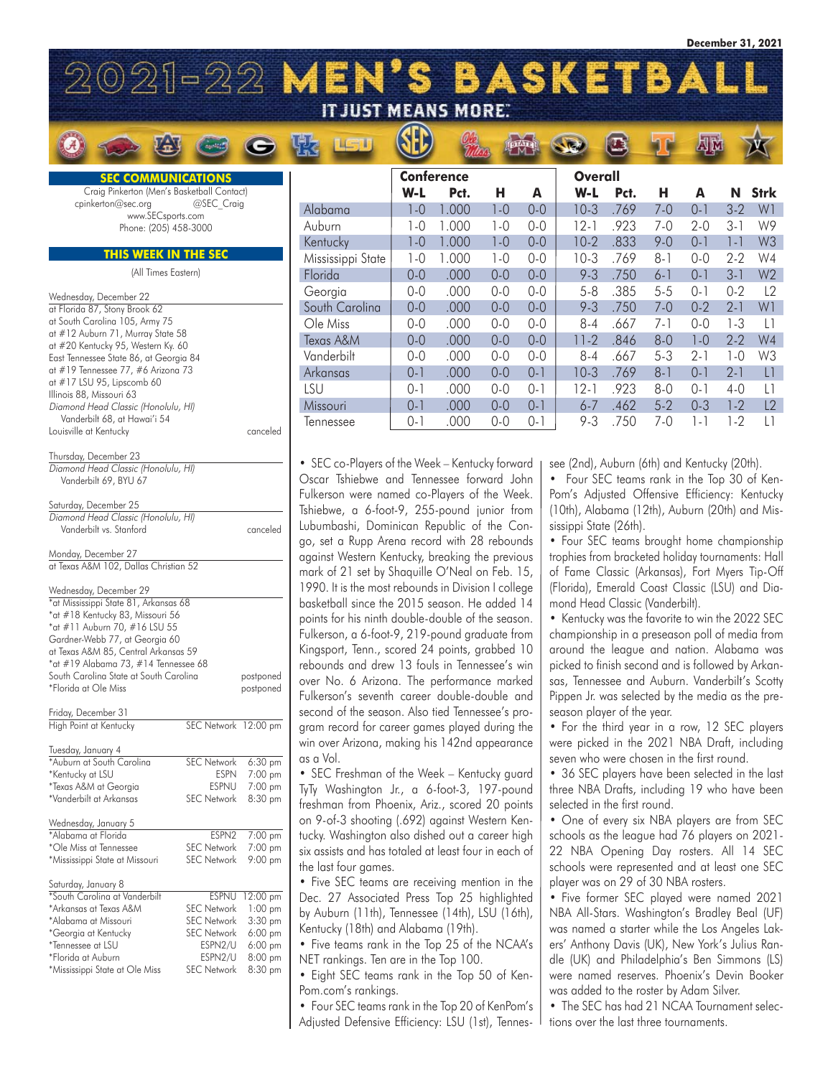| 2021-22 MEN'S BASKETBALL                                                     |                                |                                | <b>IT JUST MEANS MORE:</b>                                                                            |                    |              |                    |                    |                                                                                                |                                    |                    |                    |                    |                |
|------------------------------------------------------------------------------|--------------------------------|--------------------------------|-------------------------------------------------------------------------------------------------------|--------------------|--------------|--------------------|--------------------|------------------------------------------------------------------------------------------------|------------------------------------|--------------------|--------------------|--------------------|----------------|
|                                                                              |                                |                                |                                                                                                       |                    |              |                    |                    |                                                                                                |                                    |                    |                    |                    |                |
| <b>SEC COMMUNICATIONS</b>                                                    |                                |                                |                                                                                                       | <b>Conference</b>  |              |                    |                    | <b>Overall</b>                                                                                 |                                    |                    |                    |                    |                |
| Craig Pinkerton (Men's Basketball Contact)                                   |                                |                                |                                                                                                       | $W-L$              | Pct.         | н                  | A                  | $W-L$                                                                                          | Pct.                               | н                  | A                  | N                  | <b>Strk</b>    |
| cpinkerton@sec.org<br>www.SECsports.com                                      | @SEC Craig                     |                                | Alabama                                                                                               | $1 - 0$            | 1.000        | $1 - 0$            | $0 - 0$            | $10-3$                                                                                         | .769                               | $7 - 0$            | $0 - 1$            | $3 - 2$            | W1             |
| Phone: (205) 458-3000                                                        |                                |                                | Auburn                                                                                                | $1-0$              | 1.000        | $1 - 0$            | $0 - 0$            | $12 - 1$                                                                                       | .923                               | $7 - 0$            | $2 - 0$            | $3 - 1$            | W9             |
|                                                                              |                                |                                | Kentucky                                                                                              | $1 - 0$            | 1.000        | $1 - 0$            | $0 - 0$            | $10-2$                                                                                         | .833                               | $9 - 0$            | $0 - 1$            | $1 - 1$            | W <sub>3</sub> |
| THIS WEEK IN THE SEC                                                         |                                |                                | Mississippi State                                                                                     | $1-0$              | 1.000        | $1 - 0$            | $0 - 0$            | $10-3$                                                                                         | .769                               | $8 - 1$            | $0 - 0$            | $2 - 2$            | W4             |
| (All Times Eastern)                                                          |                                |                                | Florida                                                                                               | $0 - 0$            | .000         | $0 - 0$            | $0 - 0$            | $9 - 3$                                                                                        | .750                               | $6 - 1$            | $0 - 1$            | $3 - 1$            | W <sub>2</sub> |
| Wednesday, December 22                                                       |                                |                                | Georgia                                                                                               | $0 - 0$            | .000         | $0 - 0$            | $0 - 0$            | $5 - 8$                                                                                        | .385                               | $5 - 5$            | $0 - 1$            | $0 - 2$            | L2             |
| at Florida 87, Stony Brook 62                                                |                                |                                | South Carolina                                                                                        | $0 - 0$            | .000         | $0 - 0$            | $0 - 0$            | $9 - 3$                                                                                        | .750                               | $7 - 0$            | $0 - 2$            | $2 - 1$            | W1             |
| at South Carolina 105, Army 75<br>at #12 Auburn 71, Murray State 58          |                                |                                | Ole Miss                                                                                              | $0 - 0$            | .000         | $0 - 0$            | $0 - 0$            | $8 - 4$                                                                                        | .667                               | $7 - 1$            | $0 - 0$            | $1 - 3$            | $\lfloor$      |
| at #20 Kentucky 95, Western Ky. 60                                           |                                |                                | Texas A&M                                                                                             | $0 - 0$            | .000         | $0 - 0$            | $0 - 0$            | $11-2$                                                                                         | .846                               | $8 - 0$            | $1-0$              | $2 - 2$            | W4             |
| East Tennessee State 86, at Georgia 84<br>at #19 Tennessee 77, #6 Arizona 73 |                                |                                | Vanderbilt                                                                                            | $0 - 0$            | .000         | $0 - 0$            | $0 - 0$            | $8 - 4$                                                                                        | .667                               | $5 - 3$            | $2 - 1$            | $1-0$              | W3             |
| at #17 LSU 95, Lipscomb 60                                                   |                                |                                | Arkansas                                                                                              | $0 - 1$            | .000         | $0 - 0$            | $0 - 1$            | $10-3$                                                                                         | .769                               | $8 - 1$            | $0 - 1$            | $2 - 1$            | L1             |
| Illinois 88, Missouri 63                                                     |                                |                                | LSU<br>Missouri                                                                                       | $0 - 1$<br>$0 - 1$ | .000         | $0 - 0$<br>$0 - 0$ | $0 - 1$            | $12 - 1$<br>$6 - 7$                                                                            | .923                               | $8 - 0$<br>$5 - 2$ | $0 - 1$<br>$0 - 3$ | $4 - 0$<br>$1 - 2$ | L1<br>L2       |
| Diamond Head Classic (Honolulu, HI)<br>Vanderbilt 68, at Hawai'i 54          |                                |                                | Tennessee                                                                                             | $0 - 1$            | .000<br>.000 | $0 - 0$            | $0 - 1$<br>$0 - 1$ | $9 - 3$                                                                                        | .462<br>.750                       | $7 - 0$            | $1 - 1$            | $1 - 2$            | L1             |
| Louisville at Kentucky                                                       |                                | canceled                       |                                                                                                       |                    |              |                    |                    |                                                                                                |                                    |                    |                    |                    |                |
|                                                                              |                                |                                |                                                                                                       |                    |              |                    |                    |                                                                                                |                                    |                    |                    |                    |                |
| Thursday, December 23<br>Diamond Head Classic (Honolulu, HI)                 |                                |                                | • SEC co-Players of the Week - Kentucky forward                                                       |                    |              |                    |                    | see (2nd), Auburn (6th) and Kentucky (20th).                                                   |                                    |                    |                    |                    |                |
| Vanderbilt 69, BYU 67                                                        |                                |                                | Oscar Tshiebwe and Tennessee forward John                                                             |                    |              |                    |                    | • Four SEC teams rank in the Top 30 of Ken                                                     |                                    |                    |                    |                    |                |
|                                                                              |                                |                                | Fulkerson were named co-Players of the Week.                                                          |                    |              |                    |                    | Pom's Adjusted Offensive Efficiency: Kentuck                                                   |                                    |                    |                    |                    |                |
| Saturday, December 25<br>Diamond Head Classic (Honolulu, HI)                 |                                |                                | Tshiebwe, a 6-foot-9, 255-pound junior from                                                           |                    |              |                    |                    | (10th), Alabama (12th), Auburn (20th) and Mis                                                  |                                    |                    |                    |                    |                |
| Vanderbilt vs. Stanford                                                      |                                | canceled                       | Lubumbashi, Dominican Republic of the Con-                                                            |                    |              |                    |                    | sissippi State (26th).                                                                         |                                    |                    |                    |                    |                |
| Monday, December 27                                                          |                                |                                | go, set a Rupp Arena record with 28 rebounds                                                          |                    |              |                    |                    | • Four SEC teams brought home championshi                                                      |                                    |                    |                    |                    |                |
| at Texas A&M 102, Dallas Christian 52                                        |                                |                                | against Western Kentucky, breaking the previous                                                       |                    |              |                    |                    | trophies from bracketed holiday tournaments: Ha                                                |                                    |                    |                    |                    |                |
|                                                                              |                                |                                | mark of 21 set by Shaquille O'Neal on Feb. 15,<br>1990. It is the most rebounds in Division I college |                    |              |                    |                    | of Fame Classic (Arkansas), Fort Myers Tip-O<br>(Florida), Emerald Coast Classic (LSU) and Dic |                                    |                    |                    |                    |                |
| Wednesday, December 29<br>*at Mississippi State 81, Arkansas 68              |                                |                                | basketball since the 2015 season. He added 14                                                         |                    |              |                    |                    | mond Head Classic (Vanderbilt).                                                                |                                    |                    |                    |                    |                |
| *at #18 Kentucky 83, Missouri 56                                             |                                |                                | points for his ninth double-double of the season.                                                     |                    |              |                    |                    | • Kentucky was the favorite to win the 2022 SE                                                 |                                    |                    |                    |                    |                |
| *at #11 Auburn 70, #16 LSU 55                                                |                                |                                | Fulkerson, a 6-foot-9, 219-pound graduate from                                                        |                    |              |                    |                    | championship in a preseason poll of media fror                                                 |                                    |                    |                    |                    |                |
| Gardner-Webb 77, at Georgia 60<br>at Texas A&M 85, Central Arkansas 59       |                                |                                | Kingsport, Tenn., scored 24 points, grabbed 10                                                        |                    |              |                    |                    | around the league and nation. Alabama wa                                                       |                                    |                    |                    |                    |                |
| *at #19 Alabama 73, #14 Tennessee 68                                         |                                |                                | rebounds and drew 13 fouls in Tennessee's win                                                         |                    |              |                    |                    | picked to finish second and is followed by Arkan                                               |                                    |                    |                    |                    |                |
| South Carolina State at South Carolina<br>*Florida at Ole Miss               |                                | postponed                      | over No. 6 Arizona. The performance marked                                                            |                    |              |                    |                    | sas, Tennessee and Auburn. Vanderbilt's Scott                                                  |                                    |                    |                    |                    |                |
|                                                                              |                                | postponed                      | Fulkerson's seventh career double-double and                                                          |                    |              |                    |                    | Pippen Jr. was selected by the media as the pre                                                |                                    |                    |                    |                    |                |
| Friday, December 31                                                          |                                |                                | second of the season. Also tied Tennessee's pro-                                                      |                    |              |                    |                    | season player of the year.                                                                     |                                    |                    |                    |                    |                |
| High Point at Kentucky                                                       | SEC Network 12:00 pm           |                                | gram record for career games played during the                                                        |                    |              |                    |                    | • For the third year in a row, 12 SEC player                                                   |                                    |                    |                    |                    |                |
| Tuesday, January 4                                                           |                                |                                | win over Arizona, making his 142nd appearance                                                         |                    |              |                    |                    | were picked in the 2021 NBA Draft, including                                                   |                                    |                    |                    |                    |                |
| *Auburn at South Carolina                                                    | <b>SEC Network</b>             | $6:30 \text{ pm}$              | as a Vol.                                                                                             |                    |              |                    |                    | seven who were chosen in the first round.                                                      |                                    |                    |                    |                    |                |
| *Kentucky at LSU<br>*Texas A&M at Georgia                                    | <b>ESPN</b><br><b>ESPNU</b>    | $7:00 \text{ pm}$<br>7:00 pm   | • SEC Freshman of the Week - Kentucky guard<br>TyTy Washington Jr., a 6-foot-3, 197-pound             |                    |              |                    |                    | • 36 SEC players have been selected in the last<br>three NBA Drafts, including 19 who have bee |                                    |                    |                    |                    |                |
| *Vanderbilt at Arkansas                                                      | <b>SEC Network</b>             | $8:30 \text{ pm}$              | freshman from Phoenix, Ariz., scored 20 points                                                        |                    |              |                    |                    | selected in the first round.                                                                   |                                    |                    |                    |                    |                |
|                                                                              |                                |                                | on 9-of-3 shooting (.692) against Western Ken-                                                        |                    |              |                    |                    | • One of every six NBA players are from SE                                                     |                                    |                    |                    |                    |                |
| Wednesday, January 5<br>*Alabama at Florida                                  | ESPN <sub>2</sub>              | 7:00 pm                        | tucky. Washington also dished out a career high                                                       |                    |              |                    |                    | schools as the league had 76 players on 2021                                                   |                                    |                    |                    |                    |                |
| *Ole Miss at Tennessee                                                       | <b>SEC Network</b>             | 7:00 pm                        | six assists and has totaled at least four in each of                                                  |                    |              |                    |                    | 22 NBA Opening Day rosters. All 14 SEO                                                         |                                    |                    |                    |                    |                |
| *Mississippi State at Missouri                                               | SEC Network 9:00 pm            |                                | the last four games.                                                                                  |                    |              |                    |                    | schools were represented and at least one SE                                                   |                                    |                    |                    |                    |                |
| Saturday, January 8                                                          |                                |                                | • Five SEC teams are receiving mention in the                                                         |                    |              |                    |                    | player was on 29 of 30 NBA rosters.                                                            |                                    |                    |                    |                    |                |
| *South Carolina at Vanderbilt                                                |                                | ESPNU 12:00 pm                 | Dec. 27 Associated Press Top 25 highlighted                                                           |                    |              |                    |                    | • Five former SEC played were named 202                                                        |                                    |                    |                    |                    |                |
| *Arkansas at Texas A&M<br>*Alabama at Missouri                               | SEC Network<br>SEC Network     | $1:00$ pm<br>$3:30 \text{ pm}$ | by Auburn (11th), Tennessee (14th), LSU (16th),                                                       |                    |              |                    |                    | NBA All-Stars. Washington's Bradley Beal (UF                                                   |                                    |                    |                    |                    |                |
| *Georgia at Kentucky                                                         | SEC Network                    | $6:00 \text{ pm}$              | Kentucky (18th) and Alabama (19th).                                                                   |                    |              |                    |                    | was named a starter while the Los Angeles Lak                                                  |                                    |                    |                    |                    |                |
| *Tennessee at LSU                                                            | ESPN2/U                        | $6:00 \text{ pm}$              | • Five teams rank in the Top 25 of the NCAA's                                                         |                    |              |                    |                    | ers' Anthony Davis (UK), New York's Julius Ran                                                 |                                    |                    |                    |                    |                |
| *Florida at Auburn<br>*Mississippi State at Ole Miss                         | ESPN2/U<br>SEC Network 8:30 pm | $8:00 \text{ pm}$              | NET rankings. Ten are in the Top 100.<br>$E_{\text{inh}}$ CEC togma raple in the Ten $50$ of Ken      |                    |              |                    |                    | dle (UK) and Philadelphia's Ben Simmons (LS                                                    | ad rosanias Dhoapiule Davin Roalis |                    |                    |                    |                |

• Eight SEC teams rank in the Top 50 of Ken-Pom.com's rankings.

• Four SEC teams rank in the Top 20 of KenPom's Adjusted Defensive Efficiency: LSU (1st), Tennes-tions over the last three tournaments.

• Five former SEC played were named 2021 NBA All-Stars. Washington's Bradley Beal (UF) was named a starter while the Los Angeles Lakers' Anthony Davis (UK), New York's Julius Randle (UK) and Philadelphia's Ben Simmons (LS) were named reserves. Phoenix's Devin Booker was added to the roster by Adam Silver.

• The SEC has had 21 NCAA Tournament selec-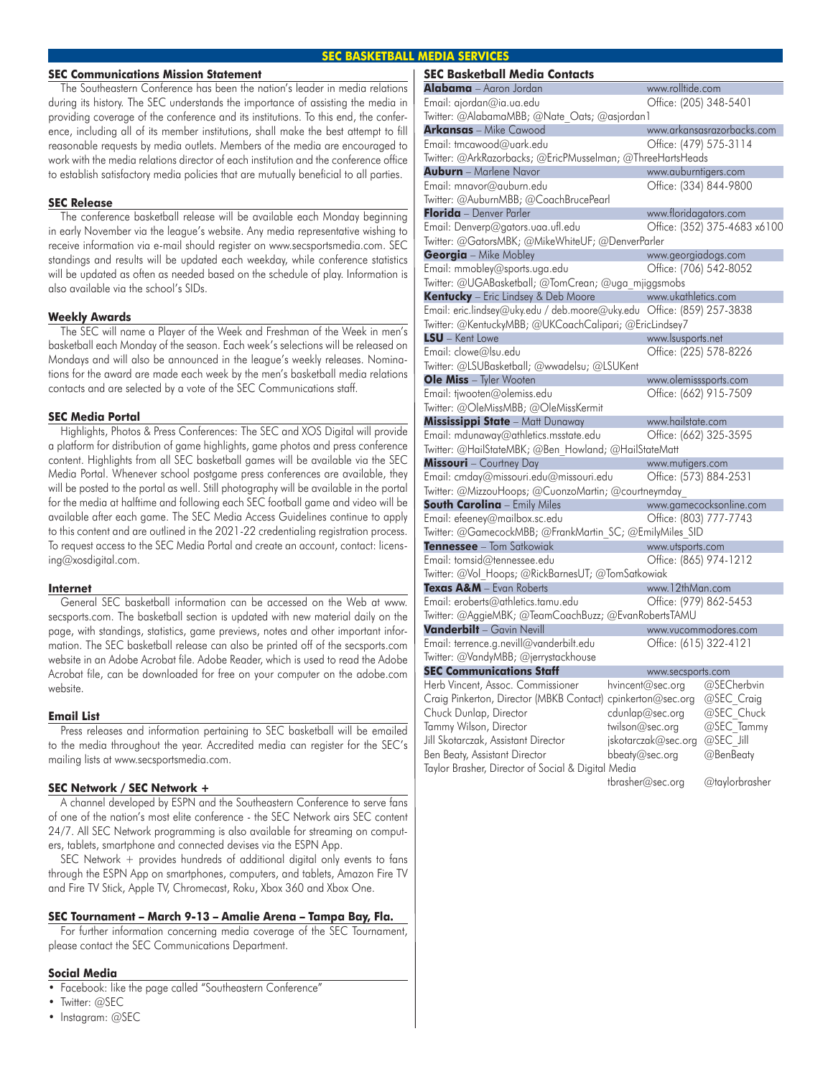#### **SEC BASKETBALL MEDIA SERVICES**

#### **SEC Communications Mission Statement**

 The Southeastern Conference has been the nation's leader in media relations during its history. The SEC understands the importance of assisting the media in providing coverage of the conference and its institutions. To this end, the conference, including all of its member institutions, shall make the best attempt to fill reasonable requests by media outlets. Members of the media are encouraged to work with the media relations director of each institution and the conference office to establish satisfactory media policies that are mutually beneficial to all parties.

#### **SEC Release**

 The conference basketball release will be available each Monday beginning in early November via the league's website. Any media representative wishing to receive information via e-mail should register on www.secsportsmedia.com. SEC standings and results will be updated each weekday, while conference statistics will be updated as often as needed based on the schedule of play. Information is also available via the school's SIDs.

#### **Weekly Awards**

 The SEC will name a Player of the Week and Freshman of the Week in men's basketball each Monday of the season. Each week's selections will be released on Mondays and will also be announced in the league's weekly releases. Nominations for the award are made each week by the men's basketball media relations contacts and are selected by a vote of the SEC Communications staff.

#### **SEC Media Portal**

 Highlights, Photos & Press Conferences: The SEC and XOS Digital will provide a platform for distribution of game highlights, game photos and press conference content. Highlights from all SEC basketball games will be available via the SEC Media Portal. Whenever school postgame press conferences are available, they will be posted to the portal as well. Still photography will be available in the portal for the media at halftime and following each SEC football game and video will be available after each game. The SEC Media Access Guidelines continue to apply to this content and are outlined in the 2021-22 credentialing registration process. To request access to the SEC Media Portal and create an account, contact: licensing@xosdigital.com.

#### **Internet**

 General SEC basketball information can be accessed on the Web at www. secsports.com. The basketball section is updated with new material daily on the page, with standings, statistics, game previews, notes and other important information. The SEC basketball release can also be printed off of the secsports.com website in an Adobe Acrobat file. Adobe Reader, which is used to read the Adobe Acrobat file, can be downloaded for free on your computer on the adobe.com website.

#### **Email List**

Press releases and information pertaining to SEC basketball will be emailed to the media throughout the year. Accredited media can register for the SEC's mailing lists at www.secsportsmedia.com.

#### **SEC Network / SEC Network +**

A channel developed by ESPN and the Southeastern Conference to serve fans of one of the nation's most elite conference - the SEC Network airs SEC content 24/7. All SEC Network programming is also available for streaming on computers, tablets, smartphone and connected devises via the ESPN App.

SEC Network + provides hundreds of additional digital only events to fans through the ESPN App on smartphones, computers, and tablets, Amazon Fire TV and Fire TV Stick, Apple TV, Chromecast, Roku, Xbox 360 and Xbox One.

#### **SEC Tournament – March 9-13 – Amalie Arena – Tampa Bay, Fla.**

For further information concerning media coverage of the SEC Tournament, please contact the SEC Communications Department.

#### **Social Media**

- Facebook: like the page called "Southeastern Conference"
- Twitter: @SEC
- Instagram: @SEC

| SEC Basketball Media Contacts                               |                        |                              |
|-------------------------------------------------------------|------------------------|------------------------------|
| <b>Alabama</b> – Aaron Jordan                               | www.rolltide.com       |                              |
| Email: ajordan@ia.ua.edu                                    | Office: (205) 348-5401 |                              |
| Twitter: @AlabamaMBB; @Nate_Oats; @asjordan1                |                        |                              |
| <b>Arkansas</b> - Mike Cawood                               |                        | www.arkansasrazorbacks.com   |
| Email: tmcawood@uark.edu                                    | Office: (479) 575-3114 |                              |
| Twitter: @ArkRazorbacks; @EricPMusselman; @ThreeHartsHeads  |                        |                              |
| <b>Auburn</b> – Marlene Navor                               | www.auburntigers.com   |                              |
| Email: mnavor@auburn.edu                                    | Office: (334) 844-9800 |                              |
| Twitter: @AuburnMBB; @CoachBrucePearl                       |                        |                              |
| <b>Florida</b> - Denver Parler                              | www.floridagators.com  |                              |
| Email: Denverp@gators.uaa.ufl.edu                           |                        | Office: (352) 375-4683 x6100 |
| Twitter: @GatorsMBK; @MikeWhiteUF; @DenverParler            |                        |                              |
| <b>Georgia</b> - Mike Mobley                                | www.georgiadogs.com    |                              |
| Email: mmobley@sports.uga.edu                               | Office: (706) 542-8052 |                              |
| Twitter: @UGABasketball; @TomCrean; @uga mjiggsmobs         |                        |                              |
| <b>Kentucky</b> – Eric Lindsey & Deb Moore                  | www.ukathletics.com    |                              |
| Email: eric.lindsey@uky.edu / deb.moore@uky.edu             | Office: (859) 257-3838 |                              |
| Twitter: @KentuckyMBB; @UKCoachCalipari; @EricLindsey7      |                        |                              |
| <b>LSU</b> - Kent Lowe                                      | www.lsusports.net      |                              |
| Email: clowe@lsu.edu                                        | Office: (225) 578-8226 |                              |
| Twitter: @LSUBasketball; @wwadelsu; @LSUKent                |                        |                              |
| <b>Ole Miss</b> - Tyler Wooten                              | www.olemisssports.com  |                              |
| Email: tjwooten@olemiss.edu                                 | Office: (662) 915-7509 |                              |
| Twitter: @OleMissMBB; @OleMissKermit                        |                        |                              |
| <b>Mississippi State</b> - Matt Dunaway                     | www.hailstate.com      |                              |
| Email: mdunaway@athletics.msstate.edu                       | Office: (662) 325-3595 |                              |
| Twitter: @HailStateMBK; @Ben Howland; @HailStateMatt        |                        |                              |
| Missouri - Courtney Day                                     | www.mutigers.com       |                              |
| Email: cmday@missouri.edu@missouri.edu                      | Office: (573) 884-2531 |                              |
| Twitter: @MizzouHoops; @CuonzoMartin; @courtneymday         |                        |                              |
| <b>South Carolina</b> - Emily Miles                         |                        | www.gamecocksonline.com      |
| Email: efeeney@mailbox.sc.edu                               | Office: (803) 777-7743 |                              |
| Twitter: @GamecockMBB; @FrankMartin_SC; @EmilyMiles_SID     |                        |                              |
| Tennessee - Tom Satkowiak                                   | www.utsports.com       |                              |
| Email: tomsid@tennessee.edu                                 | Office: (865) 974-1212 |                              |
| Twitter: @Vol Hoops; @RickBarnesUT; @TomSatkowiak           |                        |                              |
| Texas A&M - Evan Roberts                                    | www.12thMan.com        |                              |
| Email: eroberts@athletics.tamu.edu                          | Office: (979) 862-5453 |                              |
| Twitter: @AggieMBK; @TeamCoachBuzz; @EvanRobertsTAMU        |                        |                              |
| Vanderbilt - Gavin Nevill                                   |                        | www.vucommodores.com         |
| Email: terrence.g.nevill@vanderbilt.edu                     | Office: (615) 322-4121 |                              |
| Twitter: @VandyMBB; @jerrystackhouse                        |                        |                              |
| <b>SEC Communications Staff</b>                             | www.secsports.com      |                              |
| Herb Vincent, Assoc. Commissioner                           | hvincent@sec.org       | @SECherbvin                  |
| Craig Pinkerton, Director (MBKB Contact) cpinkerton@sec.org |                        | @SEC Craig                   |
| Chuck Dunlap, Director                                      | cdunlap@sec.org        | @SEC Chuck                   |
| Tammy Wilson, Director                                      | twilson@sec.org        | @SEC Tammy                   |
| Jill Skotarczak, Assistant Director                         | jskotarczak@sec.org    | @SEC Jill                    |
| Ben Beaty, Assistant Director                               | bbeaty@sec.org         | @BenBeaty                    |
| Taylor Brasher, Director of Social & Digital Media          |                        |                              |
|                                                             | tbrasher@sec.ora       | @tavlorbrasher               |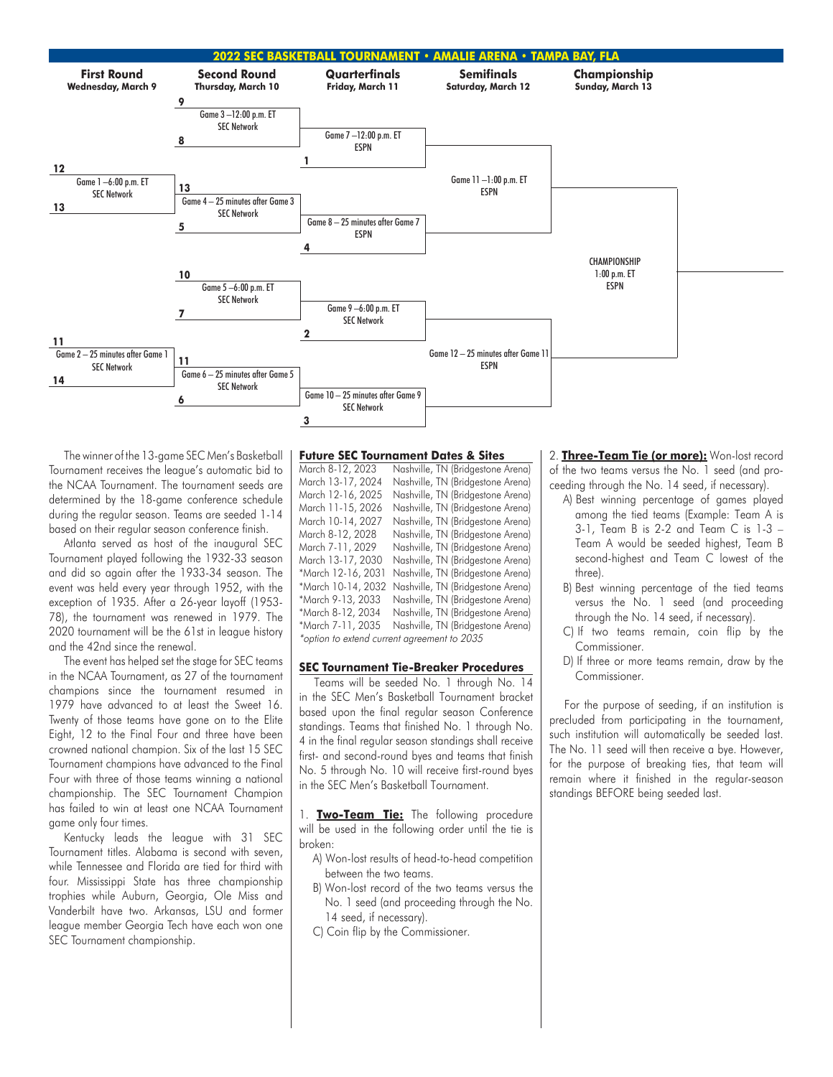

 The winner of the 13-game SEC Men's Basketball Tournament receives the league's automatic bid to the NCAA Tournament. The tournament seeds are determined by the 18-game conference schedule during the regular season. Teams are seeded 1-14 based on their regular season conference finish.

 Atlanta served as host of the inaugural SEC Tournament played following the 1932-33 season and did so again after the 1933-34 season. The event was held every year through 1952, with the exception of 1935. After a 26-year layoff (1953- 78), the tournament was renewed in 1979. The 2020 tournament will be the 61st in league history and the 42nd since the renewal.

 The event has helped set the stage for SEC teams in the NCAA Tournament, as 27 of the tournament champions since the tournament resumed in 1979 have advanced to at least the Sweet 16. Twenty of those teams have gone on to the Elite Eight, 12 to the Final Four and three have been crowned national champion. Six of the last 15 SEC Tournament champions have advanced to the Final Four with three of those teams winning a national championship. The SEC Tournament Champion has failed to win at least one NCAA Tournament game only four times.

 Kentucky leads the league with 31 SEC Tournament titles. Alabama is second with seven, while Tennessee and Florida are tied for third with four. Mississippi State has three championship trophies while Auburn, Georgia, Ole Miss and Vanderbilt have two. Arkansas, LSU and former league member Georgia Tech have each won one SEC Tournament championship.

#### **Future SEC Tournament Dates & Sites**

March 8-12, 2023 Nashville, TN (Bridgestone Arena)<br>March 13-17, 2024 Nashville, TN (Bridgestone Arena) Nashville, TN (Bridgestone Arena) March 12-16, 2025 Nashville, TN (Bridgestone Arena)<br>March 11-15, 2026 Nashville, TN (Bridgestone Arena) Nashville, TN (Bridgestone Arena) March 10-14, 2027 Nashville, TN (Bridgestone Arena) March 8-12, 2028 Nashville, TN (Bridgestone Arena)<br>March 7-11, 2029 Nashville, TN (Bridgestone Arena) March 7-11, 2029 Nashville, TN (Bridgestone Arena)<br>March 13-17, 2030 Nashville, TN (Bridgestone Arena) Nashville, TN (Bridgestone Arena) \*March 12-16, 2031 Nashville, TN (Bridgestone Arena) \*March 10-14, 2032 Nashville, TN (Bridgestone Arena) \*March 9-13, 2033 Nashville, TN (Bridgestone Arena) \*March 8-12, 2034 Nashville, TN (Bridgestone Arena) \*March 7-11, 2035 Nashville, TN (Bridgestone Arena) \*option to extend current agreement to 2035

#### **SEC Tournament Tie-Breaker Procedures**

 Teams will be seeded No. 1 through No. 14 in the SEC Men's Basketball Tournament bracket based upon the final regular season Conference standings. Teams that finished No. 1 through No. 4 in the final regular season standings shall receive first- and second-round byes and teams that finish No. 5 through No. 10 will receive first-round byes in the SEC Men's Basketball Tournament.

1. **Two-Team Tie:** The following procedure will be used in the following order until the tie is broken:

- A) Won-lost results of head-to-head competition between the two teams.
- B) Won-lost record of the two teams versus the No. 1 seed (and proceeding through the No. 14 seed, if necessary).
- C) Coin flip by the Commissioner.

2. **Three-Team Tie (or more):** Won-lost record of the two teams versus the No. 1 seed (and proceeding through the No. 14 seed, if necessary).

- A) Best winning percentage of games played among the tied teams (Example: Team A is 3-1, Team B is 2-2 and Team C is 1-3 – Team A would be seeded highest, Team B second-highest and Team C lowest of the three).
- B) Best winning percentage of the tied teams versus the No. 1 seed (and proceeding through the No. 14 seed, if necessary).
- C) If two teams remain, coin flip by the Commissioner.
- D) If three or more teams remain, draw by the Commissioner.

 For the purpose of seeding, if an institution is precluded from participating in the tournament, such institution will automatically be seeded last. The No. 11 seed will then receive a bye. However, for the purpose of breaking ties, that team will remain where it finished in the regular-season standings BEFORE being seeded last.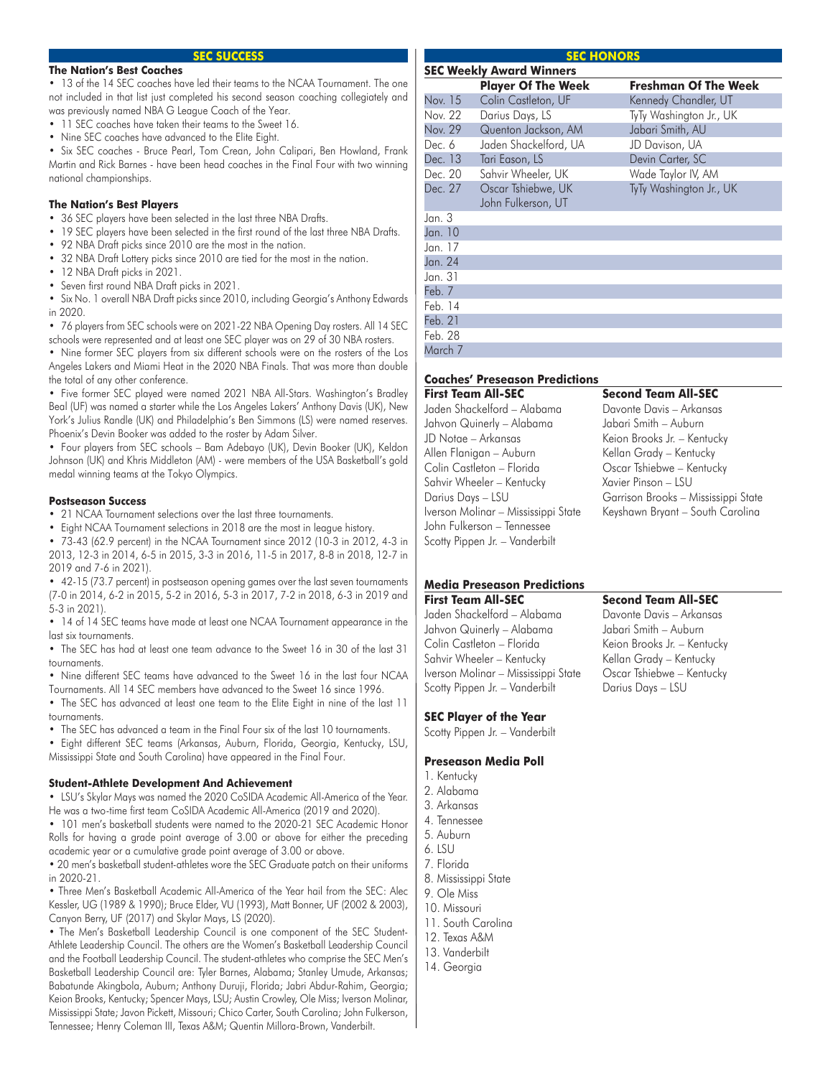#### **SEC SUCCESS**

#### **The Nation's Best Coaches**

• 13 of the 14 SEC coaches have led their teams to the NCAA Tournament. The one not included in that list just completed his second season coaching collegiately and was previously named NBA G League Coach of the Year.

• 11 SEC coaches have taken their teams to the Sweet 16.

• Nine SEC coaches have advanced to the Elite Eight.

• Six SEC coaches - Bruce Pearl, Tom Crean, John Calipari, Ben Howland, Frank Martin and Rick Barnes - have been head coaches in the Final Four with two winning national championships.

#### **The Nation's Best Players**

- 36 SEC players have been selected in the last three NBA Drafts.
- 19 SEC players have been selected in the first round of the last three NBA Drafts.
- 92 NBA Draft picks since 2010 are the most in the nation.
- 32 NBA Draft Lottery picks since 2010 are tied for the most in the nation.
- 12 NBA Draft picks in 2021.
- Seven first round NBA Draft picks in 2021.

• Six No. 1 overall NBA Draft picks since 2010, including Georgia's Anthony Edwards in 2020.

• 76 players from SEC schools were on 2021-22 NBA Opening Day rosters. All 14 SEC schools were represented and at least one SEC player was on 29 of 30 NBA rosters.

• Nine former SEC players from six different schools were on the rosters of the Los Angeles Lakers and Miami Heat in the 2020 NBA Finals. That was more than double the total of any other conference.

• Five former SEC played were named 2021 NBA All-Stars. Washington's Bradley Beal (UF) was named a starter while the Los Angeles Lakers' Anthony Davis (UK), New York's Julius Randle (UK) and Philadelphia's Ben Simmons (LS) were named reserves. Phoenix's Devin Booker was added to the roster by Adam Silver.

• Four players from SEC schools – Bam Adebayo (UK), Devin Booker (UK), Keldon Johnson (UK) and Khris Middleton (AM) - were members of the USA Basketball's gold medal winning teams at the Tokyo Olympics.

#### **Postseason Success**

- 21 NCAA Tournament selections over the last three tournaments.
- Eight NCAA Tournament selections in 2018 are the most in league history.

• 73-43 (62.9 percent) in the NCAA Tournament since 2012 (10-3 in 2012, 4-3 in 2013, 12-3 in 2014, 6-5 in 2015, 3-3 in 2016, 11-5 in 2017, 8-8 in 2018, 12-7 in 2019 and 7-6 in 2021).

• 42-15 (73.7 percent) in postseason opening games over the last seven tournaments (7-0 in 2014, 6-2 in 2015, 5-2 in 2016, 5-3 in 2017, 7-2 in 2018, 6-3 in 2019 and 5-3 in 2021).

• 14 of 14 SEC teams have made at least one NCAA Tournament appearance in the last six tournaments.

• The SEC has had at least one team advance to the Sweet 16 in 30 of the last 31 tournaments.

• Nine different SEC teams have advanced to the Sweet 16 in the last four NCAA Tournaments. All 14 SEC members have advanced to the Sweet 16 since 1996.

• The SEC has advanced at least one team to the Elite Eight in nine of the last 11 tournaments.

• The SEC has advanced a team in the Final Four six of the last 10 tournaments.

• Eight different SEC teams (Arkansas, Auburn, Florida, Georgia, Kentucky, LSU, Mississippi State and South Carolina) have appeared in the Final Four.

#### **Student-Athlete Development And Achievement**

• LSU's Skylar Mays was named the 2020 CoSIDA Academic All-America of the Year. He was a two-time first team CoSIDA Academic All-America (2019 and 2020).

• 101 men's basketball students were named to the 2020-21 SEC Academic Honor Rolls for having a grade point average of 3.00 or above for either the preceding academic year or a cumulative grade point average of 3.00 or above.

• 20 men's basketball student-athletes wore the SEC Graduate patch on their uniforms in 2020-21.

• Three Men's Basketball Academic All-America of the Year hail from the SEC: Alec Kessler, UG (1989 & 1990); Bruce Elder, VU (1993), Matt Bonner, UF (2002 & 2003), Canyon Berry, UF (2017) and Skylar Mays, LS (2020).

• The Men's Basketball Leadership Council is one component of the SEC Student-Athlete Leadership Council. The others are the Women's Basketball Leadership Council and the Football Leadership Council. The student-athletes who comprise the SEC Men's Basketball Leadership Council are: Tyler Barnes, Alabama; Stanley Umude, Arkansas; Babatunde Akingbola, Auburn; Anthony Duruji, Florida; Jabri Abdur-Rahim, Georgia; Keion Brooks, Kentucky; Spencer Mays, LSU; Austin Crowley, Ole Miss; Iverson Molinar, Mississippi State; Javon Pickett, Missouri; Chico Carter, South Carolina; John Fulkerson, Tennessee; Henry Coleman III, Texas A&M; Quentin Millora-Brown, Vanderbilt.

#### **SEC HONORS**

|         | <b>SEC Weekly Award Winners</b> |                             |
|---------|---------------------------------|-----------------------------|
|         | <b>Player Of The Week</b>       | <b>Freshman Of The Week</b> |
| Nov. 15 | Colin Castleton, UF             | Kennedy Chandler, UT        |
| Nov. 22 | Darius Days, LS                 | TyTy Washington Jr., UK     |
| Nov. 29 | Quenton Jackson, AM             | Jabari Smith, AU            |
| Dec. 6  | Jaden Shackelford, UA           | JD Davison, UA              |
| Dec. 13 | Tari Eason, LS                  | Devin Carter, SC            |
| Dec. 20 | Sahvir Wheeler, UK              | Wade Taylor IV, AM          |
| Dec. 27 | Oscar Tshiebwe, UK              | TyTy Washington Jr., UK     |
|         | John Fulkerson, UT              |                             |
| Jan. 3  |                                 |                             |
| Jan. 10 |                                 |                             |
| Jan. 17 |                                 |                             |
| Jan. 24 |                                 |                             |
| Jan. 31 |                                 |                             |
| Feb. 7  |                                 |                             |
| Feb. 14 |                                 |                             |
| Feb. 21 |                                 |                             |
| Feb. 28 |                                 |                             |
| March 7 |                                 |                             |

#### **Coaches' Preseason Predictions**

Jaden Shackelford – Alabama Davonte Davis – Arkansas Jahvon Quinerly – Alabama Jabari Smith – Auburn JD Notae – Arkansas Keion Brooks Jr. – Kentucky Allen Flanigan – Auburn Kellan Grady – Kentucky Colin Castleton – Florida Oscar Tshiebwe – Kentucky Sahvir Wheeler – Kentucky Xavier Pinson – LSU John Fulkerson – Tennessee Scotty Pippen Jr. – Vanderbilt

#### **First Team All-SEC Second Team All-SEC**

Garrison Brooks – Mississippi State Iverson Molinar – Mississippi State Keyshawn Bryant – South Carolina

## **Media Preseason Predictions**

**First Team All-SEC** Second Team All-SEC Jaden Shackelford – Alabama Davonte Davis – Arkansas Jahvon Quinerly – Alabama Jabari Smith – Auburn Colin Castleton – Florida Keion Brooks Jr. – Kentucky Sahvir Wheeler – Kentucky Kellan Grady – Kentucky Iverson Molinar – Mississippi State Oscar Tshiebwe – Kentucky Scotty Pippen Jr. - Vanderbilt Darius Days - LSU

#### **SEC Player of the Year**

Scotty Pippen Jr. – Vanderbilt

#### **Preseason Media Poll**

- 1. Kentucky
- 2. Alabama
- 3. Arkansas
- 4. Tennessee
- 5. Auburn 6. LSU
- 
- 7. Florida
- 8. Mississippi State
- 9. Ole Miss
- 10. Missouri
- 11. South Carolina 12. Texas A&M
- 13. Vanderbilt
- 14. Georgia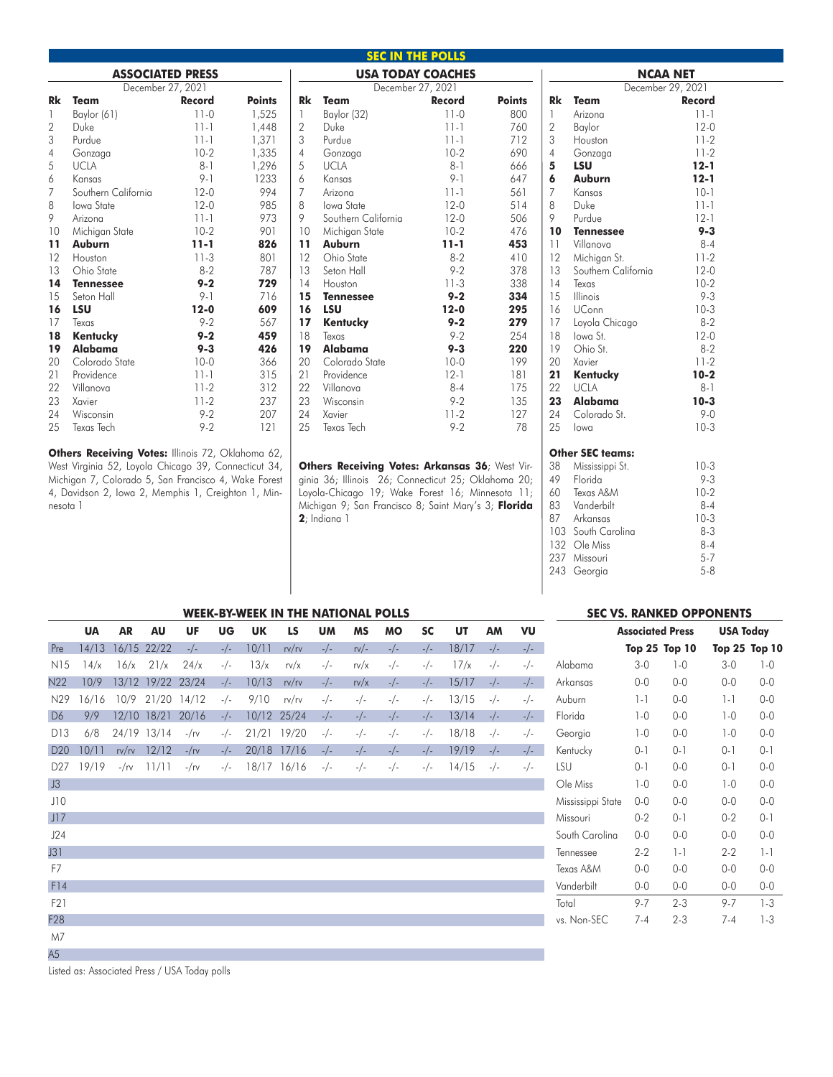| <b>ASSOCIATED PRESS</b> |                     |          |               |  |  |  |  |  |
|-------------------------|---------------------|----------|---------------|--|--|--|--|--|
| December 27, 2021       |                     |          |               |  |  |  |  |  |
| Rk                      | Team                | Record   | <b>Points</b> |  |  |  |  |  |
| 1                       | Baylor (61)         | $11-0$   | 1,525         |  |  |  |  |  |
| $\overline{2}$          | Duke                | 11-1     | 1,448         |  |  |  |  |  |
| 3                       | Purdue              | 11-1     | 1,371         |  |  |  |  |  |
| $\overline{4}$          | Gonzaga             | $10-2$   | 1,335         |  |  |  |  |  |
| 5                       | <b>UCLA</b>         | $8 - 1$  | 1,296         |  |  |  |  |  |
| 6                       | Kansas              | $9 - 1$  | 1233          |  |  |  |  |  |
| $\overline{7}$          | Southern California | $12-0$   | 994           |  |  |  |  |  |
| 8                       | Iowa State          | $12-0$   | 985           |  |  |  |  |  |
| 9                       | Arizona             | $11 - 1$ | 973           |  |  |  |  |  |
| 10                      | Michigan State      | $10-2$   | 901           |  |  |  |  |  |
| 11                      | Auburn              | $11 - 1$ | 826           |  |  |  |  |  |
| 12                      | Houston             | $11-3$   | 801           |  |  |  |  |  |
| 13                      | Ohio State          | $8-2$    | 787           |  |  |  |  |  |
| 14                      | <b>Tennessee</b>    | $9 - 2$  | 729           |  |  |  |  |  |
| 15                      | Seton Hall          | $9 - 1$  | 716           |  |  |  |  |  |
| 16                      | LSU                 | $12 - 0$ | 609           |  |  |  |  |  |
| 17                      | Texas               | $9 - 2$  | 567           |  |  |  |  |  |
| 18                      | Kentucky            | $9 - 2$  | 459           |  |  |  |  |  |
| 19                      | Alabama             | $9 - 3$  | 426           |  |  |  |  |  |
| 20                      | Colorado State      | $10-0$   | 366           |  |  |  |  |  |
| 21                      | Providence          | 11-1     | 315           |  |  |  |  |  |
| 22                      | Villanova           | $11-2$   | 312           |  |  |  |  |  |
| 23                      | Xavier              | 11-2     | 237           |  |  |  |  |  |
| 24                      | Wisconsin           | $9 - 2$  | 207           |  |  |  |  |  |
| 25                      | <b>Texas Tech</b>   | $9 - 2$  | 121           |  |  |  |  |  |

**Others Receiving Votes: Illinois 72, Oklahoma 62,** West Virginia 52, Loyola Chicago 39, Connecticut 34, Michigan 7, Colorado 5, San Francisco 4, Wake Forest 4, Davidson 2, Iowa 2, Memphis 1, Creighton 1, Minnesota 1

**SEC IN THE POLLS**

|                |                                                      | <b>USA TODAY COACHES</b> | <b>NCAA NET</b> |                   |                         |               |  |
|----------------|------------------------------------------------------|--------------------------|-----------------|-------------------|-------------------------|---------------|--|
|                | December 27, 2021                                    |                          |                 | December 29, 2021 |                         |               |  |
| <b>Rk</b>      | <b>Team</b>                                          | <b>Record</b>            | <b>Points</b>   | <b>Rk</b>         | <b>Team</b>             | <b>Record</b> |  |
| 1              | Baylor (32)                                          | $11-0$                   | 800             | 1                 | Arizona                 | $11 - 1$      |  |
| $\overline{2}$ | Duke                                                 | $11 - 1$                 | 760             | $\overline{2}$    | Baylor                  | $12-0$        |  |
| 3              | Purdue                                               | $11 - 1$                 | 712             | 3                 | Houston                 | $11-2$        |  |
| $\overline{4}$ | Gonzaga                                              | $10-2$                   | 690             | $\overline{4}$    | Gonzaga                 | $11-2$        |  |
| 5              | <b>UCLA</b>                                          | $8 - 1$                  | 666             | 5                 | <b>LSU</b>              | $12 - 1$      |  |
| 6              | Kansas                                               | $9 - 1$                  | 647             | 6                 | Auburn                  | $12 - 1$      |  |
| 7              | Arizona                                              | $11 - 1$                 | 561             | 7                 | Kansas                  | $10 - 1$      |  |
| 8              | <b>lowa State</b>                                    | $12-0$                   | 514             | 8                 | Duke                    | $11 - 1$      |  |
| 9              | Southern California                                  | $12-0$                   | 506             | 9                 | Purdue                  | $12 - 1$      |  |
| 10             | Michigan State                                       | $10-2$                   | 476             | 10                | <b>Tennessee</b>        | $9 - 3$       |  |
| 11             | <b>Auburn</b>                                        | $11 - 1$                 | 453             | 11                | Villanova               | $8 - 4$       |  |
| 12             | Ohio State                                           | $8 - 2$                  | 410             | 12                | Michigan St.            | $11-2$        |  |
| 13             | Seton Hall                                           | $9 - 2$                  | 378             | 13                | Southern California     | $12-0$        |  |
| 14             | Houston                                              | $11-3$                   | 338             | 14                | Texas                   | $10-2$        |  |
| 15             | <b>Tennessee</b>                                     | $9 - 2$                  | 334             | 15                | <b>Illinois</b>         | $9 - 3$       |  |
| 16             | <b>LSU</b>                                           | $12 - 0$                 | 295             | 16                | <b>UConn</b>            | $10-3$        |  |
| 17             | Kentucky                                             | $9 - 2$                  | 279             | 17                | Loyola Chicago          | $8 - 2$       |  |
| 18             | Texas                                                | $9 - 2$                  | 254             | 18                | lowa St.                | $12-0$        |  |
| 19             | Alabama                                              | $9 - 3$                  | 220             | 19                | Ohio St.                | $8 - 2$       |  |
| 20             | Colorado State                                       | $10-0$                   | 199             | 20                | Xavier                  | $11 - 2$      |  |
| 21             | Providence                                           | $12 - 1$                 | 181             | 21                | Kentucky                | $10 - 2$      |  |
| 22             | Villanova                                            | $8 - 4$                  | 175             | 22                | <b>UCLA</b>             | $8 - 1$       |  |
| 23             | Wisconsin                                            | $9 - 2$                  | 135             | 23                | <b>Alabama</b>          | $10-3$        |  |
| 24             | Xavier                                               | $11-2$                   | 127             | 24                | Colorado St.            | $9 - 0$       |  |
| 25             | Texas Tech                                           | $9 - 2$                  | 78              | 25                | lowa                    | $10-3$        |  |
|                |                                                      |                          |                 |                   | <b>Other SEC teams:</b> |               |  |
|                | Others Receiving Votes: Arkansas 36; West Vir-       |                          |                 | 38                | Mississippi St.         | $10-3$        |  |
|                | ginia 36; Illinois 26; Connecticut 25; Oklahoma 20;  |                          |                 | 49                | Florida                 | $9 - 3$       |  |
|                | Loyola-Chicago 19; Wake Forest 16; Minnesota 11;     |                          |                 | 60                | Texas A&M               | $10-2$        |  |
|                | Michigan 9; San Francisco 8; Saint Mary's 3; Florida |                          |                 | 83                | Vanderbilt              | $8 - 4$       |  |
|                | $2$ ; Indiana 1                                      |                          |                 | 87                | Arkansas                | $10-3$        |  |
|                |                                                      |                          |                 |                   | 103 South Carolina      | $8 - 3$       |  |
|                |                                                      |                          |                 |                   | 132 Ole Miss            | $8 - 4$       |  |
|                |                                                      |                          |                 |                   | $0.27 \pm 0.1$          | $-7$          |  |

237 Missouri 5-7

| 243 Georgia | 5-8 |
|-------------|-----|
|             |     |

| <b>WEEK-BY-WEEK IN THE NATIONAL POLLS</b> |           |               |                   |         |       |           |             |           |               |           |       |       |       |       |
|-------------------------------------------|-----------|---------------|-------------------|---------|-------|-----------|-------------|-----------|---------------|-----------|-------|-------|-------|-------|
|                                           | <b>UA</b> | <b>AR</b>     | <b>AU</b>         | UF      | UG    | <b>UK</b> | <b>LS</b>   | <b>UM</b> | <b>MS</b>     | <b>MO</b> | SC    | UT    | AM    | VU    |
| Pre                                       | 14/13     | 16/15         | 22/22             | $-/-$   | $-/-$ | 10/11     | rv/rv       | $-/-$     | $\frac{N}{2}$ | $-/-$     | $-/-$ | 18/17 | $-/-$ | $-/-$ |
| N15                                       | 14/x      | 16/x          | 21/x              | 24/x    | $-/-$ | 13/x      | rv/x        | $-/-$     | rv/x          | $-/-$     | $-/-$ | 17/x  | $-/-$ | $-/-$ |
| N22                                       | 10/9      |               | 13/12 19/22 23/24 |         | $-/-$ | 10/13     | rv/rv       | $-/-$     | $\frac{1}{x}$ | $-/-$     | $-/-$ | 15/17 | $-/-$ | $-/-$ |
| N29                                       | 16/16     |               | 10/9 21/20        | 14/12   | $-/-$ | 9/10      | rv/rv       | $-/-$     | $-/-$         | $-/-$     | $-/-$ | 13/15 | $-/-$ | $-/-$ |
| D6                                        | 9/9       | 12/10         | 18/21             | 20/16   | $-/-$ | 10/12     | 25/24       | $-/-$     | $-/-$         | $-/-$     | $-/-$ | 13/14 | $-/-$ | $-/-$ |
| D <sub>13</sub>                           | 6/8       |               | 24/19 13/14       | $-/\nu$ | $-/-$ | 21/21     | 19/20       | $-/-$     | $-/-$         | $-/-$     | $-/-$ | 18/18 | $-/-$ | $-/-$ |
| D <sub>20</sub>                           | 10/11     | $\frac{N}{N}$ | 12/12             | $-/\nu$ | $-/-$ |           | 20/18 17/16 | $-/-$     | $-/-$         | $-/-$     | $-/-$ | 19/19 | $-/-$ | $-/-$ |
| D <sub>27</sub>                           | 19/19     | $-/\nu$       | 11/11             | $-/\nu$ | $-/-$ |           | 18/17 16/16 | $-/-$     | $-/-$         | $-/-$     | $-/-$ | 14/15 | $-/-$ | $-/-$ |
| J3                                        |           |               |                   |         |       |           |             |           |               |           |       |       |       |       |
| J10                                       |           |               |                   |         |       |           |             |           |               |           |       |       |       |       |
| J17                                       |           |               |                   |         |       |           |             |           |               |           |       |       |       |       |
| J24                                       |           |               |                   |         |       |           |             |           |               |           |       |       |       |       |
| J31                                       |           |               |                   |         |       |           |             |           |               |           |       |       |       |       |
| F7                                        |           |               |                   |         |       |           |             |           |               |           |       |       |       |       |
| F14                                       |           |               |                   |         |       |           |             |           |               |           |       |       |       |       |
| F <sub>2</sub> 1                          |           |               |                   |         |       |           |             |           |               |           |       |       |       |       |
| F <sub>28</sub>                           |           |               |                   |         |       |           |             |           |               |           |       |       |       |       |
| M7                                        |           |               |                   |         |       |           |             |           |               |           |       |       |       |       |
| A <sub>5</sub>                            |           |               |                   |         |       |           |             |           |               |           |       |       |       |       |

## **SEC VS. RANKED OPPONENTS Associated Press USA Today**

|                   | ASSULIUITU FITSS |                      | <b>UJA IUUUY</b> |         |  |  |
|-------------------|------------------|----------------------|------------------|---------|--|--|
|                   |                  | <b>Top 25 Top 10</b> | Top 25 Top 10    |         |  |  |
| Alabama           | $3-0$            | 1-0                  | $3-0$            | $1 - 0$ |  |  |
| Arkansas          | 0-0              | $0 - 0$              | 0-0              | $0-0$   |  |  |
| Auburn            | 1-1              | $0 - 0$              | $1 - 1$          | $0 - 0$ |  |  |
| Florida           | 1-0              | $0 - 0$              | 1-0              | $0-0$   |  |  |
| Georgia           | 1-0              | 0-0                  | $1 - 0$          | $0 - 0$ |  |  |
| Kentucky          | 0-1              | $0 - 1$              | $0 - 1$          | $0 - 1$ |  |  |
| lsu               | 0-1              | 0-0                  | 0-1              | $0-0$   |  |  |
| Ole Miss          | 1-0              | $0 - 0$              | $1 - 0$          | $0-0$   |  |  |
| Mississippi State | 0-0              | $0 - 0$              | $0 - 0$          | $0 - 0$ |  |  |
| Missouri          | $0 - 2$          | $0 - 1$              | $0 - 2$          | $0 - 1$ |  |  |
| South Carolina    | $0 - 0$          | 0-0                  | $0 - 0$          | $0 - 0$ |  |  |
| Tennessee         | 2-2              | $1 - 1$              | $2 - 2$          | $1 - 1$ |  |  |
| Texas A&M         | $0 - 0$          | 0-0                  | $0 - 0$          | $0 - 0$ |  |  |
| Vanderbilt        | $0 - 0$          | 0-0                  | $0 - 0$          | $0-0$   |  |  |
| Total             | 9-7              | 2-3                  | $9 - 7$          | $1-3$   |  |  |
| vs. Non-SEC       | 7-4              | 2-3                  | $7 - 4$          | 1-3     |  |  |

Listed as: Associated Press / USA Today polls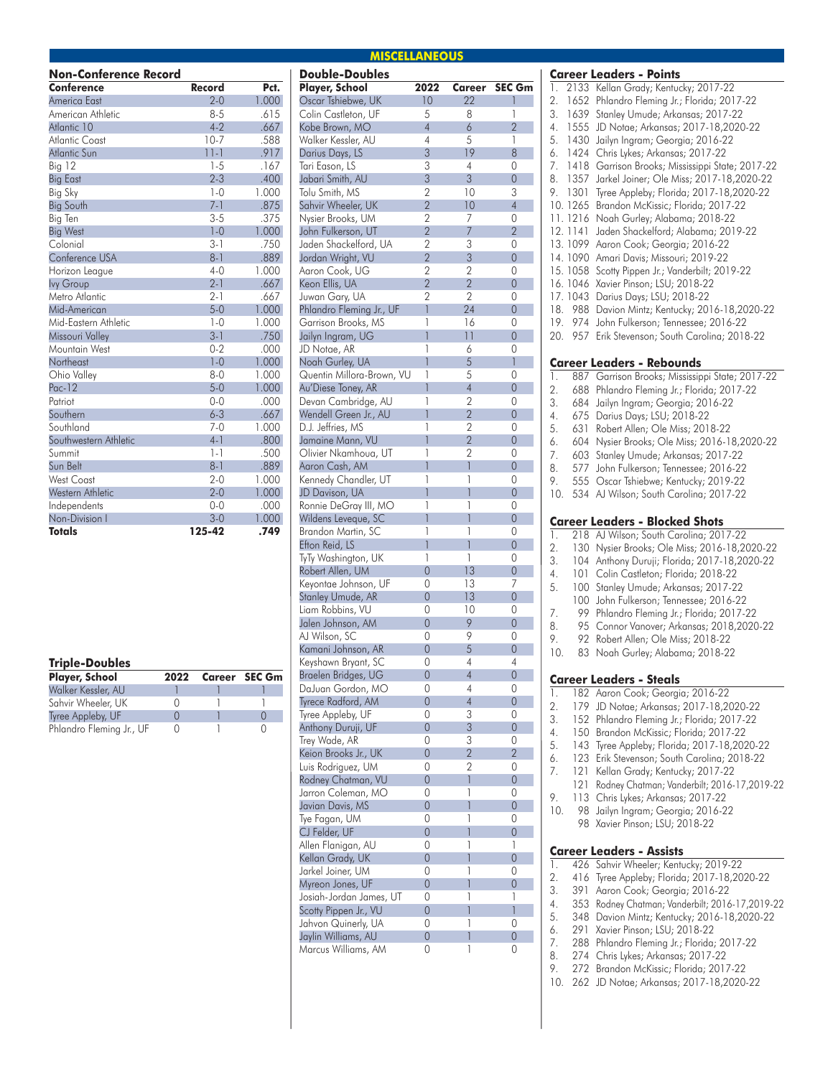| <b>Non-Conference Record</b> |          |       |
|------------------------------|----------|-------|
| Conference                   | Record   | Pct.  |
| America East                 | $2 - 0$  | 1.000 |
| American Athletic            | $8 - 5$  | .615  |
| Atlantic 10                  | $4 - 2$  | .667  |
| Atlantic Coast               | $10-7$   | .588  |
| Atlantic Sun                 | $11 - 1$ | .917  |
| $Big$ 12                     | $1 - 5$  | .167  |
| <b>Big East</b>              | $2 - 3$  | .400  |
| Big Sky                      | $1 - 0$  | 1.000 |
| <b>Big South</b>             | $7 - 1$  | .875  |
| Big Ten                      | $3 - 5$  | .375  |
| <b>Big West</b>              | $1 - 0$  | 1.000 |
| Colonial                     | $3 - 1$  | .750  |
| Conference USA               | $8 - 1$  | .889  |
| Horizon League               | $4 - 0$  | 1.000 |
| lvy Group                    | $2 - 1$  | .667  |
| Metro Atlantic               | $2 - 1$  | .667  |
| Mid-American                 | $5 - 0$  | 1.000 |
| Mid-Eastern Athletic         | $1 - 0$  | 1.000 |
| Missouri Valley              | $3 - 1$  | .750  |
| Mountain West                | $0 - 2$  | .000  |
| Northeast                    | $1 - 0$  | 1.000 |
| Ohio Valley                  | $8 - 0$  | 1.000 |
| Pac-12                       | $5 - 0$  | 1.000 |
| Patriot                      | $0 - 0$  | .000  |
| Southern                     | $6 - 3$  | .667  |
| Southland                    | $7 - 0$  | 1.000 |
| Southwestern Athletic        | $4 - 1$  | .800  |
| Summit                       | $1 - 1$  | .500  |
| Sun Belt                     | $8 - 1$  | .889  |
| <b>West Coast</b>            | $2 - 0$  | 1.000 |
| Western Athletic             | $2 - 0$  | 1.000 |
| Independents                 | $0 - 0$  | .000  |
| Non-Division I               | $3 - 0$  | 1.000 |
| <b>Totals</b>                | 125-42   | .749  |

| <b>Triple-Doubles</b>    |      |  |               |  |  |  |  |  |
|--------------------------|------|--|---------------|--|--|--|--|--|
| Player, School           | 2022 |  | Career SEC Gm |  |  |  |  |  |
| Walker Kessler, AU       |      |  |               |  |  |  |  |  |
| Sahvir Wheeler, UK       |      |  |               |  |  |  |  |  |
| Tyree Appleby, UF        |      |  |               |  |  |  |  |  |
| Phlandro Fleming Jr., UF |      |  |               |  |  |  |  |  |

## **Double-Doubles MISCELLANEOUS**

| ~~~~~~<br>Player, School  | 2022                | Career         | <b>SEC Gm</b>  |
|---------------------------|---------------------|----------------|----------------|
| Oscar Tshiebwe, UK        | 10                  | 22             | 1              |
| Colin Castleton, UF       | 5                   | 8              | 1              |
| Kobe Brown, MO            | $\overline{4}$      | 6              | $\overline{2}$ |
| Walker Kessler, AU        | 4                   | 5              | 1              |
| Darius Days, LS           | 3                   | 19             | 8              |
| Tari Eason, LS            | 3                   | 4              | 0              |
| Jabari Smith, AU          | 3                   | 3              | $\overline{0}$ |
| Tolu Smith, MS            | 2                   | 10             | 3              |
| Sahvir Wheeler, UK        | $\overline{2}$      | 10             | $\overline{4}$ |
| Nysier Brooks, UM         | $\overline{2}$      | 7              | 0              |
| John Fulkerson, UT        | $\overline{2}$      | 7              | $\overline{2}$ |
| Jaden Shackelford, UA     | $\overline{2}$      | 3              | 0              |
| Jordan Wright, VU         | $\overline{2}$      | 3              | $\overline{0}$ |
| Aaron Cook, UG            | $\overline{2}$      | 2              | 0              |
| Keon Ellis, UA            | $\overline{2}$      | $\overline{2}$ | 0              |
| Juwan Gary, UA            | 2                   | 2              | 0              |
| Phlandro Fleming Jr., UF  | 1                   | 24             | $\overline{0}$ |
| Garrison Brooks, MS       | 1                   | 16             | 0              |
| Jailyn Ingram, UG         | 1                   | 11             | 0              |
| JD Notae, AR              | 1                   | 6              | 0              |
| Noah Gurley, UA           | 1                   | 5              | 1              |
| Quentin Millora-Brown, VU | 1                   | 5              | 0              |
| Au'Diese Toney, AR        | 1                   | $\overline{4}$ | $\overline{0}$ |
| Devan Cambridge, AU       | 1                   | 2              | 0              |
| Wendell Green Jr., AU     | 1                   | $\overline{2}$ | 0              |
| D.J. Jeffries, MS         | 1                   | 2              | 0              |
| Jamaine Mann, VU          |                     | $\overline{2}$ | $\overline{0}$ |
| Olivier Nkamhoua, UT      | 1                   | 2              | 0              |
| Aaron Cash, AM            | 1                   | 1              | 0              |
| Kennedy Chandler, UT      | 1                   | 1              | 0              |
| JD Davison, UA            | 1                   | 1              | 0              |
| Ronnie DeGray III, MO     | 1                   | 1              | 0              |
| Wildens Leveque, SC       | 1                   | 1              | $\overline{0}$ |
| Brandon Martin, SC        | 1                   | 1              | 0              |
| Efton Reid, LS            | 1                   | 1              | 0              |
| TyTy Washington, UK       | 1                   | 1              | 0              |
| Robert Allen, UM          | $\overline{0}$      | 13             | $\overline{0}$ |
| Keyontae Johnson, UF      | 0                   | 13             | 7              |
| Stanley Umude, AR         | 0                   | 13             | 0              |
| Liam Robbins, VU          | 0                   | 10             | 0              |
| Jalen Johnson, AM         | $\overline{0}$      | 9              | 0              |
| AJ Wilson, SC             | 0                   | 9              | 0              |
| Kamani Johnson, AR        | $\overline{0}$      | 5              | 0              |
| Keyshawn Bryant, SC       | 0                   | 4              | 4              |
|                           | $\overline{0}$      | 4              | $\overline{0}$ |
| Braelen Bridges, UG       |                     |                |                |
| DaJuan Gordon, MO         | 0                   | 4<br>4         | 0<br>0         |
| Tyrece Radford, AM        | 0                   |                |                |
| Tyree Appleby, UF         | 0                   | 3              | 0              |
| Anthony Duruji, UF        | 0                   | 3              | 0              |
| Trey Wade, AR             | 0                   | 3              | 0              |
| Keion Brooks Jr., UK      | 0                   | $\overline{2}$ | $\overline{2}$ |
| Luis Rodriguez, UM        | 0                   | 2              | 0              |
| Rodney Chatman, VU        | $\overline{0}$      | 1              | 0              |
| Jarron Coleman, MO        | 0                   | 1              | 0              |
| Javian Davis, MS          | 0                   | 1              | 0              |
| Tye Fagan, UM             | 0                   | 1              | 0              |
| CJ Felder, UF             | $\overline{0}$      | 1              | $\overline{0}$ |
| Allen Flanigan, AU        | 0                   | 1              | 1              |
| Kellan Grady, UK          | 0                   | 1              | 0              |
| Jarkel Joiner, UM         | 0                   | 1              | 0              |
| Myreon Jones, UF          | 0                   | 1              | 0              |
| Josiah-Jordan James, UT   | 0                   | 1              | 1              |
| Scotty Pippen Jr., VU     | $\overline{0}$      | 1              | 1              |
| Jahvon Quinerly, UA       | 0                   | 1              | 0              |
| Jaylin Williams, AU       | $\mathsf{O}\xspace$ | 1              | 0              |
| Marcus Williams, AM       | 0                   | 1              | 0              |

#### **Career Leaders - Points** 1. 2133 Kellan Grady; Kentucky; 2017-22 2. 1652 Phlandro Fleming Jr.; Florida; 2017-22 3. 1639 Stanley Umude; Arkansas; 2017-22 4. 1555 JD Notae; Arkansas; 2017-18,2020-22 5. 1430 Jailyn Ingram; Georgia; 2016-22 6. 1424 Chris Lykes; Arkansas; 2017-22 7. 1418 Garrison Brooks; Mississippi State; 2017-22 8. 1357 Jarkel Joiner; Ole Miss; 2017-18,2020-22 9. 1301 Tyree Appleby; Florida; 2017-18,2020-22 10.1265 Brandon McKissic; Florida; 2017-22 11.1216 Noah Gurley; Alabama; 2018-22 12.1141 Jaden Shackelford; Alabama; 2019-22 13.1099 Aaron Cook; Georgia; 2016-22 14.1090 Amari Davis; Missouri; 2019-22 15.1058 Scotty Pippen Jr.; Vanderbilt; 2019-22 16.1046 Xavier Pinson; LSU; 2018-22 17.1043 Darius Days; LSU; 2018-22 18. 988 Davion Mintz; Kentucky; 2016-18,2020-22 19. 974 John Fulkerson; Tennessee; 2016-22 20. 957 Erik Stevenson; South Carolina; 2018-22 **Career Leaders - Rebounds** 1. 887 Garrison Brooks; Mississippi State; 2017-22 2. 688 Phlandro Fleming Jr.; Florida; 2017-22 3. 684 Jailyn Ingram; Georgia; 2016-22 4. 675 Darius Days; LSU; 2018-22 5. 631 Robert Allen; Ole Miss; 2018-22 6. 604 Nysier Brooks; Ole Miss; 2016-18,2020-22 7. 603 Stanley Umude; Arkansas; 2017-22 8. 577 John Fulkerson; Tennessee; 2016-22 9. 555 Oscar Tshiebwe; Kentucky; 2019-22 10. 534 AJ Wilson; South Carolina; 2017-22 **Career Leaders - Blocked Shots** 1. 218 AJ Wilson; South Carolina; 2017-22 2. 130 Nysier Brooks; Ole Miss; 2016-18,2020-22 3. 104 Anthony Duruji; Florida; 2017-18,2020-22 4. 101 Colin Castleton; Florida; 2018-22 5. 100 Stanley Umude; Arkansas; 2017-22 100 John Fulkerson; Tennessee; 2016-22<br>7. 99 Phlandro Flemina Jr.: Florida: 2017-2 99 Phlandro Fleming Jr.; Florida; 2017-22 8. 95 Connor Vanover; Arkansas; 2018,2020-22 9. 92 Robert Allen; Ole Miss; 2018-22 10. 83 Noah Gurley; Alabama; 2018-22 **Career Leaders - Steals** 1. 182 Aaron Cook; Georgia; 2016-22 2. 179 JD Notae; Arkansas; 2017-18,2020-22 3. 152 Phlandro Fleming Jr.; Florida; 2017-22 4. 150 Brandon McKissic; Florida; 2017-22 5. 143 Tyree Appleby; Florida; 2017-18,2020-22 6. 123 Erik Stevenson; South Carolina; 2018-22 7. 121 Kellan Grady; Kentucky; 2017-22 121 Rodney Chatman; Vanderbilt; 2016-17,2019-22 9. 113 Chris Lykes; Arkansas; 2017-22 10. 98 Jailyn Ingram; Georgia; 2016-22 98 Xavier Pinson; LSU; 2018-22 **Career Leaders - Assists** 1. 426 Sahvir Wheeler; Kentucky; 2019-22 2. 416 Tyree Appleby; Florida; 2017-18,2020-22 3. 391 Aaron Cook; Georgia; 2016-22 4. 353 Rodney Chatman; Vanderbilt; 2016-17,2019-22 5. 348 Davion Mintz; Kentucky; 2016-18,2020-22 6. 291 Xavier Pinson; LSU; 2018-22 7. 288 Phlandro Fleming Jr.; Florida; 2017-22<br>8. 274 Chris Lykes: Arkansas: 2017-22 274 Chris Lykes; Arkansas; 2017-22 9. 272 Brandon McKissic; Florida; 2017-22

10. 262 JD Notae; Arkansas; 2017-18,2020-22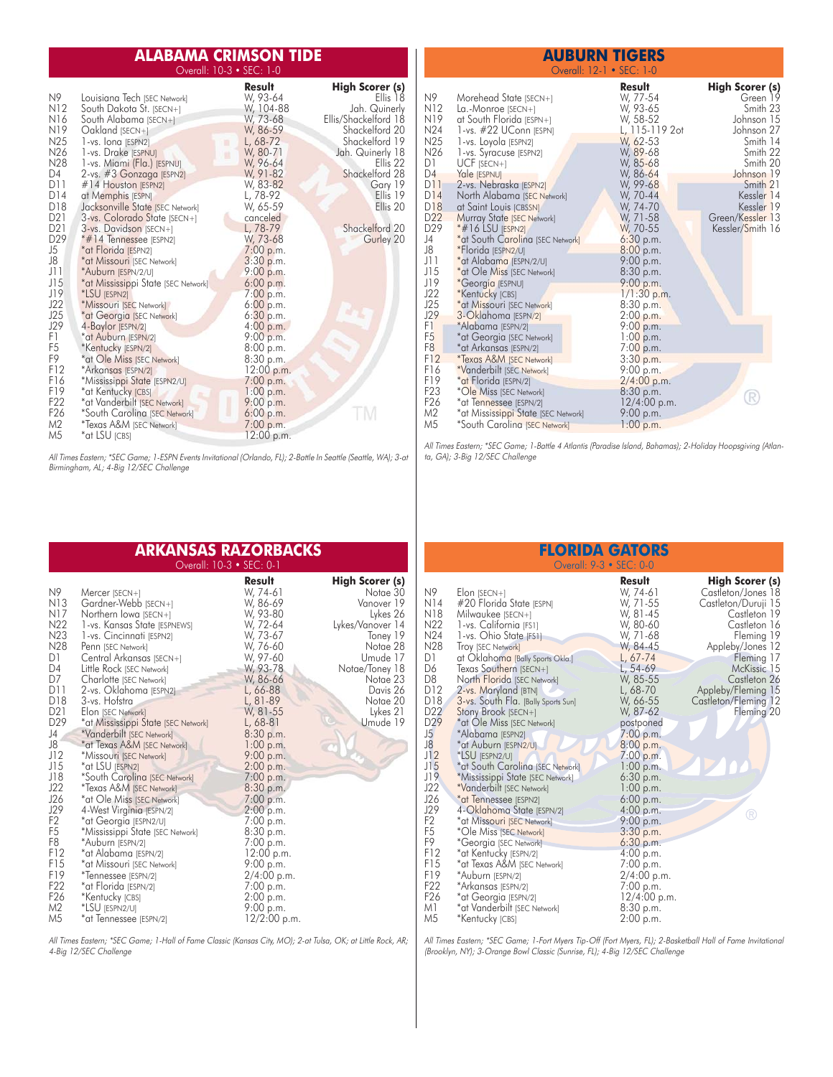#### **ALABAMA CRIMSON TIDE** Overall: 10-3 • SEC: 1-0

| N9               | Louisiana Tech [SEC Network]                              | Result<br>W, 93-64      | <b>High Scorer (s)</b><br>Ellis 18 |
|------------------|-----------------------------------------------------------|-------------------------|------------------------------------|
| N <sub>12</sub>  | South Dakota St. [SECN+]                                  | W, 104-88               | Jah. Quinerly                      |
| N <sub>16</sub>  | South Alabama [SECN+]                                     | W, 73-68                | Ellis/Shackelford 18               |
| N19              | Oakland $[SECN+]$                                         | W, 86-59                | Shackelford 20                     |
| N <sub>25</sub>  | 1-vs. long [ESPN2]<br>π                                   | L, 68-72                | Shackelford 19                     |
| N26              | 1-vs. Drake [ESPNU]                                       | W, 80-71                | Jah. Quinerly 18                   |
| N28              | 뾰<br>1-vs. Miami (Fla.) [ESPNU]                           | W, 96-64                | Ellis 22                           |
| D4               | 2-vs. #3 Gonzaga [ESPN2]                                  | W. 91-82                | Shackelford 28                     |
| D11              | #14 Houston [ESPN2]                                       | W, 83-82                | Gary 19                            |
| D14              | at Memphis [ESPN]                                         | L, 78-92                | Ellis 19                           |
| D18              | Jacksonville State [SEC Network]                          | W, 65-59                | Ellis <sub>20</sub>                |
| D <sub>2</sub> 1 | 3-vs. Colorado State [SECN+]                              | canceled                |                                    |
| D <sub>2</sub> 1 | 3-vs. Davidson [SECN+]                                    | L, 78-79                | Shackelford 20                     |
| D <sub>29</sub>  | *#14 Tennessee [ESPN2]                                    | W, 73-68                | Gurley 20                          |
| J5               | *at Florida [ESPN2]                                       | 7:00 p.m.               |                                    |
| J8               | *at Missouri [SEC Network]                                | 3:30 p.m.               |                                    |
| JI 1             | *Auburn [ESPN/2/U]                                        | 9:00 p.m.               |                                    |
| J15              | *at Mississippi State [SEC Network]                       | 6:00 p.m.               |                                    |
| J19              | *LSU [ESPN2]                                              | 7:00 p.m.               |                                    |
| J22              | *Missouri [SEC Network]                                   | 6:00 p.m.               |                                    |
| J25              | *at Georgia [SEC Network]                                 | 6:30 p.m.               |                                    |
| J29              | 4-Baylor [ESPN/2]                                         | 4:00 p.m.               |                                    |
| F1               | *at Auburn [ESPN/2]                                       | 9:00 p.m.               |                                    |
| F <sub>5</sub>   | *Kentucky [ESPN/2]                                        | 8:00 p.m.               |                                    |
| F9               | *at Ole Miss [SEC Network]                                | 8:30 p.m.               |                                    |
| F12              | *Arkansas [ESPN/2]                                        | 12:00 p.m.              |                                    |
| F16              |                                                           | $7:00$ p.m.             |                                    |
| F19              | *Mississippi State [ESPN2/U]<br>*at Kentucky [CBS]        | 1:00 p.m.               |                                    |
| F <sub>22</sub>  | *at Vanderbilt [SEC Network]                              | 9:00 p.m.               |                                    |
| F <sub>26</sub>  |                                                           |                         |                                    |
| M <sub>2</sub>   | *South Carolina [SEC Network]<br>*Texas A&M [SEC Network] | 6:00 p.m.               |                                    |
| M5               | *at LSU [CBS]                                             | 7:00 p.m.<br>12:00 p.m. |                                    |
|                  |                                                           |                         |                                    |

All Times Eastern; \*SEC Game; 1-ESPN Events Invitational (Orlando, FL); 2-Battle In Seattle (Seattle, WA); 3-at Birmingham, AL; 4-Big 12/SEC Challenge

| <b>ARKANSAS RAZORBACKS</b> |                                            |  |  |  |
|----------------------------|--------------------------------------------|--|--|--|
|                            | Overall: $10-3 \cdot \text{SFC} \cdot 0-1$ |  |  |  |

|                  |                                     | Result        | <b>High Scorer (s)</b> |
|------------------|-------------------------------------|---------------|------------------------|
| N9               | Mercer $[SECN+]$                    | W, 74-61      | Notae 30               |
| N13              | Gardner-Webb [SECN+]                | W, 86-69      | Vanover 19             |
| N17              | Northern lowa $[SECN+]$             | W, 93-80      | Lykes 26               |
| N22              | 1-vs. Kansas State [ESPNEWS]        | W, 72-64      | Lykes/Vanover 14       |
| N23              | 1-vs. Cincinnati [ESPN2]            | W, 73-67      | Toney 19               |
| N28              | Penn [SEC Network]                  | W, 76-60      | Notae 28               |
| D1               | Central Arkansas [SECN+]            | W, 97-60      | Umude 17               |
| D4               | Little Rock [SEC Network]           | W, 93-78      | Notae/Toney 18         |
| D7               | Charlotte [SEC Network]             | W, 86-66      | Notae 23               |
| D11              | 2-vs. Oklahoma [ESPN2]              | L, 66-88      | Davis 26               |
| D18              | 3-vs. Hofstra                       | L, 81-89      | Notae 20               |
| D <sub>2</sub> 1 | Elon [SEC Network]                  | W, 81-55      | Lykes 21               |
| D <sub>29</sub>  | *at Mississippi State [SEC Network] | L, 68-81      | Umude 19               |
| J4               | *Vanderbilt [SEC Network]           | 8:30 p.m.     |                        |
| J8               | *at Texas A&M [SEC Network]         | 1:00 p.m.     |                        |
| J12              | *Missouri [SEC Network]             | 9:00 p.m.     |                        |
| J15              | *at LSU [ESPN2]                     | 2:00 p.m.     |                        |
| J18              | *South Carolina [SEC Network]       | 7:00 p.m.     |                        |
| J22              | *Texas A&M [SEC Network]            | 8:30 p.m.     |                        |
| J26              | *at Ole Miss [SEC Network]          | 7:00 p.m.     |                        |
| J29              | 4-West Virginia [ESPN/2]            | 2:00 p.m.     |                        |
| F <sub>2</sub>   | *at Georgia [ESPN2/U]               | 7:00 p.m.     |                        |
| F <sub>5</sub>   | *Mississippi State [SEC Network]    | 8:30 p.m.     |                        |
| F8               | *Auburn [ESPN/2]                    | 7:00 p.m.     |                        |
| F12              | *at Alabama [ESPN/2]                | 12:00 p.m.    |                        |
| F15              | *at Missouri [SEC Network]          | 9:00 p.m.     |                        |
| F19              | *Tennessee [ESPN/2]                 | $2/4:00$ p.m. |                        |
| F <sub>22</sub>  | *at Florida [ESPN/2]                | 7:00 p.m.     |                        |
| F <sub>26</sub>  | *Kentucky [CBS]                     | 2:00 p.m.     |                        |
| M2               | *LSU [ESPN2/U]                      | 9:00 p.m.     |                        |
| M5               | *at Tennessee [ESPN/2]              | 12/2:00 p.m.  |                        |

All Times Eastern; \*SEC Game; 1-Hall of Fame Classic (Kansas City, MO); 2-at Tulsa, OK; at Little Rock, AR; 4-Big 12/SEC Challenge

|                                    |                                                                                                          | AUBURN TIGERS                                  |                                                              |
|------------------------------------|----------------------------------------------------------------------------------------------------------|------------------------------------------------|--------------------------------------------------------------|
|                                    |                                                                                                          | Overall: 12-1 • SEC: 1-0                       |                                                              |
| N9.<br>N12<br>N19                  | Morehead State [SECN+]<br>$La.-Monroe$ $[SECN+]$<br>at South Florida [ESPN+]                             | Result<br>W, 77-54<br>W, 93-65<br>W, 58-52     | <b>High Scorer (s)</b><br>Green 19<br>Smith 23<br>Johnson 15 |
| N24                                | 1-vs. #22 UConn [ESPN]                                                                                   | L, 115-119 2ot                                 | Johnson 27                                                   |
| N25                                | 1-vs. Loyola [ESPN2]                                                                                     | W, 62-53                                       | Smith 14                                                     |
| N26                                | 1-vs. Syracuse [ESPN2]                                                                                   | W, 89-68                                       | Smith 22                                                     |
| D1                                 | $UCF$ [SECN+]                                                                                            | W, 85-68                                       | Smith 20                                                     |
| D4                                 | Yale [ESPNU]                                                                                             | W, 86-64                                       | Johnson 19                                                   |
| D11                                | 2-vs. Nebraska [ESPN2]                                                                                   | W, 99-68                                       | Smith 21                                                     |
| D14                                | North Alabama [SEC Network]                                                                              | W, 70-44                                       | Kessler 14                                                   |
| D18                                | at Saint Louis [CBSSN]                                                                                   | W. 74-70                                       | Kessler 19                                                   |
| D <sub>22</sub><br>D29<br>J4<br>J8 | Murray State [SEC Network]<br>*#16 LSU [ESPN2]<br>*at South Carolina [SEC Network]<br>*Florida [ESPN2/U] | W, 71-58<br>W, 70-55<br>6:30 p.m.<br>8:00 p.m. | Green/Kessler 13<br>Kessler/Smith 16                         |
| J1 1                               | *at Alabama [ESPN/2/U]                                                                                   | 9:00 p.m.                                      |                                                              |
| J15                                | *at Ole Miss [SEC Network]                                                                               | 8:30 p.m.                                      |                                                              |
| J19                                | <i><b>*Georgia</b></i> [ESPNU]                                                                           | 9:00 p.m.                                      |                                                              |
| J22                                | *Kentucky [CBS]                                                                                          | $1/1:30$ p.m.                                  |                                                              |
| J25                                | *at Missouri [SEC Network]                                                                               | 8:30 p.m.                                      |                                                              |
| J29                                | 3-Oklahoma [ESPN/2]                                                                                      | 2:00 p.m.                                      |                                                              |
| F1                                 | *Alabama [ESPN/2]                                                                                        | 9:00 p.m.                                      |                                                              |
| F5                                 | *at Georgia [SEC Network]                                                                                | 1:00 p.m.                                      |                                                              |
| F <sub>8</sub>                     | *at Arkansas [ESPN/2]                                                                                    | 7:00 p.m.                                      |                                                              |
| F12                                | *Texas A&M [SEC Network]                                                                                 | 3:30 p.m.                                      |                                                              |
| F16                                | *Vanderbilt [SEC Network]                                                                                | 9:00 p.m.                                      |                                                              |
| F19                                | *at Florida [ESPN/2]                                                                                     | $2/4:00$ p.m.                                  |                                                              |
| F23                                | *Ole Miss [SEC Network]                                                                                  | 8:30 p.m.                                      |                                                              |
| F26                                | *at Tennessee [ESPN/2]                                                                                   | 12/4:00 p.m.                                   |                                                              |
| M2                                 | *at Mississippi State [SEC Network]                                                                      | 9:00 p.m.                                      |                                                              |
| M5                                 | *South Carolina [SEC Network]                                                                            | 1:00 p.m.                                      |                                                              |

All Times Eastern; \*SEC Game; 1-Battle 4 Atlantis (Paradise Island, Bahamas); 2-Holiday Hoopsgiving (Atlan-ta, GA); 3-Big 12/SEC Challenge

#### **FLORIDA GATORS** Overall: 9-3 • SEC: 0-0

|                                  | Result                                                                                                                                                                                                                                                                                                                                                                                                                                                                                                                                         | High Scorer (s)                                                                                                                                                                                                                                                                                                             |
|----------------------------------|------------------------------------------------------------------------------------------------------------------------------------------------------------------------------------------------------------------------------------------------------------------------------------------------------------------------------------------------------------------------------------------------------------------------------------------------------------------------------------------------------------------------------------------------|-----------------------------------------------------------------------------------------------------------------------------------------------------------------------------------------------------------------------------------------------------------------------------------------------------------------------------|
|                                  | W, 74-61                                                                                                                                                                                                                                                                                                                                                                                                                                                                                                                                       | Castleton/Jones 18                                                                                                                                                                                                                                                                                                          |
|                                  |                                                                                                                                                                                                                                                                                                                                                                                                                                                                                                                                                | Castleton/Duruji 15                                                                                                                                                                                                                                                                                                         |
|                                  |                                                                                                                                                                                                                                                                                                                                                                                                                                                                                                                                                | Castleton 19                                                                                                                                                                                                                                                                                                                |
|                                  |                                                                                                                                                                                                                                                                                                                                                                                                                                                                                                                                                | Castleton 16                                                                                                                                                                                                                                                                                                                |
|                                  |                                                                                                                                                                                                                                                                                                                                                                                                                                                                                                                                                | Fleming 19                                                                                                                                                                                                                                                                                                                  |
|                                  |                                                                                                                                                                                                                                                                                                                                                                                                                                                                                                                                                | Appleby/Jones 12                                                                                                                                                                                                                                                                                                            |
|                                  | L, 67-74                                                                                                                                                                                                                                                                                                                                                                                                                                                                                                                                       | Fleming 17                                                                                                                                                                                                                                                                                                                  |
|                                  |                                                                                                                                                                                                                                                                                                                                                                                                                                                                                                                                                | McKissic 15                                                                                                                                                                                                                                                                                                                 |
|                                  |                                                                                                                                                                                                                                                                                                                                                                                                                                                                                                                                                | Castleton 26                                                                                                                                                                                                                                                                                                                |
|                                  |                                                                                                                                                                                                                                                                                                                                                                                                                                                                                                                                                | Appleby/Fleming 15                                                                                                                                                                                                                                                                                                          |
|                                  |                                                                                                                                                                                                                                                                                                                                                                                                                                                                                                                                                | Castleton/Fleming 12                                                                                                                                                                                                                                                                                                        |
|                                  |                                                                                                                                                                                                                                                                                                                                                                                                                                                                                                                                                | Fleming 20                                                                                                                                                                                                                                                                                                                  |
|                                  |                                                                                                                                                                                                                                                                                                                                                                                                                                                                                                                                                |                                                                                                                                                                                                                                                                                                                             |
|                                  |                                                                                                                                                                                                                                                                                                                                                                                                                                                                                                                                                |                                                                                                                                                                                                                                                                                                                             |
|                                  |                                                                                                                                                                                                                                                                                                                                                                                                                                                                                                                                                |                                                                                                                                                                                                                                                                                                                             |
|                                  |                                                                                                                                                                                                                                                                                                                                                                                                                                                                                                                                                |                                                                                                                                                                                                                                                                                                                             |
|                                  |                                                                                                                                                                                                                                                                                                                                                                                                                                                                                                                                                |                                                                                                                                                                                                                                                                                                                             |
| *Mississippi State [SEC Network] |                                                                                                                                                                                                                                                                                                                                                                                                                                                                                                                                                |                                                                                                                                                                                                                                                                                                                             |
|                                  |                                                                                                                                                                                                                                                                                                                                                                                                                                                                                                                                                |                                                                                                                                                                                                                                                                                                                             |
|                                  |                                                                                                                                                                                                                                                                                                                                                                                                                                                                                                                                                |                                                                                                                                                                                                                                                                                                                             |
| 4-Oklahoma State [ESPN/2]        |                                                                                                                                                                                                                                                                                                                                                                                                                                                                                                                                                | R                                                                                                                                                                                                                                                                                                                           |
| *at Missouri [SEC Network]       |                                                                                                                                                                                                                                                                                                                                                                                                                                                                                                                                                |                                                                                                                                                                                                                                                                                                                             |
|                                  |                                                                                                                                                                                                                                                                                                                                                                                                                                                                                                                                                |                                                                                                                                                                                                                                                                                                                             |
| *Georgia [SEC Network]           |                                                                                                                                                                                                                                                                                                                                                                                                                                                                                                                                                |                                                                                                                                                                                                                                                                                                                             |
| *at Kentucky [ESPN/2]            | 4:00 p.m.                                                                                                                                                                                                                                                                                                                                                                                                                                                                                                                                      |                                                                                                                                                                                                                                                                                                                             |
| *at Texas A&M [SEC Network]      |                                                                                                                                                                                                                                                                                                                                                                                                                                                                                                                                                |                                                                                                                                                                                                                                                                                                                             |
| *Auburn [ESPN/2]                 |                                                                                                                                                                                                                                                                                                                                                                                                                                                                                                                                                |                                                                                                                                                                                                                                                                                                                             |
| *Arkansas [ESPN/2]               |                                                                                                                                                                                                                                                                                                                                                                                                                                                                                                                                                |                                                                                                                                                                                                                                                                                                                             |
| *at Georgia [ESPN/2]             | 12/4:00 p.m.                                                                                                                                                                                                                                                                                                                                                                                                                                                                                                                                   |                                                                                                                                                                                                                                                                                                                             |
| *at Vanderbilt [SEC Network]     | 8:30 p.m.                                                                                                                                                                                                                                                                                                                                                                                                                                                                                                                                      |                                                                                                                                                                                                                                                                                                                             |
| *Kentucky [CBS]                  | 2:00 p.m.                                                                                                                                                                                                                                                                                                                                                                                                                                                                                                                                      |                                                                                                                                                                                                                                                                                                                             |
|                                  | $E$ lon [SECN+]<br>#20 Florida State [ESPN]<br>Milwaukee [SECN+]<br>1-vs. California [FS1]<br>1-vs. Ohio State [FS1]<br>Troy [SEC Network]<br>at Oklahoma [Bally Sports Okla.]<br>Texas Southern [SECN+]<br>North Florida [SEC Network]<br>2-vs. Maryland [BTN]<br>3-vs. South Fla. [Bally Sports Sun]<br>Stony Brook [SECN+]<br>*at Ole Miss [SEC Network]<br>*Alabama [ESPN2]<br>*at Auburn [ESPN2/U]<br>*LSU [ESPN2/U]<br>*at South Carolina [SEC Network]<br>*Vanderbilt [SEC Network]<br>*at Tennessee [ESPN2]<br>*Ole Miss [SEC Network] | W, 71-55<br>W, 81-45<br>W, 80-60<br>W, 71-68<br>W, 84-45<br>L, 54-69<br>W, 85-55<br>L, 68-70<br>W, 66-55<br>W, 87-62<br>postponed<br>7:00 p.m.<br>8:00 p.m.<br>7:00 p.m.<br>1:00 p.m.<br>6:30 p.m.<br>1:00 p.m.<br>6:00 p.m.<br>4:00 p.m.<br>9:00 p.m.<br>3:30 p.m.<br>6:30 p.m.<br>7:00 p.m.<br>$2/4:00$ p.m.<br>7:00 p.m. |

All Times Eastern; \*SEC Game; 1-Fort Myers Tip-Off (Fort Myers, FL); 2-Basketball Hall of Fame Invitational (Brooklyn, NY); 3-Orange Bowl Classic (Sunrise, FL); 4-Big 12/SEC Challenge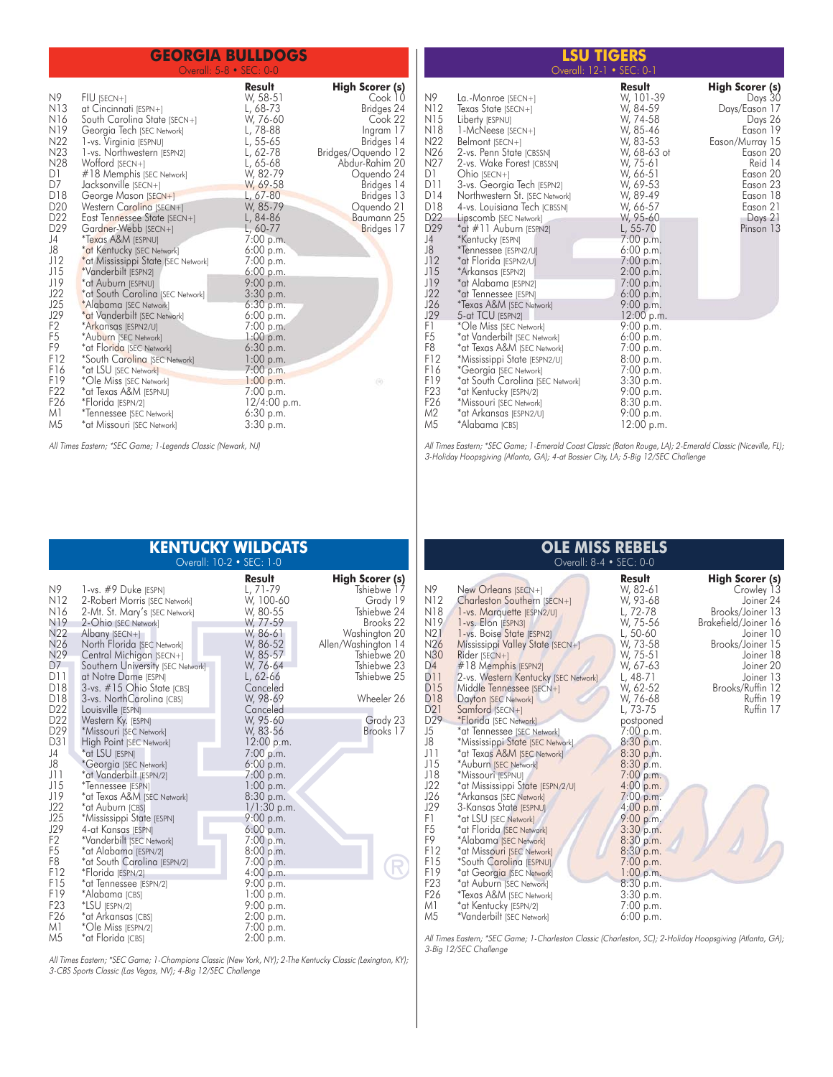#### **GEORGIA BULLDOGS**  $R \bullet S$

| N9               | $FIU$ [SECN+]                                            | <b>Result</b><br>W, 58-51 | High Scorer (s)<br>Cook 10 |
|------------------|----------------------------------------------------------|---------------------------|----------------------------|
| N13              | at Cincinnati [ESPN+]                                    | L, 68-73                  | Bridges 24                 |
| N16              | South Carolina State [SECN+]                             | W, 76-60                  | Cook 22                    |
| N19              | Georgia Tech [SEC Network]                               | L, 78-88                  | Ingram 17                  |
| N <sub>22</sub>  | 1-vs. Virginia [ESPNU]                                   | L, 55-65                  | Bridges 14                 |
| N <sub>2</sub> 3 | 1-vs. Northwestern [ESPN2]                               | L, 62-78                  | Bridges/Oquendo 12         |
| N28              | Wottord $[SECN+]$                                        | L, 65-68                  | Abdur-Rahim 20             |
| D1.              | #18 Memphis [SEC Network]                                | W, 82-79                  | Oquendo 24                 |
| D7<br>D18        | Jacksonville [SECN+]                                     | W, 69-58                  | Bridges 14                 |
| D <sub>20</sub>  | George Mason [SECN+]                                     | L, 67-80<br>W, 85-79      | Bridges 13                 |
| D <sub>22</sub>  | Western Carolina [SECN+]<br>East Tennessee State [SECN+] | L, 84-86                  | Oquendo 21<br>Baumann 25   |
| D <sub>29</sub>  | Gardner-Webb [SECN+]                                     | L, 60-77                  | Bridges 17                 |
| J4               | *Texas A&M [ESPNU]                                       | 7:00 p.m.                 |                            |
| J8               | *at Kentucky [SEC Network]                               | 6:00 p.m.                 |                            |
| J12              | *at Mississippi State [SEC Network]                      | 7:00 p.m.                 |                            |
| J15              | *Vanderbilt [ESPN2]                                      | 6:00 p.m.                 |                            |
| J19              | *at Auburn [ESPNU]                                       | 9:00 p.m.                 |                            |
| J22              | *at South Carolina [SEC Network]                         | 3:30 p.m.                 |                            |
| J25              | *Alabama [SEC Network]                                   | 6:30 p.m.                 |                            |
| J29              | *at Vanderbilt [SEC Network]                             | 6:00 p.m.                 |                            |
| F <sub>2</sub>   | *Arkansas [ESPN2/U]                                      | 7:00 p.m.                 |                            |
| F <sub>5</sub>   | *Auburn [SEC Network]                                    | 1:00 p.m.                 |                            |
| F9               | *at Florida [SEC Network]                                | 6:30 p.m.                 |                            |
| F12              | *South Carolina [SEC Network]                            | 1:00 p.m.                 |                            |
| F <sub>16</sub>  | *at LSU [SEC Network]                                    | 7:00 p.m.                 |                            |
| F19              | *Ole Miss [SEC Network]                                  | 1:00 p.m.                 | (1)                        |
| F <sub>22</sub>  | *at Texas A&M [ESPNU]                                    | 7:00 p.m.                 |                            |
| F <sub>26</sub>  | *Florida [ESPN/2]                                        | 12/4:00 p.m.              |                            |
| M1               | *Tennessee [SEC Network]                                 | 6:30 p.m.                 |                            |
| M5               | *at Missouri [SEC Network]                               | 3:30 p.m.                 |                            |

All Times Eastern; \*SEC Game; 1-Legends Classic (Newark, NJ)

| <b>KENTUCKY WILDCATS</b>   |  |
|----------------------------|--|
| Overall: $10-2$ • SEC: 1-0 |  |

L

|                 |                                   | Result      | <b>High Scorer (s)</b> |
|-----------------|-----------------------------------|-------------|------------------------|
| N9              | 1-vs. #9 Duke [ESPN]              | L, 71-79    | Tshiebwe 17            |
| N12             | 2-Robert Morris [SEC Network]     | W, 100-60   | Grady 19               |
| N16             | 2-Mt. St. Mary's [SEC Network]    | W, 80-55    | Tshiebwe 24            |
| N19             | 2-Ohio [SEC Network]              | W, 77-59    | Brooks 22              |
| N22             | Albany [SECN+]                    | W, 86-61    | Washington 20          |
| N <sub>26</sub> | North Florida [SEC Network]       | W, 86-52    | Allen/Washington 14    |
| N <sub>29</sub> | Central Michigan [SECN+]          | W, 85-57    | Tshiebwe 20            |
| D7              | Southern University [SEC Network] | W, 76-64    | Tshiebwe 23            |
| D <sub>11</sub> | at Notre Dame [ESPN]              | L, 62-66    | Tshiebwe 25            |
| D18             | 3-vs. #15 Ohio State [CBS]        | Canceled    |                        |
| D18             | 3-vs. NorthCarolina [CBS]         | W, 98-69    | Wheeler 26             |
| D <sub>22</sub> | Louisville [ESPN]                 | Canceled    |                        |
| D22             | Western Ky. [ESPN]                | W, 95-60    | Grady 23               |
| D <sub>29</sub> | *Missouri [SEC Network]           | W, 83-56    | Brooks 17              |
| D31             | High Point [SEC Network]          | 12:00 p.m.  |                        |
| J4              | *at LSU [ESPN]                    | 7:00 p.m.   |                        |
| J8              | *Georgia [SEC Network]            | 6:00 p.m.   |                        |
| J11             | *at Vanderbilt [ESPN/2]           | 7:00 p.m.   |                        |
| J15             | *Tennessee [ESPN]                 | 1:00 p.m.   |                        |
| J19             | *at Texas A&M [SEC Network]       | 8:30 p.m.   |                        |
| J22             | *at Auburn [CBS]                  | 1/1:30 p.m. |                        |
| J25             | *Mississippi State [ESPN]         | 9:00 p.m.   |                        |
| J29             | 4-at Kansas [ESPN]                | 6:00 p.m.   |                        |
| F <sub>2</sub>  | *Vanderbilt [SEC Network]         | 7:00 p.m.   |                        |
| F <sub>5</sub>  | *at Alabama [ESPN/2]              | 8:00 p.m.   |                        |
| F <sub>8</sub>  | *at South Carolina [ESPN/2]       | 7:00 p.m.   |                        |
| F12             | *Florida [ESPN/2]                 | 4:00 p.m.   |                        |
| F <sub>15</sub> | *at Tennessee [ESPN/2]            | 9:00 p.m.   |                        |
| F19             | *Alabama [CBS]                    | 1:00 p.m.   |                        |
| F <sub>23</sub> | *LSU [ESPN/2]                     | 9:00 p.m.   |                        |
| F <sub>26</sub> | *at Arkansas [CBS]                | 2:00 p.m.   |                        |
| M1              | *Ole Miss [ESPN/2]                | 7:00 p.m.   |                        |
| M5              | *at Florida [CBS]                 | 2:00 p.m.   |                        |

All Times Eastern; \*SEC Game; 1-Champions Classic (New York, NY); 2-The Kentucky Classic (Lexington, KY); 3-CBS Sports Classic (Las Vegas, NV); 4-Big 12/SEC Challenge

| Overall: 12-1 • SEC: 0-1                                                                                                                                                         |                                                                                                                                                                                                                                                                                                                                                                                                                                                                                                                                |                                                                                                                                                                                                                                                                                 |                                                                                                                                                                                      |
|----------------------------------------------------------------------------------------------------------------------------------------------------------------------------------|--------------------------------------------------------------------------------------------------------------------------------------------------------------------------------------------------------------------------------------------------------------------------------------------------------------------------------------------------------------------------------------------------------------------------------------------------------------------------------------------------------------------------------|---------------------------------------------------------------------------------------------------------------------------------------------------------------------------------------------------------------------------------------------------------------------------------|--------------------------------------------------------------------------------------------------------------------------------------------------------------------------------------|
| N9<br>N <sub>12</sub><br>N15<br>N18<br>N <sub>22</sub><br>N26<br>N27<br>D1.<br>D11<br>D14<br>D18<br>D <sub>22</sub><br>D29<br>J4<br>J8<br>J12<br>J15<br>J19<br>J22<br>J26<br>J29 | $La.-Monroe$ [SECN+]<br>Texas State [SECN+]<br>Liberty [ESPNU]<br>1-McNeese [SECN+]<br>Belmont [SECN+]<br>2-vs. Penn State [CBSSN]<br>2-vs. Wake Forest [CBSSN]<br>$Ohio$ [SECN+]<br>3-vs. Georgia Tech [ESPN2]<br>Northwestern St. [SEC Network]<br>4-vs. Louisiana Tech [CBSSN]<br>Lipscomb [SEC Network]<br>*at #11 Auburn [ESPN2]<br>*Kentucky [ESPN]<br>*Tennessee [ESPN2/U]<br>*at Florida [ESPN2/U]<br>*Arkansas [ESPN2]<br>*at Alabama [ESPN2]<br>*at Tennessee [ESPN]<br>*Texas A&M [SEC Network]<br>5-at TCU [ESPN2] | Result<br>W, 101-39<br>W, 84-59<br>W, 74-58<br>W, 85-46<br>W. 83-53<br>W, 68-63 of<br>W, 75-61<br>W, 66-51<br>W, 69-53<br>W, 89-49<br>W, 66-57<br>W, 95-60<br>L, 55-70<br>7:00 p.m.<br>6:00 p.m.<br>7:00 p.m.<br>2:00 p.m.<br>7:00 p.m.<br>6:00 p.m.<br>9:00 p.m.<br>12:00 p.m. | High Scorer (s)<br>Days 30<br>Days/Eason 17<br>Days 26<br>Eason 19<br>Eason/Murray 15<br>Eason 20<br>Reid 14<br>Eason 20<br>Eason 23<br>Eason 18<br>Eason 21<br>Days 21<br>Pinson 13 |
| F1<br>F <sub>5</sub><br>F <sub>8</sub><br>F12<br>F <sub>16</sub><br>F <sub>19</sub><br>F <sub>23</sub><br>F <sub>26</sub><br>M <sub>2</sub><br>M <sub>5</sub>                    | *Ole Miss [SEC Network]<br>*at Vanderbilt [SEC Network]<br>*at Texas A&M [SEC Network]<br>*Mississippi State [ESPN2/U]<br>*Georgia [SEC Network]<br>*at South Carolina [SEC Network]<br>*at Kentucky [ESPN/2]<br>*Missouri [SEC Network]<br>*at Arkansas [ESPN2/U]<br>*Alabama [CBS]                                                                                                                                                                                                                                           | 9:00 p.m.<br>6:00 p.m.<br>7:00 p.m.<br>8:00 p.m.<br>7:00 p.m.<br>3:30 p.m.<br>9:00 p.m.<br>8:30 p.m.<br>9:00 p.m.<br>12:00 p.m.                                                                                                                                                 |                                                                                                                                                                                      |

**LSU TIGERS**

All Times Eastern; \*SEC Game; 1-Emerald Coast Classic (Baton Rouge, LA); 2-Emerald Classic (Niceville, FL); 3-Holiday Hoopsgiving (Atlanta, GA); 4-at Bossier City, LA; 5-Big 12/SEC Challenge

| <b>OLE MISS REBELS</b><br>Overall: 8-4 • SEC: 0-0                                                                                                                                                                                     |                                                                                                                                                                                                                                                                                                                                                                                                                                                                                                                                                                                                                                                                                                                                                                                                                                                                                        |                                                                                                                                                                                                                                                                                                                                                                                                               |                                                                                                                                                                                                                     |
|---------------------------------------------------------------------------------------------------------------------------------------------------------------------------------------------------------------------------------------|----------------------------------------------------------------------------------------------------------------------------------------------------------------------------------------------------------------------------------------------------------------------------------------------------------------------------------------------------------------------------------------------------------------------------------------------------------------------------------------------------------------------------------------------------------------------------------------------------------------------------------------------------------------------------------------------------------------------------------------------------------------------------------------------------------------------------------------------------------------------------------------|---------------------------------------------------------------------------------------------------------------------------------------------------------------------------------------------------------------------------------------------------------------------------------------------------------------------------------------------------------------------------------------------------------------|---------------------------------------------------------------------------------------------------------------------------------------------------------------------------------------------------------------------|
| N9<br>N12<br>N18<br>N19<br>N21<br>N26<br>N30<br>D4<br>D11<br>D15<br>D18<br>D <sub>2</sub> 1<br>D <sub>29</sub><br>J5<br>J8<br>J11<br>J15<br>J18<br>J22<br>J26<br>J29<br>F1<br>F5<br>F9<br>F12<br>F15<br>F19<br>F23<br>F26<br>M1<br>M5 | New Orleans [SECN+]<br>Charleston Southern [SECN+]<br>1-vs. Marquette [ESPN2/U]<br>1-vs. Elon [ESPN3]<br>1-vs. Boise State [ESPN2]<br>Mississippi Valley State [SECN+]<br>$Rider$ [SECN+]<br>#18 Memphis [ESPN2]<br>2-vs. Western Kentucky [SEC Network]<br>Middle Tennessee [SECN+]<br>Dayton [SEC Network]<br>Samtord [SECN+]<br>*Florida [SEC Network]<br>*at Tennessee [SEC Network]<br>*Mississippi State [SEC Network]<br>*at Texas A&M [SEC Network]<br>*Auburn [SEC Network]<br>*Missouri [ESPNU]<br>*at Mississippi State [ESPN/2/U]<br>*Arkansas [SEC Network]<br>3-Kansas State [ESPNU]<br>*at LSU [SEC Network]<br>*at Florida [SEC Network]<br>*Alabama [SEC Network]<br>*at Missouri [SEC Network]<br>*South Carolina [ESPNU]<br>*at Georgia [SEC Network]<br>*at Auburn [SEC Network]<br>*Texas A&M [SEC Network]<br>*at Kentucky [ESPN/2]<br>*Vanderbilt [SEC Network] | Result<br>W, 82-61<br>W, 93-68<br>L, 72-78<br>W, 75-56<br>L, 50-60<br>W, 73-58<br>W, 75-51<br>W, 67-63<br>L, 48-71<br>W, 62-52<br>W, 76-68<br>L, 73-75<br>postponed<br>7:00 p.m.<br>8:30 p.m.<br>8:30 p.m.<br>8:30 p.m.<br>7:00 p.m.<br>4:00 p.m.<br>7:00 p.m.<br>4:00 p.m.<br>9:00 p.m.<br>3:30 p.m.<br>8:30 p.m.<br>8:30 p.m.<br>7:00 p.m.<br>1:00 p.m.<br>8:30 p.m.<br>3:30 p.m.<br>7:00 p.m.<br>6:00 p.m. | <b>High Scorer (s)</b><br>Crowley 13<br>Joiner 24<br>Brooks/Joiner 13<br>Brakefield/Joiner 16<br>Joiner 10<br>Brooks/Joiner 15<br>Joiner 18<br>Joiner 20<br>Joiner 13<br>Brooks/Ruffin 12<br>Ruffin 19<br>Ruffin 17 |
|                                                                                                                                                                                                                                       |                                                                                                                                                                                                                                                                                                                                                                                                                                                                                                                                                                                                                                                                                                                                                                                                                                                                                        |                                                                                                                                                                                                                                                                                                                                                                                                               |                                                                                                                                                                                                                     |

All Times Eastern; \*SEC Game; 1-Charleston Classic (Charleston, SC); 2-Holiday Hoopsgiving (Atlanta, GA); 3-Big 12/SEC Challenge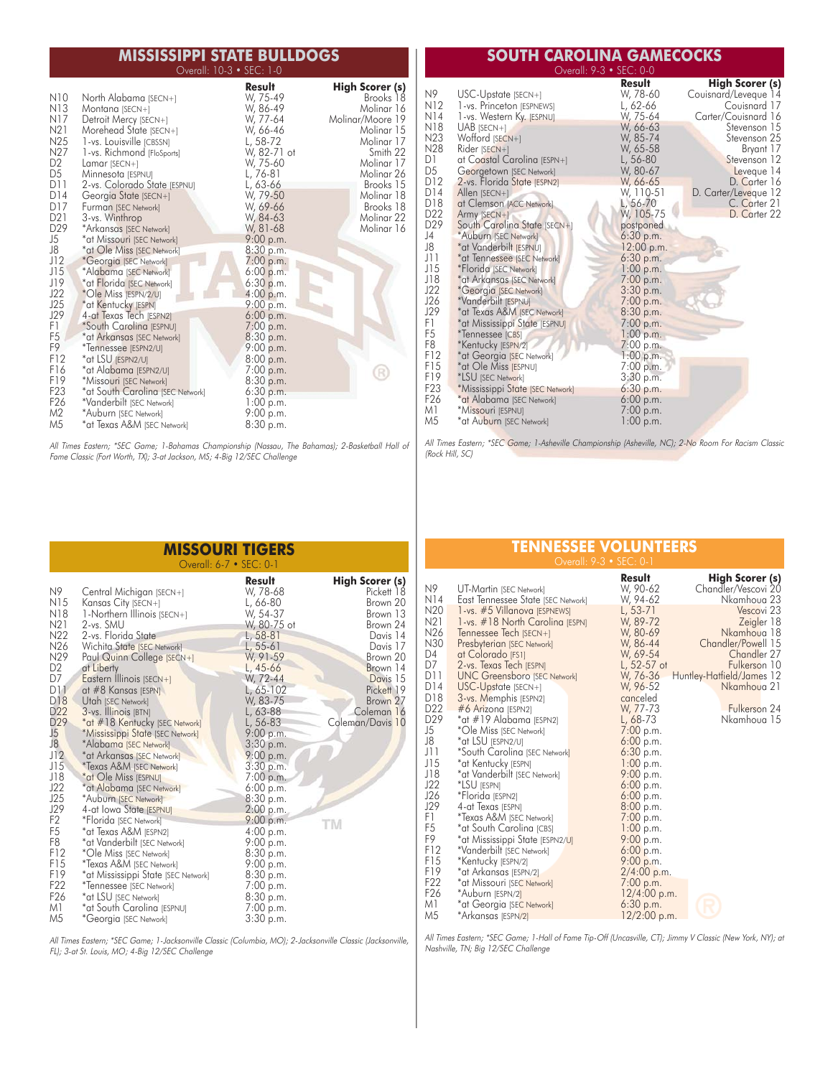#### **MISSISSIPPI STATE BULLDOGS** Overall: 10-3 • SEC: 1-0

| N10<br>N13              | North Alabama [SECN+]<br>Montana [SECN+]               | Result<br>W, 75-49<br>W, 86-49 | <b>High Scorer (s)</b><br>Brooks 18<br>Molinar 16 |
|-------------------------|--------------------------------------------------------|--------------------------------|---------------------------------------------------|
| N17                     | Detroit Mercy [SECN+]                                  | W, 77-64                       | Molinar/Moore 19                                  |
| N21<br>N <sub>25</sub>  | Morehead State $[SECN+]$                               | W, 66-46                       | Molinar 15<br>Molinar 17                          |
| N27                     | 1-vs. Louisville [CBSSN]<br>1-vs. Richmond [FloSports] | L, 58-72<br>W, 82-71 ot        | Smith 22                                          |
| D <sub>2</sub>          | $Lamar$ [SECN+]                                        | W, 75-60                       | Molinar 17                                        |
| D5                      | Minnesota [ESPNU]                                      | L, 76-81                       | Molinar 26                                        |
| D11                     | 2-vs. Colorado State [ESPNU]                           | $L, 63-66$                     | Brooks 15                                         |
| D <sub>14</sub>         | Georgia State [SECN+]                                  | W, 79-50                       | Molinar 18                                        |
| D17<br>D <sub>2</sub> 1 | Furman [SEC Network]<br>3-vs. Winthrop                 | W, 69-66<br>W, 84-63           | Brooks 18<br>Molinar 22                           |
| D <sub>29</sub>         | *Arkansas [SEC Network]                                | W, 81-68                       | Molinar 16                                        |
| J5                      | *at Missouri [SEC Network]                             | 9:00 p.m.                      |                                                   |
| J8                      | *at Ole Miss [SEC Network]                             | 8:30 p.m.                      |                                                   |
| J12                     | *Georgia [SEC Network]                                 | 7:00 p.m.                      |                                                   |
| J15                     | *Alabama [SEC Network]                                 | 6:00 p.m.                      |                                                   |
| J19<br>J22              | *at Florida [SEC Network]<br>*Ole Miss [ESPN/2/U]      | 6:30 p.m.<br>4:00 p.m.         |                                                   |
| J25                     | *at Kentucky [ESPN]                                    | 9:00 p.m.                      |                                                   |
| J29                     | 4-at Texas Tech [ESPN2]                                | 6:00 p.m.                      |                                                   |
| F1                      | *South Carolina [ESPNU]                                | 7:00 p.m.                      |                                                   |
| F <sub>5</sub>          | *at Arkansas [SEC Network]                             | 8:30 p.m.                      |                                                   |
| F9                      | *Tennessee [ESPN2/U]                                   | 9:00 p.m.                      |                                                   |
| F12<br>F16              | *at LSU [ESPN2/U]<br>*at Alabama [ESPN2/U]             | 8:00 p.m.                      |                                                   |
| F19                     | *Missouri [SEC Network]                                | 7:00 p.m.<br>8:30 p.m.         |                                                   |
| F <sub>23</sub>         | *at South Carolina [SEC Network]                       | 6:30 p.m.                      |                                                   |
| F <sub>26</sub>         | *Vanderbilt [SEC Network]                              | 1:00 p.m.                      |                                                   |
| M2                      | *Auburn [SEC Network]                                  | 9:00 p.m.                      |                                                   |
| M5                      | *at Texas A&M [SEC Network]                            | 8:30 p.m.                      |                                                   |

All Times Eastern; \*SEC Game; 1-Bahamas Championship (Nassau, The Bahamas); 2-Basketball Hall of Fame Classic (Fort Worth, TX); 3-at Jackson, MS; 4-Big 12/SEC Challenge

#### **MISSOURI TIGERS** Overall: 6-7 • SEC: 0-1

|                 |                                     | Result       | <b>High Scorer (s)</b> |
|-----------------|-------------------------------------|--------------|------------------------|
| N9              | Central Michigan [SECN+]            | W, 78-68     | Pickett 18             |
| N15             | Kansas City [SECN+]                 | L, 66-80     | Brown 20               |
| N18             | 1-Northern Illinois [SECN+]         | W, 54-37     | Brown 13               |
| N21             | 2-vs. SMU                           | W, 80-75 ot  | Brown 24               |
| N22             | 2-vs. Florida State                 | $L, 58-81$   | Davis 14               |
| N26             | Wichita State [SEC Network]         | $1, 55 - 61$ | Davis 17               |
| N <sub>29</sub> | Paul Quinn College [SECN+]          | W, 91-59     | Brown 20               |
| D <sub>2</sub>  | at Liberty                          | $L, 45-66$   | Brown 14               |
| D7              | Eastern Illinois $[SECN+]$          | W, 72-44     | Davis 15               |
| D <sub>1</sub>  | at #8 Kansas [ESPN]                 | L, 65-102    | Pickett 19             |
| D <sub>18</sub> | Utah [SEC Network]                  | W, 83-75     | Brown 27               |
| D <sub>22</sub> | 3-vs. Illinois [BTN]                | L, 63-88     | Coleman 16             |
| D <sub>29</sub> | *at #18 Kentucky [SEC Network]      | L, 56-83     | Coleman/Davis 10       |
| J5              | *Mississippi State [SEC Network]    | 9:00 p.m.    |                        |
| JS              | *Alabama [SEC Network]              | 3:30 p.m.    |                        |
| J12             | *at Arkansas [SEC Network]          | 9:00 p.m.    |                        |
| J15             | *Texas A&M [SEC Network]            | 3:30 p.m.    |                        |
| J18             | *at Ole Miss [ESPNU]                | 7:00 p.m.    |                        |
| J22             | *at Alabama [SEC Network]           | 6:00 p.m.    |                        |
| J25             | *Auburn [SEC Network]               | 8:30 p.m.    |                        |
| J29             | 4-at Iowa State [ESPNU]             | 2:00 p.m.    |                        |
| F <sub>2</sub>  | *Florida [SEC Network]              | 9:00 p.m.    |                        |
| F <sub>5</sub>  | *at Texas A&M [ESPN2]               | 4:00 p.m.    |                        |
| F8              | *at Vanderbilt [SEC Network]        | 9:00 p.m.    |                        |
| F12             | *Ole Miss [SEC Network]             | 8:30 p.m.    |                        |
| F15             | *Texas A&M [SEC Network]            | 9:00 p.m.    |                        |
| F19             | *at Mississippi State [SEC Network] | 8:30 p.m.    |                        |
| F <sub>22</sub> | *Tennessee [SEC Network]            | 7:00 p.m.    |                        |
| F <sub>26</sub> | *at LSU [SEC Network]               | 8:30 p.m.    |                        |
| M1              | *at South Carolina [ESPNU]          | 7:00 p.m.    |                        |
| M5              | *Georgia [SEC Network]              | 3:30 p.m.    |                        |

All Times Eastern; \*SEC Game; 1-Jacksonville Classic (Columbia, MO); 2-Jacksonville Classic (Jacksonville, FL); 3-at St. Louis, MO; 4-Big 12/SEC Challenge

#### **SOUTH CAROLINA GAMECOCKS**  $-$  0.3 • SEC: 0-0

|      |                                  | Result     | <b>High Scorer (s)</b> |
|------|----------------------------------|------------|------------------------|
| N9   | USC-Upstate [SECN+]              | W, 78-60   | Couisnard/Leveque 14   |
| N12  | 1-vs. Princeton [ESPNEWS]        | L, 62-66   | Couisnard 17           |
| N14  | 1-vs. Western Ky. [ESPNU]        | W, 75-64   | Carter/Couisnard 16    |
| N18  | $UAB$ [SECN+]                    | W, 66-63   | Stevenson 15           |
| N23  | Wottord [SECN+]                  | W, 85-74   | Stevenson 25           |
| N28  | $Rider$ [SECN+]                  | W, 65-58   | Bryant 17              |
| D1   | at Coastal Carolina [ESPN+]      | L, 56-80   | Stevenson 12           |
| D5   | Georgetown [SEC Network]         | W, 80-67   | Leveque 14             |
| D12  | 2-vs. Florida State [ESPN2]      | W, 66-65   | D. Carter 16           |
| D14  | Allen $[SECN+]$                  | W, 110-51  | D. Carter/Leveque 12   |
| D18  | at Clemson [ACC Network]         | L, 56-70   | C. Carter 21           |
| D22  | $Army$ $[SECN+]$                 | W, 105-75  | D. Carter 22           |
| D29  | South Carolina State [SECN+]     | postponed  |                        |
| J4   | *Auburn [SEC Network]            | 6:30 p.m.  |                        |
| J8   | *at Vanderbilt [ESPNU]           | 12:00 p.m. |                        |
| J1 1 | *at Tennessee [SEC Network]      | 6:30 p.m.  |                        |
| J15  | *Florida [SEC Network]           | 1:00 p.m.  |                        |
| J18  | *at Arkansas [SEC Network]       | 7:00 p.m.  |                        |
| J22  | *Georgia [SEC Network]           | 3:30 p.m.  |                        |
| J26  | *Vanderbilt [ESPNU]              | 7:00 p.m.  |                        |
| J29  | *at Texas A&M [SEC Network]      | 8:30 p.m.  |                        |
| F1   | *at Mississippi State [ESPNU]    | 7:00 p.m.  |                        |
| F5   | *Tennessee [CBS]                 | 1:00 p.m.  |                        |
| F8   | *Kentucky [ESPN/2]               | 7:00 p.m.  |                        |
| F12  | *at Georgia [SEC Network]        | 1:00 p.m.  |                        |
| F15  | *at Ole Miss [ESPNU]             | 7:00 p.m.  |                        |
| F19  | *LSU [SEC Network]               | 3:30 p.m.  |                        |
| F23  | *Mississippi State [SEC Network] | 6:30 p.m.  |                        |
| F26  | *at Alabama [SEC Network]        | 6:00 p.m.  |                        |
| M1   | *Missouri [ESPNU]                | 7:00 p.m.  |                        |
| M5   | *at Auburn [SEC Network]         | 1:00 p.m.  |                        |
|      |                                  |            |                        |

All Times Eastern; \*SEC Game; 1-Asheville Championship (Asheville, NC); 2-No Room For Racism Classic (Rock Hill, SC)

#### **TENNESSEE VOLUNTEERS** Overall: 9-3 • SEC: 0-1

|      |                                     | Result         | High Scorer (s)           |
|------|-------------------------------------|----------------|---------------------------|
| N9   | UT-Martin [SEC Network]             | W, 90-62       | Chandler/Vescovi 20       |
| N14  | East Tennessee State [SEC Network]  | W, 94-62       | Nkamhoua 23               |
| N20  | 1-vs. #5 Villanova [ESPNEWS]        | $L, 53-71$     | Vescovi 23                |
| N21  | 1-vs. #18 North Carolina [ESPN]     | W, 89-72       | Zeigler 18                |
| N26  | Tennessee Tech $ SECN+1 $           | W, 80-69       | Nkamhoua 18               |
| N30  | Presbyterian [SEC Network]          | W, 86-44       | Chandler/Powell 15        |
| D4   | at Colorado [FS1]                   | W, 69-54       | Chandler 27               |
| D7   | 2-vs. Texas Tech [ESPN]             | L, 52-57 of    | Fulkerson 10              |
| D11  | <b>UNC Greensboro [SEC Network]</b> | W, 76-36       | Huntley-Hatfield/James 12 |
| D14  | USC-Upstate [SECN+]                 | W, 96-52       | Nkamhoua 21               |
| D18  | 3-vs. Memphis [ESPN2]               | canceled       |                           |
| D22  | #6 Arizona [ESPN2]                  | W, 77-73       | Fulkerson 24              |
| D29  | *at #19 Alabama [ESPN2]             | L, 68-73       | Nkamhoua 15               |
| J5   | *Ole Miss [SEC Network]             | 7:00 p.m.      |                           |
| J8   | *at LSU [ESPN2/U]                   | 6:00 p.m.      |                           |
| J1 1 | *South Carolina [SEC Network]       | 6:30 p.m.      |                           |
| J15  | *at Kentucky [ESPN]                 | 1:00 p.m.      |                           |
| J18  | *at Vanderbilt [SEC Network]        | $9:00$ p.m.    |                           |
| J22  | *LSU [ESPN]                         | $6:00$ p.m.    |                           |
| J26  | *Florida [ESPN2]                    | $6:00$ p.m.    |                           |
| J29  | 4-at Texas [ESPN]                   | $8:00$ p.m.    |                           |
| F1   | *Texas A&M [SEC Network]            | $7:00$ p.m.    |                           |
| F5   | *at South Carolina [CBS]            | $1:00$ p.m.    |                           |
| F9   | *at Mississippi State [ESPN2/U]     | $9:00$ p.m.    |                           |
| F12  | *Vanderbilt [SEC Network]           | 6:00 p.m.      |                           |
| F15  | *Kentucky [ESPN/2]                  | 9:00 p.m.      |                           |
| F19  | *at Arkansas [ESPN/2]               | 2/4:00 p.m.    |                           |
| F22  | *at Missouri [SEC Network]          | 7:00 p.m.      |                           |
| F26  | *Auburn [ESPN/2]                    | 12/4:00 p.m.   |                           |
| M1   | *at Georgia [SEC Network]           | 6:30 p.m.      |                           |
| M5   | *Arkansas [ESPN/2]                  | $12/2:00$ p.m. |                           |

All Times Eastern; \*SEC Game; 1-Hall of Fame Tip-Off (Uncasville, CT); Jimmy V Classic (New York, NY); at Nashville, TN; Big 12/SEC Challenge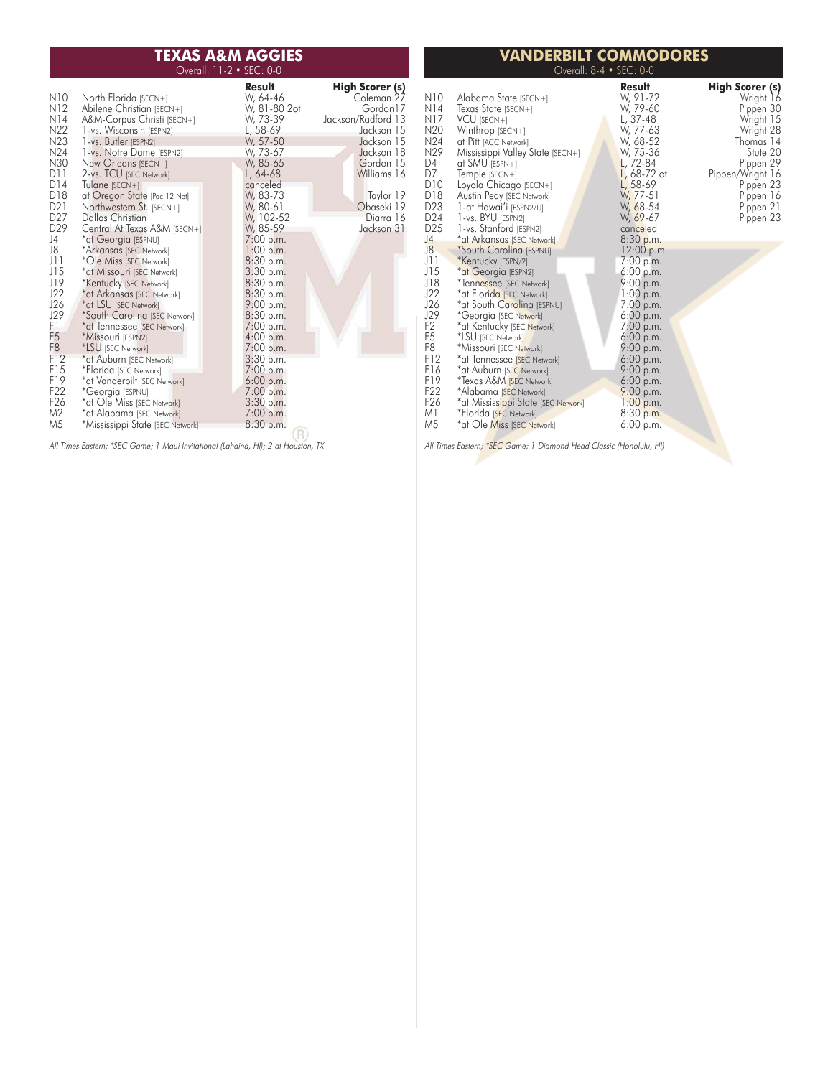#### **TEXAS A&M AGGIES** Overall: 11-2 • SEC: 0-0

|                  |                                  | Result       | <b>High Scorer (s)</b> |
|------------------|----------------------------------|--------------|------------------------|
| N10              | North Florida [SECN+]            | W, 64-46     | Coleman 27             |
| N12              | Abilene Christian [SECN+]        | W, 81-80 2of | Gordon <sub>17</sub>   |
| N14              | A&M-Corpus Christi [SECN+]       | W, 73-39     | Jackson/Radford 13     |
| N22              | 1-vs. Wisconsin [ESPN2]          | L, 58-69     | Jackson 15             |
| N23              | 1-vs. Butler [ESPN2]             | W, 57-50     | Jackson 15             |
| N24              | 1-vs. Notre Dame [ESPN2]         | W, 73-67     | Jackson 18             |
| N30              | New Orleans [SECN+]              | W, 85-65     | Gordon 15              |
| D11              | 2-vs. TCU [SEC Network]          | L, 64-68     | Williams 16            |
| D14              | Tulane $[SECN+]$                 | canceled     |                        |
| D18              | at Oregon State [Pac-12 Net]     | W, 83-73     | Taylor 19              |
| D <sub>2</sub> 1 | Northwestern St. [SECN+]         | W. 80-61     | Obaseki 19             |
| D <sub>27</sub>  | Dallas Christian                 | W, 102-52    | Diarra 16              |
| D <sub>29</sub>  | Central At Texas A&M [SECN+]     | W, 85-59     | Jackson 31             |
| J4               | *at Georgia [ESPNU]              | 7:00 p.m.    |                        |
| J8               | *Arkansas [SEC Network]          | 1:00 p.m.    |                        |
| J11              | *Ole Miss [SEC Network]          | 8:30 p.m.    |                        |
| J15              | *at Missouri [SEC Network]       | 3:30 p.m.    |                        |
| J19              | *Kentucky [SEC Network]          | 8:30 p.m.    |                        |
| J22              | *at Arkansas [SEC Network]       | 8:30 p.m.    |                        |
| J26              | *at LSU [SEC Network]            | 9:00 p.m.    |                        |
| J29              | *South Carolina [SEC Network]    | 8:30 p.m.    |                        |
| F1               | *at Tennessee [SEC Network]      | 7:00 p.m.    |                        |
| F <sub>5</sub>   | *Missouri [ESPN2]                | 4:00 p.m.    |                        |
| F <sub>8</sub>   | *LSU [SEC Network]               | 7:00 p.m.    |                        |
| F12              | *at Auburn [SEC Network]         | 3:30 p.m.    |                        |
| F15              | *Florida [SEC Network]           | 7:00 p.m.    |                        |
| F19              | *at Vanderbilt [SEC Network]     | 6:00 p.m.    |                        |
| F <sub>22</sub>  | *Georgia [ESPNU]                 | 7:00 p.m.    |                        |
| F <sub>26</sub>  | *at Ole Miss [SEC Network]       | 3:30 p.m.    |                        |
| M2               | *at Alabama [SEC Network]        | 7:00 p.m.    |                        |
| M5               | *Mississippi State [SEC Network] | 8:30 p.m.    |                        |
|                  |                                  | R            |                        |

All Times Eastern; \*SEC Game; 1-Maui Invitational (Lahaina, HI); 2-at Houston, TX

#### **VANDERBILT COMMODORES** Overall: 8-4 • SEC: 0-0

| N10             |                                                        | Result<br>W, 91-72     | <b>High Scorer (s)</b> |
|-----------------|--------------------------------------------------------|------------------------|------------------------|
| N14             | Alabama State [SECN+]<br>Texas State [SECN+]           | W, 79-60               | Wright 16<br>Pippen 30 |
| N17             | $VCU$ [SECN+]                                          | L, 37-48               | Wright 15              |
| N20             | Winthrop [SECN+]                                       | W, 77-63               | Wright 28              |
| N24             | at Pitt [ACC Network]                                  | W, 68-52               | Thomas 14              |
| N29             | Mississippi Valley State [SECN+]                       | W, 75-36               | Stute 20               |
| D4              | at SMU [ESPN+]                                         | $L, 72-84$             | Pippen 29              |
| D7              | Temple $[SECN+]$                                       | $L, 68-72$ of          | Pippen/Wright 16       |
| D10             | Loyola Chicago [SECN+]                                 | $L, 58-69$             | Pippen 23              |
| D18             | Austin Peay [SEC Network]                              | W, 77-51               | Pippen 16              |
| D23             | 1-at Hawai'i [ESPN2/U]                                 | W, 68-54               | Pippen 21              |
| D24             | 1-vs. BYU [ESPN2]                                      | W, 69-67               | Pippen 23              |
| D25             | 1-vs. Stanford [ESPN2]                                 | canceled               |                        |
| J4              | *at Arkansas [SEC Network]                             | 8:30 p.m.              |                        |
| 9l              | *South Carolina [ESPNU]                                | 12:00 p.m.             |                        |
| J11             | *Kentucky [ESPN/2]                                     | 7:00 p.m.              |                        |
| J15             | *at Georgia [ESPN2]                                    | 6:00 p.m.              |                        |
| J18             | *Tennessee [SEC Network]                               | 9:00 p.m.              |                        |
| J22             | *at Florida [SEC Network]                              | 1:00 p.m.              |                        |
| J26             | *at South Carolina [ESPNU]                             | 7:00 p.m.              |                        |
| J29<br>F2       | *Georgia [SEC Network]                                 | 6:00 p.m.              |                        |
| F5              | *at Kentucky [SEC Network]                             | 7:00 p.m.              |                        |
| F8              | *LSU [SEC Network]                                     | 6:00 p.m.<br>9:00 p.m. |                        |
| F12             | *Missouri [SEC Network]<br>*at Tennessee [SEC Network] | $6:00$ p.m.            |                        |
| F16             | *at Auburn [SEC Network]                               | 9:00 p.m.              |                        |
| F19             | *Texas A&M [SEC Network]                               | 6:00 p.m.              |                        |
| F22             | *Alabama [SEC Network]                                 | 9:00 p.m.              |                        |
| F <sub>26</sub> | *at Mississippi State [SEC Network]                    | 1:00 p.m.              |                        |
| M1              | *Florida [SEC Network]                                 | 8:30 p.m.              |                        |
| Μ5              | *at Ole Miss [SEC Network]                             | 6:00 p.m.              |                        |
|                 |                                                        |                        |                        |

All Times Eastern; \*SEC Game; 1-Diamond Head Classic (Honolulu, HI)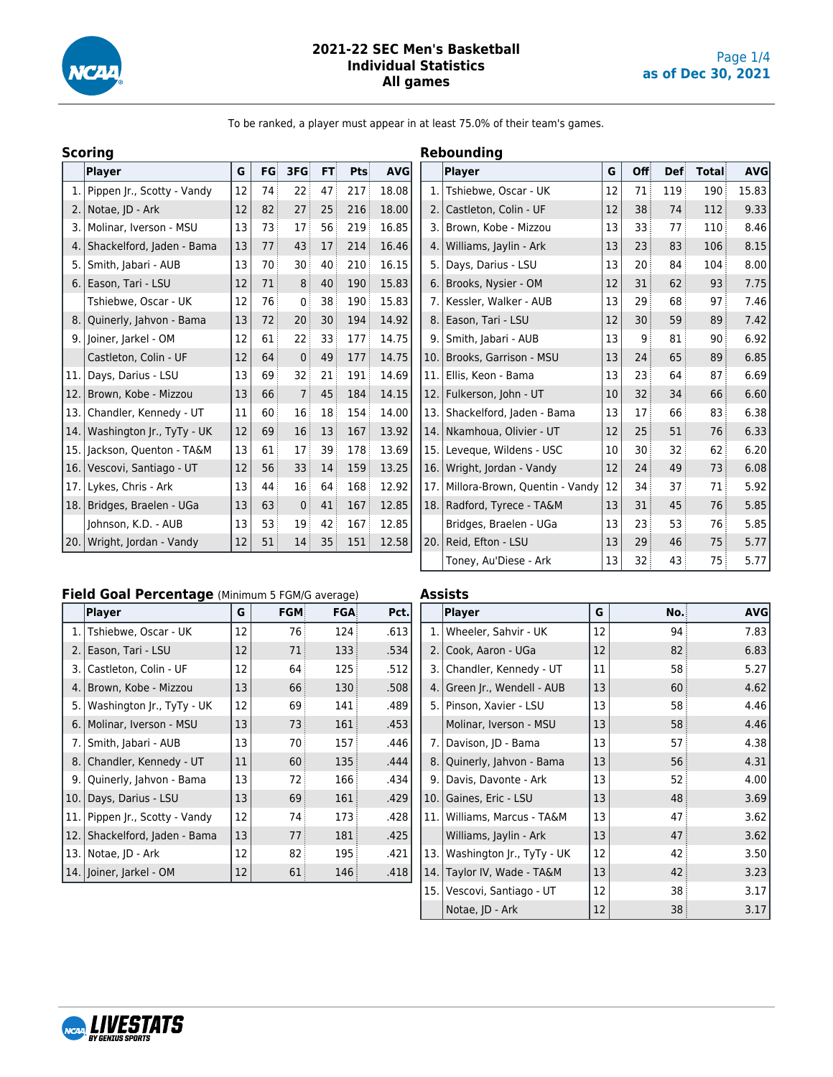

### **2021-22 SEC Men's Basketball Individual Statistics All games**

To be ranked, a player must appear in at least 75.0% of their team's games.

**Rebounding**

|     | <b>Scoring</b>             |    |     |                 |                 |                  |            |
|-----|----------------------------|----|-----|-----------------|-----------------|------------------|------------|
|     | <b>Player</b>              | G  | FG: | 3FG             | FT:             | Pts              | <b>AVG</b> |
| 1.  | Pippen Jr., Scotty - Vandy | 12 | 74  | 22              | 47              | 217              | 18.08      |
| 2.  | Notae, JD - Ark            | 12 | 82  | 27              | 25 <sub>3</sub> | 216              | 18.00      |
| 3.  | Molinar, Iverson - MSU     | 13 | 73  | 17 <sup>3</sup> | 56              | 219              | 16.85      |
| 4.  | Shackelford, Jaden - Bama  | 13 | 77  | 43              | 17              | 214              | 16.46      |
| 5.  | Smith, Jabari - AUB        | 13 | 70  | 30 <sub>3</sub> | 40              | 210              | 16.15      |
| 6.  | Eason, Tari - LSU          | 12 | 71  | 8               | 40              | 190              | 15.83      |
|     | Tshiebwe, Oscar - UK       | 12 | 76  | $\mathbf 0$     | 38 <sup>3</sup> | 190 <sub>3</sub> | 15.83      |
| 8.  | Quinerly, Jahvon - Bama    | 13 | 72  | 20              | 30 <sup>3</sup> | 194              | 14.92      |
| 9.  | Joiner, Jarkel - OM        | 12 | 61  | 22 <sup>3</sup> | 33              | 177              | 14.75      |
|     | Castleton, Colin - UF      | 12 | 64  | 0               | 49              | 177              | 14.75      |
| 11. | Days, Darius - LSU         | 13 | 69  | 32              | 21              | 191              | 14.69      |
| 12. | Brown, Kobe - Mizzou       | 13 | 66  | $\overline{7}$  | 45              | 184              | 14.15      |
| 13. | Chandler, Kennedy - UT     | 11 | 60  | 16              | 18 <sup>3</sup> | 154              | 14.00      |
| 14. | Washington Jr., TyTy - UK  | 12 | 69  | 16              | 13              | 167              | 13.92      |
| 15. | Jackson, Quenton - TA&M    | 13 | 61  | 17:             | ؛ 39            | 178              | 13.69      |
| 16. | Vescovi, Santiago - UT     | 12 | 56  | 33 <sup>3</sup> | 14              | 159              | 13.25      |
| 17. | Lykes, Chris - Ark         | 13 | 44  | 16              | 64              | 168              | 12.92      |
| 18. | Bridges, Braelen - UGa     | 13 | 63  | $\mathbf 0$     | 41              | 167              | 12.85      |
|     | Johnson, K.D. - AUB        | 13 | 53  | 19              | 42              | 167              | 12.85      |
| 20. | Wright, Jordan - Vandy     | 12 | 51  | 14              | 35              | 151              | 12.58      |

|     | <b>Player</b>                  | G  | <b>Off</b>      | <b>Def</b> | Total            | <b>AVG</b> |
|-----|--------------------------------|----|-----------------|------------|------------------|------------|
| 1.  | Tshiebwe, Oscar - UK           | 12 | 71              | 119        | 190 <sub>1</sub> | 15.83      |
| 2.  | Castleton, Colin - UF          | 12 | 38              | 74         | 112              | 9.33       |
| 3.  | Brown, Kobe - Mizzou           | 13 | 33              | 77         | 110              | 8.46       |
| 4.  | Williams, Jaylin - Ark         | 13 | 23              | 83         | 106              | 8.15       |
| 5.  | Days, Darius - LSU             | 13 | 20 <sub>3</sub> | 84         | 104              | 8.00       |
| 6.  | Brooks, Nysier - OM            | 12 | 31              | 62         | 93               | 7.75       |
| 7.  | Kessler, Walker - AUB          | 13 | 29              | 68         | 97:              | 7.46       |
| 8.  | Eason, Tari - LSU              | 12 | 30 <sup>3</sup> | 59         | 89               | 7.42       |
| 9.  | Smith, Jabari - AUB            | 13 | 9               | 81         | 90 <sub>3</sub>  | 6.92       |
| 10. | Brooks, Garrison - MSU         | 13 | 24 <sup>3</sup> | 65         | 89               | 6.85       |
| 11. | Ellis, Keon - Bama             | 13 | 23              | 64         | 87 <sup>3</sup>  | 6.69       |
| 12. | Fulkerson, John - UT           | 10 | 32              | 34         | 66               | 6.60       |
| 13. | Shackelford, Jaden - Bama      | 13 | 17 <sub>1</sub> | 66         | 83               | 6.38       |
| 14. | Nkamhoua, Olivier - UT         | 12 | 25              | 51         | 76               | 6.33       |
| 15. | Leveque, Wildens - USC         | 10 | 30 <sub>3</sub> | 32         | 62               | 6.20       |
| 16. | Wright, Jordan - Vandy         | 12 | 24 <sup>3</sup> | 49         | 73 <sup>3</sup>  | 6.08       |
| 17. | Millora-Brown, Quentin - Vandy | 12 | 34 <sup>3</sup> | 37         | 71               | 5.92       |
| 18. | Radford, Tyrece - TA&M         | 13 | 31              | 45         | 76               | 5.85       |
|     | Bridges, Braelen - UGa         | 13 | 23 <sup>3</sup> | 53         | 76               | 5.85       |
| 20. | Reid, Efton - LSU              | 13 | 29              | 46         | 75 <sub>3</sub>  | 5.77       |
|     | Toney, Au'Diese - Ark          | 13 | 32              | 43         | 75               | 5.77       |

#### **Field Goal Percentage** (Minimum 5 FGM/G average)

|      | <b>Player</b>                  | G  | <b>FGM</b> | <b>FGA</b> | Pct. |
|------|--------------------------------|----|------------|------------|------|
| 1.   | Tshiebwe, Oscar - UK           | 12 | 76         | 124        | .613 |
| 2.   | Eason, Tari - LSU              | 12 | 71         | 133        | .534 |
| 3.   | Castleton, Colin - UF          | 12 | 64         | 125        | .512 |
| 4.1  | Brown, Kobe - Mizzou           | 13 | 66         | 130        | .508 |
|      | 5.   Washington Jr., TyTy - UK | 12 | 69         | 141        | .489 |
|      | 6.   Molinar, Iverson - MSU    | 13 | 73         | 161        | .453 |
|      | 7. Smith, Jabari - AUB         | 13 | 70         | 157        | .446 |
|      | 8. Chandler, Kennedy - UT      | 11 | 60         | 135        | .444 |
| 9.   | Quinerly, Jahvon - Bama        | 13 | 72         | 166        | .434 |
| 10.1 | Days, Darius - LSU             | 13 | 69         | 161        | .429 |
| 11.  | Pippen Jr., Scotty - Vandy     | 12 | 74         | 173        | .428 |
| 12.  | Shackelford, Jaden - Bama      | 13 | 77         | 181        | .425 |
| 13.  | Notae, JD - Ark                | 12 | 82         | 195        | .421 |
|      | 14. Joiner, Jarkel - OM        | 12 | 61         | 146        | .418 |

#### **Assists**

|     | <b>Player</b>                 | G  | No. | <b>AVG</b> |
|-----|-------------------------------|----|-----|------------|
| 1.  | Wheeler, Sahvir - UK          | 12 | 94  | 7.83       |
| 2.  | Cook, Aaron - UGa             | 12 | 82  | 6.83       |
| 3.1 | Chandler, Kennedy - UT        | 11 | 58  | 5.27       |
| 4.  | Green Jr., Wendell - AUB      | 13 | 60  | 4.62       |
|     | 5.   Pinson, Xavier - LSU     | 13 | 58  | 4.46       |
|     | Molinar, Iverson - MSU        | 13 | 58  | 4.46       |
| 7.  | Davison, JD - Bama            | 13 | 57  | 4.38       |
| 8.  | Quinerly, Jahvon - Bama       | 13 | 56  | 4.31       |
| 9.  | Davis, Davonte - Ark          | 13 | 52  | 4.00       |
| 10. | Gaines, Eric - LSU            | 13 | 48  | 3.69       |
|     | 11.   Williams, Marcus - TA&M | 13 | 47  | 3.62       |
|     | Williams, Jaylin - Ark        | 13 | 47  | 3.62       |
| 13. | Washington Jr., TyTy - UK     | 12 | 42  | 3.50       |
| 14. | Taylor IV, Wade - TA&M        | 13 | 42  | 3.23       |
|     | 15.   Vescovi, Santiago - UT  | 12 | 38  | 3.17       |
|     | Notae, JD - Ark               | 12 | 38  | 3.17       |

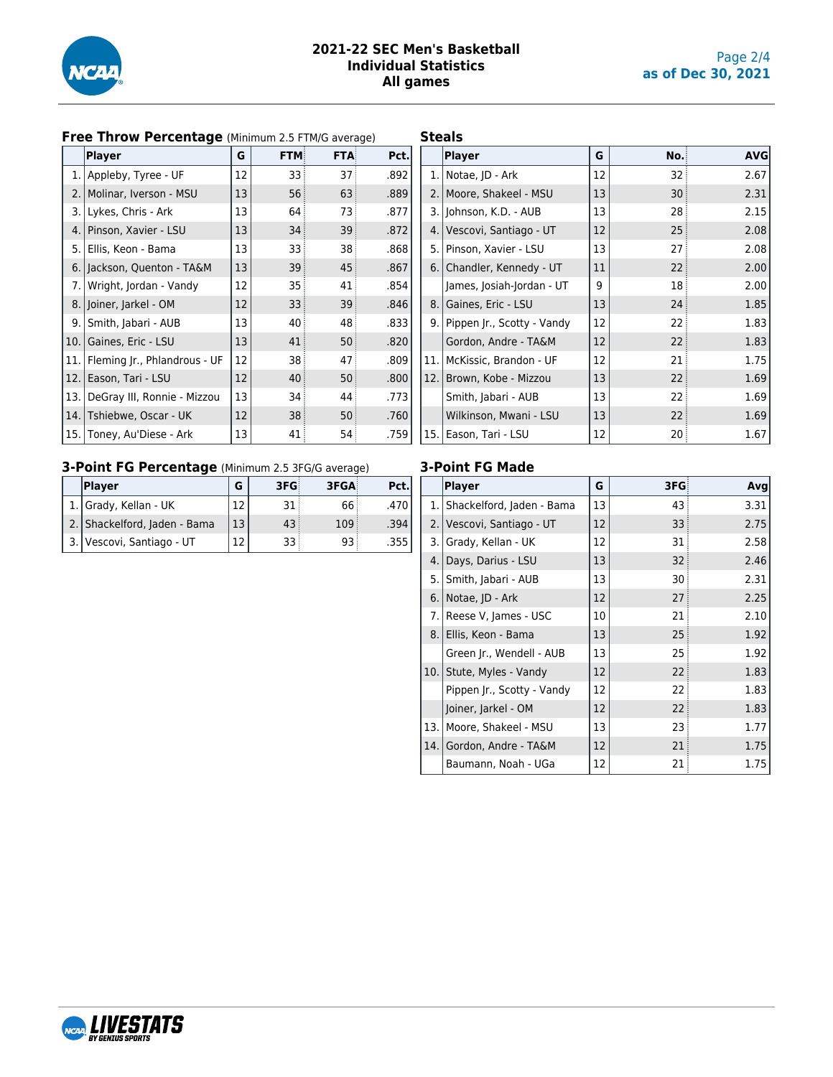

#### **2021-22 SEC Men's Basketball Individual Statistics All games**

**Steals**

#### **Free Throw Percentage** (Minimum 2.5 FTM/G average)

|     | <b>Player</b>                | G  | <b>FTM</b> | <b>FTA</b> | Pct. |
|-----|------------------------------|----|------------|------------|------|
|     | 1. Appleby, Tyree - UF       | 12 | 33         | 37         | .892 |
|     | 2.   Molinar, Iverson - MSU  | 13 | 56         | 63         | .889 |
| 3.  | Lykes, Chris - Ark           | 13 | 64         | 73         | .877 |
| 4.  | Pinson, Xavier - LSU         | 13 | 34         | 39         | .872 |
| 5.  | Ellis, Keon - Bama           | 13 | 33         | 38         | .868 |
| 6.  | Jackson, Quenton - TA&M      | 13 | 39         | 45         | .867 |
| 7.  | Wright, Jordan - Vandy       | 12 | 35         | 41         | .854 |
| 8.  | Joiner, Jarkel - OM          | 12 | 33         | 39         | .846 |
| 9.  | Smith, Jabari - AUB          | 13 | 40         | 48         | .833 |
| 10. | Gaines, Eric - LSU           | 13 | 41         | 50         | .820 |
| 11. | Fleming Jr., Phlandrous - UF | 12 | 38         | 47         | .809 |
| 12. | Eason, Tari - LSU            | 12 | 40         | 50         | .800 |
| 13. | DeGray III, Ronnie - Mizzou  | 13 | 34         | 44         | .773 |
| 14. | Tshiebwe, Oscar - UK         | 12 | 38         | 50         | .760 |
| 15. | Toney, Au'Diese - Ark        | 13 | 41         | 54         | .759 |

|       | Player                     | G  | No. | <b>AVG</b> |
|-------|----------------------------|----|-----|------------|
|       | 1. Notae, JD - Ark         | 12 | 32  | 2.67       |
| 2.    | Moore, Shakeel - MSU       | 13 | 30  | 2.31       |
| 3.    | Johnson, K.D. - AUB        | 13 | 28  | 2.15       |
|       | 4. Vescovi, Santiago - UT  | 12 | 25  | 2.08       |
|       | 5.   Pinson, Xavier - LSU  | 13 | 27  | 2.08       |
|       | 6. Chandler, Kennedy - UT  | 11 | 22  | 2.00       |
|       | James, Josiah-Jordan - UT  | 9  | 18  | 2.00       |
|       | 8. Gaines, Eric - LSU      | 13 | 24  | 1.85       |
| 9.1   | Pippen Jr., Scotty - Vandy | 12 | 22  | 1.83       |
|       | Gordon, Andre - TA&M       | 12 | 22  | 1.83       |
| 11. l | McKissic, Brandon - UF     | 12 | 21  | 1.75       |
| 12.1  | Brown, Kobe - Mizzou       | 13 | 22  | 1.69       |
|       | Smith, Jabari - AUB        | 13 | 22  | 1.69       |
|       | Wilkinson, Mwani - LSU     | 13 | 22  | 1.69       |
| 15.1  | Eason, Tari - LSU          | 12 | 20  | 1.67       |

#### **3-Point FG Percentage** (Minimum 2.5 3FG/G average)

| Player                       | G  | 3FG <sub>2</sub> | 3FGA | Pct.l  |
|------------------------------|----|------------------|------|--------|
| 1. Grady, Kellan - UK        |    | 31:              | 66   | ا 470. |
| 2. Shackelford, Jaden - Bama | 13 | 43               | 109  | .394   |
| 3. Vescovi, Santiago - UT    |    | 33               | 93   | .355   |

#### **3-Point FG Made**

|     | <b>Player</b>              | G  | 3FG | Avq  |
|-----|----------------------------|----|-----|------|
| 1.  | Shackelford, Jaden - Bama  | 13 | 43  | 3.31 |
| 2.  | Vescovi, Santiago - UT     | 12 | 33  | 2.75 |
| 3.  | Grady, Kellan - UK         | 12 | 31  | 2.58 |
| 4.  | Days, Darius - LSU         | 13 | 32  | 2.46 |
| 5.  | Smith, Jabari - AUB        | 13 | 30  | 2.31 |
| 6.  | Notae, JD - Ark            | 12 | 27  | 2.25 |
| 7.  | Reese V, James - USC       | 10 | 21  | 2.10 |
| 8.  | Ellis, Keon - Bama         | 13 | 25  | 1.92 |
|     | Green Jr., Wendell - AUB   | 13 | 25  | 1.92 |
| 10. | Stute, Myles - Vandy       | 12 | 22  | 1.83 |
|     | Pippen Jr., Scotty - Vandy | 12 | 22  | 1.83 |
|     | Joiner, Jarkel - OM        | 12 | 22  | 1.83 |
| 13. | Moore, Shakeel - MSU       | 13 | 23  | 1.77 |
| 14. | Gordon, Andre - TA&M       | 12 | 21  | 1.75 |
|     | Baumann, Noah - UGa        | 12 | 21  | 1.75 |

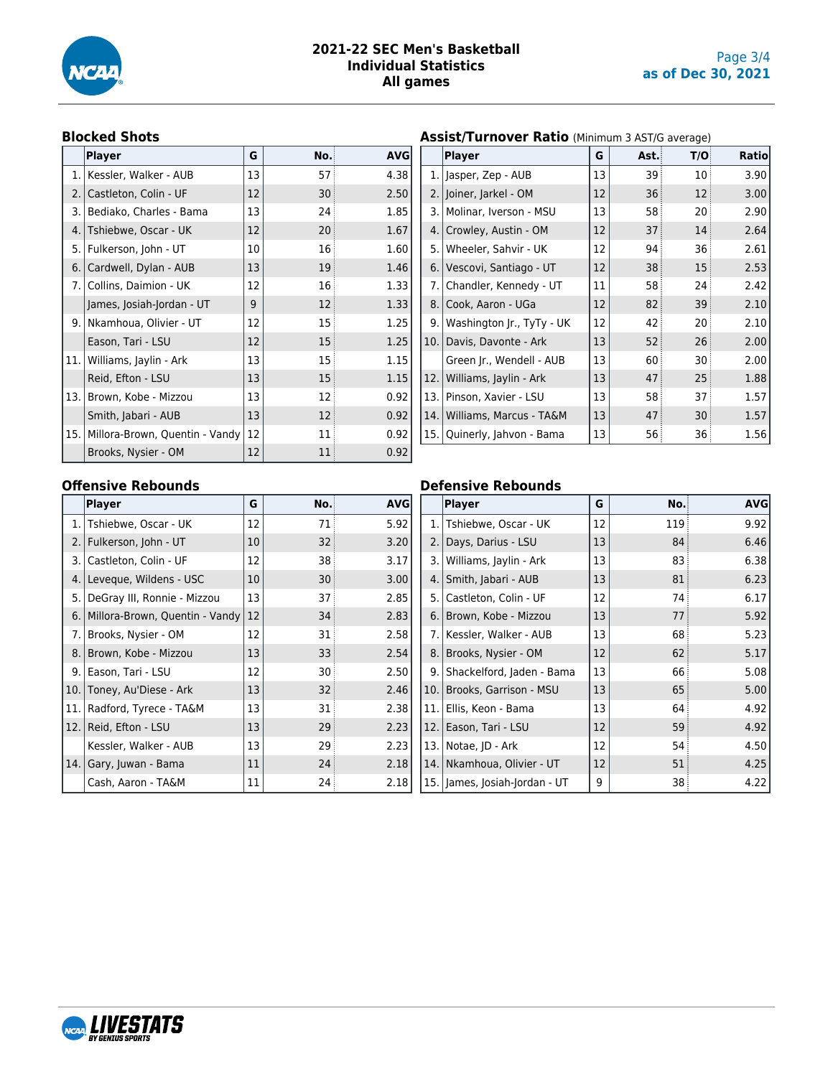

### **Blocked Shots**

|       | <b>Player</b>                  | G  | No. | <b>AVG</b> |
|-------|--------------------------------|----|-----|------------|
| 1.1   | Kessler, Walker - AUB          | 13 | 57  | 4.38       |
| 2.    | Castleton, Colin - UF          | 12 | 30  | 2.50       |
| 3.    | Bediako, Charles - Bama        | 13 | 24  | 1.85       |
| 4.    | Tshiebwe, Oscar - UK           | 12 | 20  | 1.67       |
|       | 5. Fulkerson, John - UT        | 10 | 16  | 1.60       |
| 6.1   | Cardwell, Dylan - AUB          | 13 | 19  | 1.46       |
|       | 7. Collins, Daimion - UK       | 12 | 16  | 1.33       |
|       | James, Josiah-Jordan - UT      | 9  | 12  | 1.33       |
|       | 9.   Nkamhoua, Olivier - UT    | 12 | 15  | 1.25       |
|       | Eason, Tari - LSU              | 12 | 15  | 1.25       |
| 11.1  | Williams, Jaylin - Ark         | 13 | 15  | 1.15       |
|       | Reid, Efton - LSU              | 13 | 15  | 1.15       |
| 13. l | Brown, Kobe - Mizzou           | 13 | 12  | 0.92       |
|       | Smith, Jabari - AUB            | 13 | 12  | 0.92       |
| 15.1  | Millora-Brown, Quentin - Vandy | 12 | 11  | 0.92       |
|       | Brooks, Nysier - OM            | 12 | 11  | 0.92       |

### **Assist/Turnover Ratio** (Minimum 3 AST/G average)

|     | <b>Player</b>                 | G  | Ast. | T/O | Ratio |
|-----|-------------------------------|----|------|-----|-------|
| 1.  | Jasper, Zep - AUB             | 13 | 39   | 10  | 3.90  |
| 2.  | Joiner, Jarkel - OM           | 12 | 36   | 12  | 3.00  |
| 3.  | Molinar, Iverson - MSU        | 13 | 58   | 20  | 2.90  |
| 4.  | Crowley, Austin - OM          | 12 | 37   | 14  | 2.64  |
| 5.  | Wheeler, Sahvir - UK          | 12 | 94   | 36  | 2.61  |
| 6.  | Vescovi, Santiago - UT        | 12 | 38   | 15  | 2.53  |
| 7.  | Chandler, Kennedy - UT        | 11 | 58   | 24  | 2.42  |
| 8.  | Cook, Aaron - UGa             | 12 | 82   | 39  | 2.10  |
| 9.  | Washington Jr., TyTy - UK     | 12 | 42   | 20  | 2.10  |
| 10. | Davis, Davonte - Ark          | 13 | 52   | 26  | 2.00  |
|     | Green Jr., Wendell - AUB      | 13 | 60   | 30  | 2.00  |
| 12. | Williams, Jaylin - Ark        | 13 | 47   | 25  | 1.88  |
| 13. | Pinson, Xavier - LSU          | 13 | 58   | 37  | 1.57  |
| 14. | Williams, Marcus - TA&M       | 13 | 47   | 30  | 1.57  |
|     | 15.   Quinerly, Jahvon - Bama | 13 | 56   | 36  | 1.56  |

#### **Offensive Rebounds**

|      | <b>Player</b>                    | G  | No. | <b>AVG</b> |
|------|----------------------------------|----|-----|------------|
| 1.1  | Tshiebwe, Oscar - UK             | 12 | 71  | 5.92       |
| 2.1  | Fulkerson, John - UT             | 10 | 32  | 3.20       |
| 3. I | Castleton, Colin - UF            | 12 | 38  | 3.17       |
| 4.1  | Leveque, Wildens - USC           | 10 | 30  | 3.00       |
|      | 5.   DeGray III, Ronnie - Mizzou | 13 | 37  | 2.85       |
| 6.1  | Millora-Brown, Quentin - Vandy   | 12 | 34  | 2.83       |
| 7.1  | Brooks, Nysier - OM              | 12 | 31  | 2.58       |
| 8.1  | Brown, Kobe - Mizzou             | 13 | 33  | 2.54       |
| 9.   | Eason, Tari - LSU                | 12 | 30  | 2.50       |
| 10.  | Toney, Au'Diese - Ark            | 13 | 32  | 2.46       |
| 11.  | Radford, Tyrece - TA&M           | 13 | 31  | 2.38       |
| 12.  | Reid, Efton - LSU                | 13 | 29  | 2.23       |
|      | Kessler, Walker - AUB            | 13 | 29  | 2.23       |
| 14.  | Gary, Juwan - Bama               | 11 | 24  | 2.18       |
|      | Cash, Aaron - TA&M               | 11 | 24  | 2.18       |

#### **Defensive Rebounds**

|     | <b>Player</b>                   | G  | No. | <b>AVG</b> |
|-----|---------------------------------|----|-----|------------|
|     | 1. Tshiebwe, Oscar - UK         | 12 | 119 | 9.92       |
| 2.  | Days, Darius - LSU              | 13 | 84  | 6.46       |
| 3.  | Williams, Jaylin - Ark          | 13 | 83  | 6.38       |
| 4.  | Smith, Jabari - AUB             | 13 | 81  | 6.23       |
| 5.  | Castleton, Colin - UF           | 12 | 74  | 6.17       |
| 6.1 | Brown, Kobe - Mizzou            | 13 | 77  | 5.92       |
| 7.1 | Kessler, Walker - AUB           | 13 | 68  | 5.23       |
| 8.1 | Brooks, Nysier - OM             | 12 | 62  | 5.17       |
|     | 9. Shackelford, Jaden - Bama    | 13 | 66  | 5.08       |
| 10. | Brooks, Garrison - MSU          | 13 | 65  | 5.00       |
| 11. | Ellis, Keon - Bama              | 13 | 64  | 4.92       |
| 12. | Eason, Tari - LSU               | 12 | 59  | 4.92       |
|     | 13.   Notae, JD - Ark           | 12 | 54  | 4.50       |
|     | 14.   Nkamhoua, Olivier - UT    | 12 | 51  | 4.25       |
|     | 15.   James, Josiah-Jordan - UT | 9  | 38  | 4.22       |

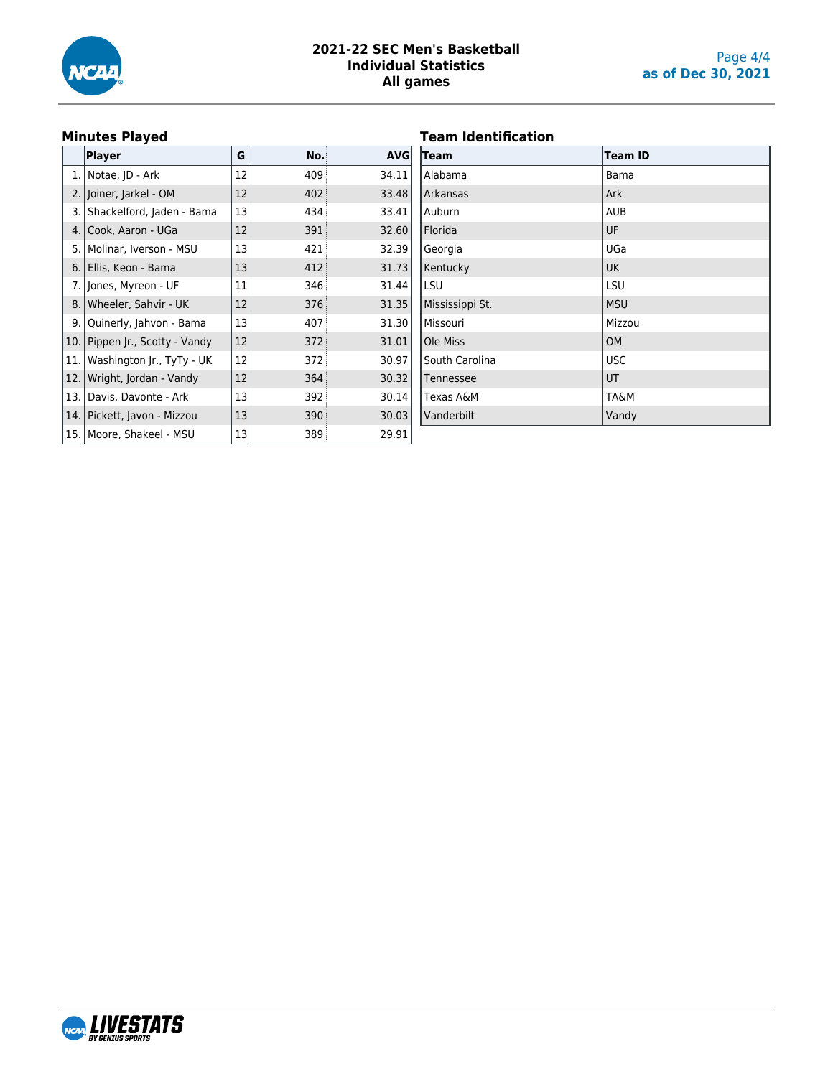

## **Minutes Played**

## **Team Identification**

|      | <b>Player</b>                 | G  | No. | <b>AVG</b> |
|------|-------------------------------|----|-----|------------|
|      | 1. Notae, JD - Ark            | 12 | 409 | 34.11      |
|      | 2. Joiner, Jarkel - OM        | 12 | 402 | 33.48      |
| 3. l | Shackelford, Jaden - Bama     | 13 | 434 | 33.41      |
| 4.1  | Cook, Aaron - UGa             | 12 | 391 | 32.60      |
|      | 5.   Molinar, Iverson - MSU   | 13 | 421 | 32.39      |
|      | 6. Ellis, Keon - Bama         | 13 | 412 | 31.73      |
|      | 7. Jones, Myreon - UF         | 11 | 346 | 31.44      |
|      | 8. Wheeler, Sahvir - UK       | 12 | 376 | 31.35      |
| 9.   | Quinerly, Jahvon - Bama       | 13 | 407 | 31.30      |
| 10.  | Pippen Jr., Scotty - Vandy    | 12 | 372 | 31.01      |
| 11.  | Washington Jr., TyTy - UK     | 12 | 372 | 30.97      |
| 12.  | Wright, Jordan - Vandy        | 12 | 364 | 30.32      |
|      | 13.   Davis, Davonte - Ark    | 13 | 392 | 30.14      |
|      | 14.   Pickett, Javon - Mizzou | 13 | 390 | 30.03      |
|      | 15.   Moore, Shakeel - MSU    | 13 | 389 | 29.91      |

| Team            | <b>Team ID</b>  |
|-----------------|-----------------|
| Alabama         | Bama            |
| Arkansas        | Ark             |
| Auburn          | <b>AUB</b>      |
| Florida         | UF              |
| Georgia         | UGa             |
| Kentucky        | <b>UK</b>       |
| LSU             | LSU             |
| Mississippi St. | <b>MSU</b>      |
| Missouri        | Mizzou          |
| Ole Miss        | <b>OM</b>       |
| South Carolina  | <b>USC</b>      |
| Tennessee       | UT              |
| Texas A&M       | <b>TA&amp;M</b> |
| Vanderbilt      | Vandy           |

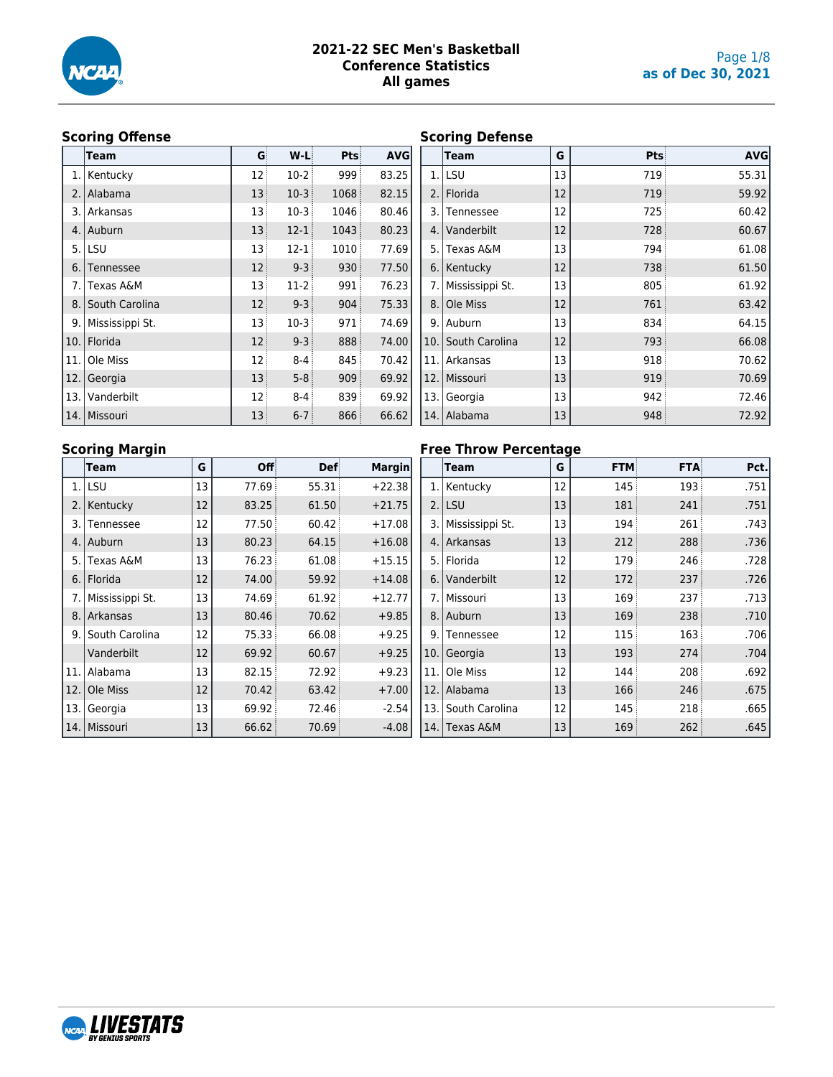

#### **2021-22 SEC Men's Basketball Conference Statistics All games**

## **Scoring Offense**

|     | ັ<br>Team            | G  | $W-L$    | Pts  | <b>AVG</b> |
|-----|----------------------|----|----------|------|------------|
| 1.  | Kentucky             | 12 | $10-2$   | 999  | 83.25      |
| 2.  | Alabama              | 13 | $10-3$   | 1068 | 82.15      |
| 3.  | Arkansas             | 13 | $10-3$   | 1046 | 80.46      |
| 4.  | Auburn               | 13 | $12 - 1$ | 1043 | 80.23      |
| 5.  | <b>ILSU</b>          | 13 | $12 - 1$ | 1010 | 77.69      |
| 6.  | Tennessee            | 12 | $9 - 3$  | 930  | 77.50      |
| 7.  | <b>Texas A&amp;M</b> | 13 | $11-2$   | 991  | 76.23      |
| 8.  | South Carolina       | 12 | $9 - 3$  | 904  | 75.33      |
| 9.  | Mississippi St.      | 13 | $10-3$   | 971  | 74.69      |
| 10. | Florida              | 12 | $9 - 3$  | 888  | 74.00      |
| 11. | Ole Miss             | 12 | $8 - 4$  | 845  | 70.42      |
| 12. | Georgia              | 13 | $5 - 8$  | 909  | 69.92      |
| 13. | Vanderbilt           | 12 | $8 - 4$  | 839  | 69.92      |
| 14. | l Missouri           | 13 | $6 - 7$  | 866  | 66.62      |

#### **Scoring Defense**

|     | <b>Team</b>     | G  | Pts | <b>AVG</b> |
|-----|-----------------|----|-----|------------|
| 1.  | l LSU           | 13 | 719 | 55.31      |
| 2.  | Florida         | 12 | 719 | 59.92      |
| 3.  | Tennessee       | 12 | 725 | 60.42      |
| 4.  | Vanderbilt      | 12 | 728 | 60.67      |
| 5.  | Texas A&M       | 13 | 794 | 61.08      |
| 6.  | Kentucky        | 12 | 738 | 61.50      |
| 7.  | Mississippi St. | 13 | 805 | 61.92      |
| 8.  | Ole Miss        | 12 | 761 | 63.42      |
| 9.  | Auburn          | 13 | 834 | 64.15      |
| 10. | South Carolina  | 12 | 793 | 66.08      |
| 11. | Arkansas        | 13 | 918 | 70.62      |
| 12. | Missouri        | 13 | 919 | 70.69      |
| 13. | Georgia         | 13 | 942 | 72.46      |
|     | 14. Alabama     | 13 | 948 | 72.92      |

## **Scoring Margin**

|     | Team            | G  | Off   | <b>Def</b> | <b>Margin</b> |              |
|-----|-----------------|----|-------|------------|---------------|--------------|
| 1.  | l LSU           | 13 | 77.69 | 55.31      | $+22.38$      |              |
| 2.  | Kentucky        | 12 | 83.25 | 61.50      | $+21.75$      |              |
| 3.  | Tennessee       | 12 | 77.50 | 60.42      | $+17.08$      |              |
| 4.  | Auburn          | 13 | 80.23 | 64.15      | $+16.08$      |              |
| 5.  | Texas A&M       | 13 | 76.23 | 61.08      | $+15.15$      |              |
| 6.  | Florida         | 12 | 74.00 | 59.92      | $+14.08$      |              |
| 7.  | Mississippi St. | 13 | 74.69 | 61.92      | $+12.77$      |              |
| 8.  | Arkansas        | 13 | 80.46 | 70.62      | $+9.85$       |              |
| 9.  | South Carolina  | 12 | 75.33 | 66.08      | $+9.25$       |              |
|     | Vanderbilt      | 12 | 69.92 | 60.67      | $+9.25$       | $\mathbf{1}$ |
| 11. | Alabama         | 13 | 82.15 | 72.92      | $+9.23$       | 1            |
| 12. | Ole Miss        | 12 | 70.42 | 63.42      | $+7.00$       | $\mathbf{1}$ |
| 13. | Georgia         | 13 | 69.92 | 72.46      | $-2.54$       | 1            |
| 14. | Missouri        | 13 | 66.62 | 70.69      | $-4.08$       | 1            |

## **Free Throw Percentage**

|     | Team            | G  | <b>FTM</b> | <b>FTA</b> | Pct. |
|-----|-----------------|----|------------|------------|------|
| 1.  | Kentucky        | 12 | 145        | 193        | .751 |
| 2.  | <b>LSU</b>      | 13 | 181        | 241        | .751 |
| 3.  | Mississippi St. | 13 | 194        | 261        | .743 |
| 4.  | Arkansas        | 13 | 212        | 288        | .736 |
| 5.  | Florida         | 12 | 179        | 246        | .728 |
| 6.  | Vanderbilt      | 12 | 172        | 237        | .726 |
| 7.  | Missouri        | 13 | 169        | 237        | .713 |
| 8.  | Auburn          | 13 | 169        | 238        | .710 |
| 9.  | Tennessee       | 12 | 115        | 163        | .706 |
| 10. | Georgia         | 13 | 193        | 274        | .704 |
| 11. | Ole Miss        | 12 | 144        | 208        | .692 |
| 12. | Alabama         | 13 | 166        | 246        | .675 |
| 13. | South Carolina  | 12 | 145        | 218        | .665 |
|     | 14. Texas A&M   | 13 | 169        | 262        | .645 |

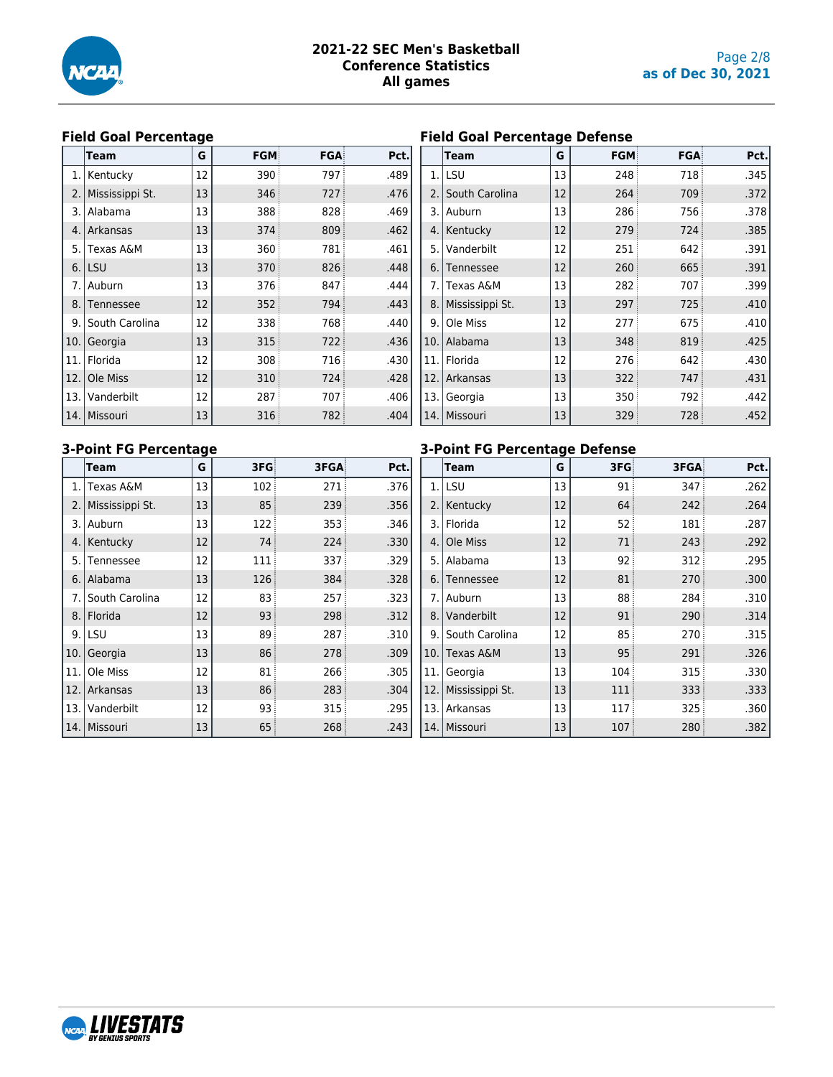

## **Field Goal Percentage**

|     | <b>Team</b>                     | G  | <b>FGM</b> | <b>FGA</b> | Pct. |
|-----|---------------------------------|----|------------|------------|------|
| 1.  | Kentucky                        | 12 | 390        | 797        | .489 |
| 2.  | Mississippi St.                 | 13 | 346        | 727        | .476 |
| 3.  | Alabama                         | 13 | 388        | 828        | .469 |
| 4.  | Arkansas                        | 13 | 374        | 809        | .462 |
| 5.  | Texas A&M                       | 13 | 360        | 781        | .461 |
|     | 6. LSU                          | 13 | 370        | 826        | .448 |
| 7.  | Auburn                          | 13 | 376        | 847        | .444 |
| 8.  | Tennessee                       | 12 | 352        | 794        | .443 |
| 9.  | South Carolina                  | 12 | 338        | 768        | .440 |
| 10. | Georgia                         | 13 | 315        | 722        | .436 |
| 11. | Florida                         | 12 | 308        | 716        | .430 |
| 12. | Ole Miss                        | 12 | 310        | 724        | .428 |
| 13. | <i><u><b>Nanderbilt</b></u></i> | 12 | 287        | 707        | .406 |
| 14. | Missouri                        | 13 | 316        | 782        | .404 |

## **Field Goal Percentage Defense**

|     |                      | -  |            |            |      |
|-----|----------------------|----|------------|------------|------|
|     | Team                 | G  | <b>FGM</b> | <b>FGA</b> | Pct. |
|     | 1. LSU               | 13 | 248        | 718        | .345 |
| 2.  | South Carolina       | 12 | 264        | 709        | .372 |
| 3.  | Auburn               | 13 | 286        | 756        | .378 |
| 4.  | Kentucky             | 12 | 279        | 724        | .385 |
| 5.  | Vanderbilt           | 12 | 251        | 642        | .391 |
| 6.  | Tennessee            | 12 | 260        | 665        | .391 |
| 7.  | <b>Texas A&amp;M</b> | 13 | 282        | 707        | .399 |
| 8.  | Mississippi St.      | 13 | 297        | 725        | .410 |
| 9.  | Ole Miss             | 12 | 277        | 675        | .410 |
| 10. | Alabama              | 13 | 348        | 819        | .425 |
| 11. | Florida              | 12 | 276        | 642        | .430 |
| 12. | Arkansas             | 13 | 322        | 747        | .431 |
| 13. | Georgia              | 13 | 350        | 792        | .442 |
| 14. | Missouri             | 13 | 329        | 728        | .452 |

## **3-Point FG Percentage**

|     | Team                 | G  | 3FG | 3FGA | Pct. |
|-----|----------------------|----|-----|------|------|
| 1.  | <b>Texas A&amp;M</b> | 13 | 102 | 271  | .376 |
| 2.  | Mississippi St.      | 13 | 85  | 239  | .356 |
| 3.  | Auburn               | 13 | 122 | 353  | .346 |
| 4.  | Kentucky             | 12 | 74  | 224  | .330 |
| 5.  | Tennessee            | 12 | 111 | 337  | .329 |
| 6.  | Alabama              | 13 | 126 | 384  | .328 |
| 7.  | South Carolina       | 12 | 83  | 257  | .323 |
| 8.  | Florida              | 12 | 93  | 298  | .312 |
| 9.  | LSU                  | 13 | 89  | 287  | .310 |
| 10. | Georgia              | 13 | 86  | 278  | .309 |
| 11. | Ole Miss             | 12 | 81  | 266  | .305 |
| 12. | Arkansas             | 13 | 86  | 283  | .304 |
| 13. | Vanderbilt           | 12 | 93  | 315  | .295 |
| 14. | l Missouri           | 13 | 65  | 268  | .243 |

## **3-Point FG Percentage Defense**

|     | Team                 | G  | 3FG | 3FGA | Pct. |
|-----|----------------------|----|-----|------|------|
| 1.  | LSU                  | 13 | 91  | 347  | .262 |
| 2.  | Kentucky             | 12 | 64  | 242  | .264 |
| 3.  | Florida              | 12 | 52  | 181  | .287 |
| 4.  | Ole Miss             | 12 | 71  | 243  | .292 |
| 5.  | Alabama              | 13 | 92  | 312  | .295 |
| 6.  | Tennessee            | 12 | 81  | 270  | .300 |
| 7.  | Auburn               | 13 | 88  | 284  | .310 |
| 8.  | Vanderbilt           | 12 | 91  | 290  | .314 |
| 9.  | South Carolina       | 12 | 85  | 270  | .315 |
| 10. | <b>Texas A&amp;M</b> | 13 | 95  | 291  | .326 |
| 11. | Georgia              | 13 | 104 | 315  | .330 |
| 12. | Mississippi St.      | 13 | 111 | 333  | .333 |
| 13. | Arkansas             | 13 | 117 | 325  | .360 |
| 14. | Missouri             | 13 | 107 | 280  | .382 |

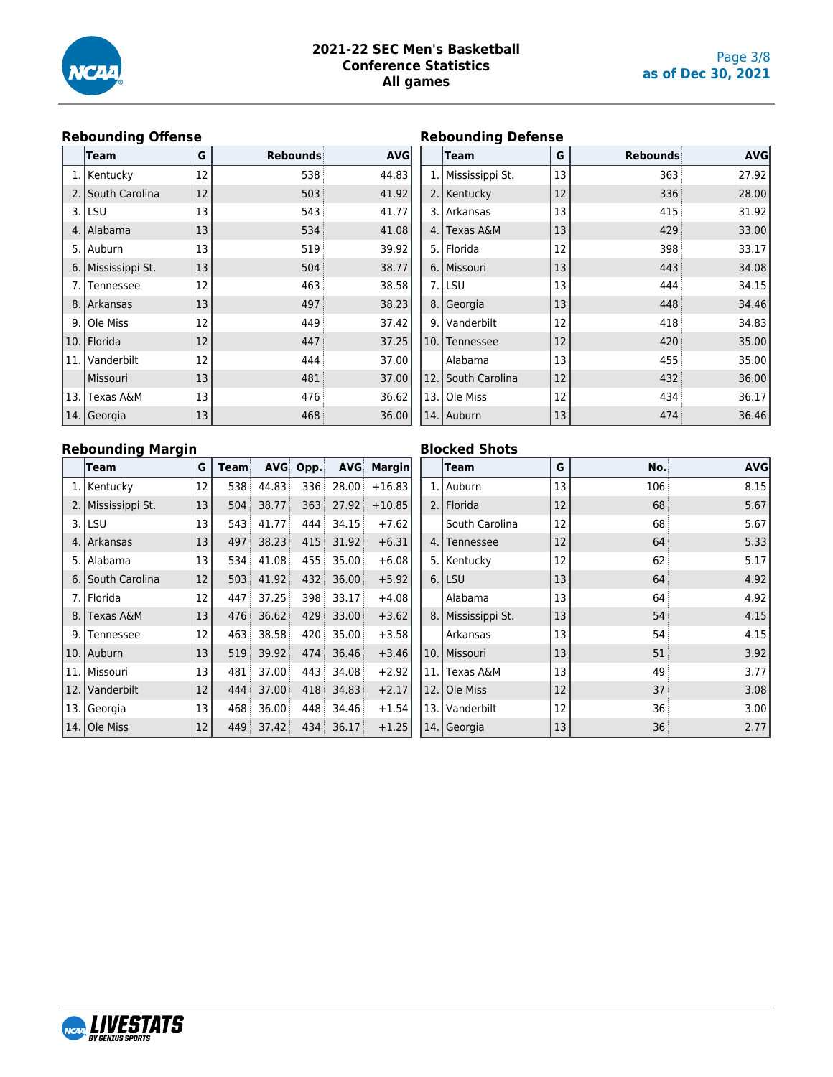

#### **2021-22 SEC Men's Basketball Conference Statistics All games**

## **Rebounding Offense**

|     | Team            | G  | Rebounds | <b>AVG</b> |
|-----|-----------------|----|----------|------------|
| 1.1 | Kentucky        | 12 | 538      | 44.83      |
| 2.  | South Carolina  | 12 | 503      | 41.92      |
| 3.  | l LSU           | 13 | 543      | 41.77      |
| 4.  | Alabama         | 13 | 534      | 41.08      |
| 5.  | Auburn          | 13 | 519      | 39.92      |
| 6.  | Mississippi St. | 13 | 504      | 38.77      |
| 7.  | Tennessee       | 12 | 463      | 38.58      |
| 8.  | Arkansas        | 13 | 497      | 38.23      |
| 9.  | Ole Miss        | 12 | 449      | 37.42      |
| 10. | Florida         | 12 | 447      | 37.25      |
| 11. | Vanderbilt      | 12 | 444      | 37.00      |
|     | Missouri        | 13 | 481      | 37.00      |
| 13. | Texas A&M       | 13 | 476      | 36.62      |
| 14. | Georgia         | 13 | 468      | 36.00      |

## **Rebounding Defense**

|     | ັ<br>Team            | G  | Rebounds | <b>AVG</b> |
|-----|----------------------|----|----------|------------|
|     | 1. Mississippi St.   | 13 | 363      | 27.92      |
| 2.  | Kentucky             | 12 | 336      | 28.00      |
| 3.  | Arkansas             | 13 | 415      | 31.92      |
| 4.  | <b>Texas A&amp;M</b> | 13 | 429      | 33.00      |
| 5.  | Florida              | 12 | 398      | 33.17      |
| 6.  | Missouri             | 13 | 443      | 34.08      |
| 7.  | LSU                  | 13 | 444      | 34.15      |
| 8.  | Georgia              | 13 | 448      | 34.46      |
| 9.  | Vanderbilt           | 12 | 418      | 34.83      |
| 10. | Tennessee            | 12 | 420      | 35.00      |
|     | Alabama              | 13 | 455      | 35.00      |
| 12. | South Carolina       | 12 | 432      | 36.00      |
| 13. | Ole Miss             | 12 | 434      | 36.17      |
| 14. | Auburn               | 13 | 474      | 36.46      |

## **Rebounding Margin**

|     | Team                 | G  | Team | <b>AVG:</b> | Opp. | <b>AVG:</b> | <b>Margin</b> |
|-----|----------------------|----|------|-------------|------|-------------|---------------|
| 1.  | Kentucky             | 12 | 538  | 44.83       | 336  | 28.00       | $+16.83$      |
| 2.  | Mississippi St.      | 13 | 504  | 38.77       | 363  | 27.92       | $+10.85$      |
| 3.  | LSU                  | 13 | 543  | 41.77       | 444  | 34.15       | $+7.62$       |
| 4.  | Arkansas             | 13 | 497  | 38.23       | 415  | 31.92       | $+6.31$       |
| 5.  | Alabama              | 13 | 534  | 41.08       | 455  | 35.00       | $+6.08$       |
| 6.  | South Carolina       | 12 | 503  | 41.92       | 432  | 36.00       | $+5.92$       |
| 7.  | Florida              | 12 | 447  | 37.25       | 398  | 33.17       | $+4.08$       |
| 8.  | <b>Texas A&amp;M</b> | 13 | 476  | 36.62       | 429  | 33.00       | $+3.62$       |
| 9.  | <b>Tennessee</b>     | 12 | 463  | 38.58       | 420  | 35.00       | $+3.58$       |
| 10. | Auburn               | 13 | 519  | 39.92       | 474  | 36.46       | $+3.46$       |
| 11. | Missouri             | 13 | 481  | 37.00       | 443  | 34.08       | $+2.92$       |
| 12. | Vanderbilt           | 12 | 444  | 37.00       | 418  | 34.83       | $+2.17$       |
| 13. | Georgia              | 13 | 468  | 36.00       | 448  | 34.46       | $+1.54$       |
|     | 14. Ole Miss         | 12 | 449  | 37.42       | 434  | 36.17       | $+1.25$       |

#### **Blocked Shots**

|     | Team                 | G  | No. | <b>AVG</b> |
|-----|----------------------|----|-----|------------|
| 1.  | Auburn               | 13 | 106 | 8.15       |
| 2.  | Florida              | 12 | 68  | 5.67       |
|     | South Carolina       | 12 | 68  | 5.67       |
| 4.  | Tennessee            | 12 | 64  | 5.33       |
|     | 5. Kentucky          | 12 | 62  | 5.17       |
|     | $6.$ LSU             | 13 | 64  | 4.92       |
|     | Alabama              | 13 | 64  | 4.92       |
| 8.  | Mississippi St.      | 13 | 54  | 4.15       |
|     | Arkansas             | 13 | 54  | 4.15       |
| 10. | Missouri             | 13 | 51  | 3.92       |
| 11. | <b>Texas A&amp;M</b> | 13 | 49  | 3.77       |
| 12. | Ole Miss             | 12 | 37  | 3.08       |
|     | 13. Vanderbilt       | 12 | 36  | 3.00       |
|     | 14. Georgia          | 13 | 36  | 2.77       |

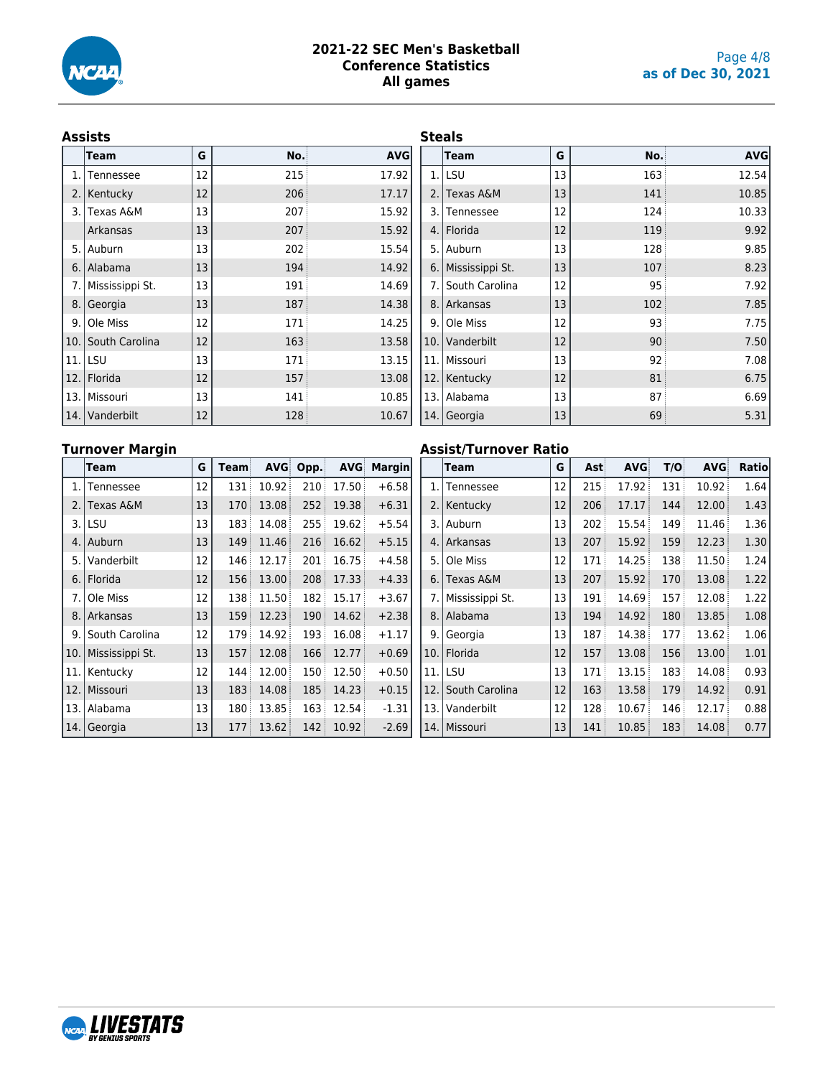

#### **2021-22 SEC Men's Basketball Conference Statistics All games**

**Steals**

#### **Assists**

|     | Team                 | G  | No. | <b>AVG</b> |
|-----|----------------------|----|-----|------------|
| 1.  | Tennessee            | 12 | 215 | 17.92      |
| 2.  | Kentucky             | 12 | 206 | 17.17      |
| 3.  | <b>Texas A&amp;M</b> | 13 | 207 | 15.92      |
|     | Arkansas             | 13 | 207 | 15.92      |
| 5.  | Auburn               | 13 | 202 | 15.54      |
| 6.  | Alabama              | 13 | 194 | 14.92      |
| 7.  | Mississippi St.      | 13 | 191 | 14.69      |
| 8.  | Georgia              | 13 | 187 | 14.38      |
| 9.  | Ole Miss             | 12 | 171 | 14.25      |
| 10. | South Carolina       | 12 | 163 | 13.58      |
| 11. | LSU                  | 13 | 171 | 13.15      |
| 12. | Florida              | 12 | 157 | 13.08      |
| 13. | Missouri             | 13 | 141 | 10.85      |
| 14. | Vanderbilt           | 12 | 128 | 10.67      |

|     | <b>Team</b>          | G  | No. | <b>AVG</b> |
|-----|----------------------|----|-----|------------|
| 1.  | LSU                  | 13 | 163 | 12.54      |
| 2.  | <b>Texas A&amp;M</b> | 13 | 141 | 10.85      |
| 3.  | Tennessee            | 12 | 124 | 10.33      |
| 4.  | Florida              | 12 | 119 | 9.92       |
| 5.  | Auburn               | 13 | 128 | 9.85       |
| 6.  | Mississippi St.      | 13 | 107 | 8.23       |
| 7.  | South Carolina       | 12 | 95  | 7.92       |
| 8.  | Arkansas             | 13 | 102 | 7.85       |
| 9.  | Ole Miss             | 12 | 93  | 7.75       |
| 10. | Vanderbilt           | 12 | 90  | 7.50       |
| 11. | Missouri             | 13 | 92  | 7.08       |
| 12. | Kentucky             | 12 | 81  | 6.75       |
| 13. | Alabama              | 13 | 87  | 6.69       |
|     | 14. Georgia          | 13 | 69  | 5.31       |

#### **Turnover Margin**

## **Team G Team AVG Opp. AVG Margin** 1. Tennessee 12 131 10.92 210 17.50 +6.58 2. Texas A&M  $\begin{vmatrix} 13 & 170 & 13.08 & 252 & 19.38 & +6.31 \end{vmatrix}$ 3. LSU 13 183 14.08 255 19.62 +5.54 4. Auburn 13 149 11.46 216 16.62 +5.15 5. Vanderbilt  $\begin{vmatrix} 12 & 146 & 12.17 & 201 & 16.75 & +4.58 \end{vmatrix}$ 6. Florida 12 156 13.00 208 17.33 +4.33 7. Ole Miss 12 138 11.50 182 15.17 +3.67 8. Arkansas 13 159 12.23 190 14.62 +2.38 9. South Carolina | 12 | 179 14.92 193 16.08 +1.17 10. Mississippi St. 13 157 12.08 166 12.77 +0.69 11. Kentucky  $|12|$  144 12.00 150 12.50 +0.50 12. Missouri 13 183 14.08 185 14.23 +0.15 13. Alabama 13 180 13.85 163 12.54 -1.31 14. Georgia 13 177 13.62 142 10.92 -2.69

#### **Assist/Turnover Ratio**

|     | Team                 | G  | Ast | <b>AVG</b> | T/O | <b>AVG</b> | <b>Ratio</b> |
|-----|----------------------|----|-----|------------|-----|------------|--------------|
| 1.  | Tennessee            | 12 | 215 | 17.92      | 131 | 10.92      | 1.64         |
| 2.  | Kentucky             | 12 | 206 | 17.17      | 144 | 12.00      | 1.43         |
| 3.  | Auburn               | 13 | 202 | 15.54      | 149 | 11.46      | 1.36         |
| 4.  | Arkansas             | 13 | 207 | 15.92      | 159 | 12.23      | 1.30         |
| 5.  | Ole Miss             | 12 | 171 | 14.25      | 138 | 11.50      | 1.24         |
| 6.  | <b>Texas A&amp;M</b> | 13 | 207 | 15.92      | 170 | 13.08      | 1.22         |
| 7.  | Mississippi St.      | 13 | 191 | 14.69      | 157 | 12.08      | 1.22         |
| 8.  | Alabama              | 13 | 194 | 14.92      | 180 | 13.85      | 1.08         |
| 9.  | Georgia              | 13 | 187 | 14.38      | 177 | 13.62      | 1.06         |
| 10. | Florida              | 12 | 157 | 13.08      | 156 | 13.00      | 1.01         |
| 11. | l LSU                | 13 | 171 | 13.15      | 183 | 14.08      | 0.93         |
| 12. | South Carolina       | 12 | 163 | 13.58      | 179 | 14.92      | 0.91         |
| 13. | Vanderbilt           | 12 | 128 | 10.67      | 146 | 12.17      | 0.88         |
|     | 14.   Missouri       | 13 | 141 | 10.85      | 183 | 14.08      | 0.77         |

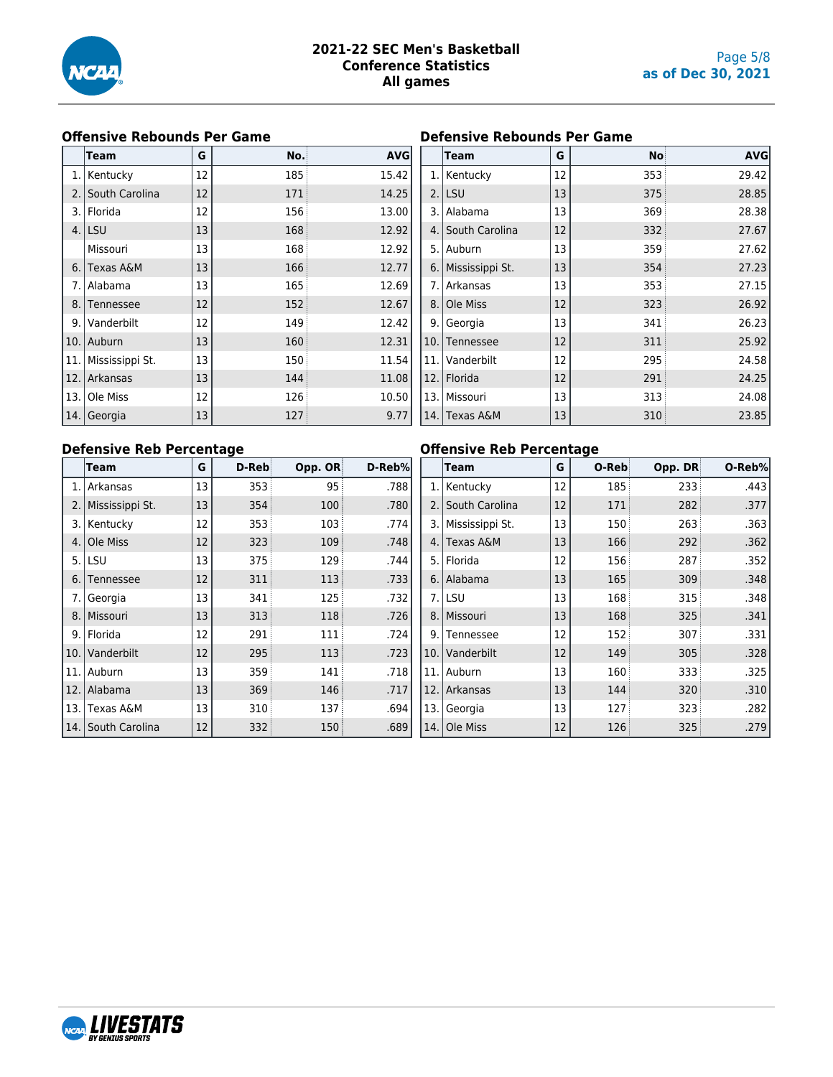

#### **Offensive Rebounds Per Game**

|      | Team            | G  | No. | <b>AVG</b> |
|------|-----------------|----|-----|------------|
|      | 1. Kentucky     | 12 | 185 | 15.42      |
| 2.   | South Carolina  | 12 | 171 | 14.25      |
| 3.   | Florida         | 12 | 156 | 13.00      |
| 4.   | l LSU           | 13 | 168 | 12.92      |
|      | Missouri        | 13 | 168 | 12.92      |
| 6.   | Texas A&M       | 13 | 166 | 12.77      |
| 7.   | Alabama         | 13 | 165 | 12.69      |
| 8.   | Tennessee       | 12 | 152 | 12.67      |
| 9.   | Vanderbilt      | 12 | 149 | 12.42      |
| 10.  | Auburn          | 13 | 160 | 12.31      |
| 11.  | Mississippi St. | 13 | 150 | 11.54      |
| 12.  | Arkansas        | 13 | 144 | 11.08      |
| 13.1 | Ole Miss        | 12 | 126 | 10.50      |
| 14.1 | Georgia         | 13 | 127 | 9.77       |

#### **Defensive Rebounds Per Game**

|     | <b>Team</b>     | G  | No  | <b>AVG</b> |
|-----|-----------------|----|-----|------------|
| 1.  | Kentucky        | 12 | 353 | 29.42      |
| 2.  | l LSU           | 13 | 375 | 28.85      |
| 3.  | Alabama         | 13 | 369 | 28.38      |
| 4.  | South Carolina  | 12 | 332 | 27.67      |
| 5.  | Auburn          | 13 | 359 | 27.62      |
| 6.  | Mississippi St. | 13 | 354 | 27.23      |
| 7.  | Arkansas        | 13 | 353 | 27.15      |
| 8.  | Ole Miss        | 12 | 323 | 26.92      |
| 9.  | Georgia         | 13 | 341 | 26.23      |
| 10. | Tennessee       | 12 | 311 | 25.92      |
| 11. | Vanderbilt      | 12 | 295 | 24.58      |
| 12. | Florida         | 12 | 291 | 24.25      |
| 13. | Missouri        | 13 | 313 | 24.08      |
|     | 14. Texas A&M   | 13 | 310 | 23.85      |

#### **Defensive Reb Percentage**

|     |                 |    | ັ     |         |        |     |
|-----|-----------------|----|-------|---------|--------|-----|
|     | Team            | G  | D-Reb | Opp. OR | D-Reb% |     |
| 1.  | Arkansas        | 13 | 353   | 95      | .788   | 1.  |
| 2.  | Mississippi St. | 13 | 354   | 100     | .780   | 2.  |
| 3.  | Kentucky        | 12 | 353   | 103     | .774   | 3.  |
| 4.  | Ole Miss        | 12 | 323   | 109     | .748   | 4.  |
| 5.  | l LSU           | 13 | 375   | 129     | .744   | 5.  |
| 6.  | Tennessee       | 12 | 311   | 113     | .733   | 6.  |
| 7.  | Georgia         | 13 | 341   | 125     | .732   | 7.  |
| 8.  | Missouri        | 13 | 313   | 118     | .726   | 8.  |
| 9.  | Florida         | 12 | 291   | 111     | .724   | 9.  |
| 10. | Vanderbilt      | 12 | 295   | 113     | .723   | 10. |
| 11. | Auburn          | 13 | 359   | 141     | .718   | 11. |
| 12. | Alabama         | 13 | 369   | 146     | .717   | 12. |
| 13. | Texas A&M       | 13 | 310   | 137     | .694   | 13. |
| 14. | South Carolina  | 12 | 332   | 150     | .689   | 14. |

### **Offensive Reb Percentage**

|      |                      |    | ັ     |         |        |
|------|----------------------|----|-------|---------|--------|
|      | Team                 | G  | O-Reb | Opp. DR | O-Reb% |
| 1.   | Kentucky             | 12 | 185   | 233     | .443   |
| 2.   | South Carolina       | 12 | 171   | 282     | .377   |
| 3.   | Mississippi St.      | 13 | 150   | 263     | .363   |
| 4.   | <b>Texas A&amp;M</b> | 13 | 166   | 292     | .362   |
| 5.   | Florida              | 12 | 156   | 287     | .352   |
| 6.   | Alabama              | 13 | 165   | 309     | .348   |
| 7. I | LSU                  | 13 | 168   | 315     | .348   |
| 8.   | Missouri             | 13 | 168   | 325     | .341   |
| 9.   | Tennessee            | 12 | 152   | 307     | .331   |
| 10.  | Vanderbilt           | 12 | 149   | 305     | .328   |
| 11.  | Auburn               | 13 | 160   | 333     | .325   |
| 12.  | Arkansas             | 13 | 144   | 320     | .310   |
| 13.1 | Georgia              | 13 | 127   | 323     | .282   |
|      | 14. Ole Miss         | 12 | 126   | 325     | .279   |

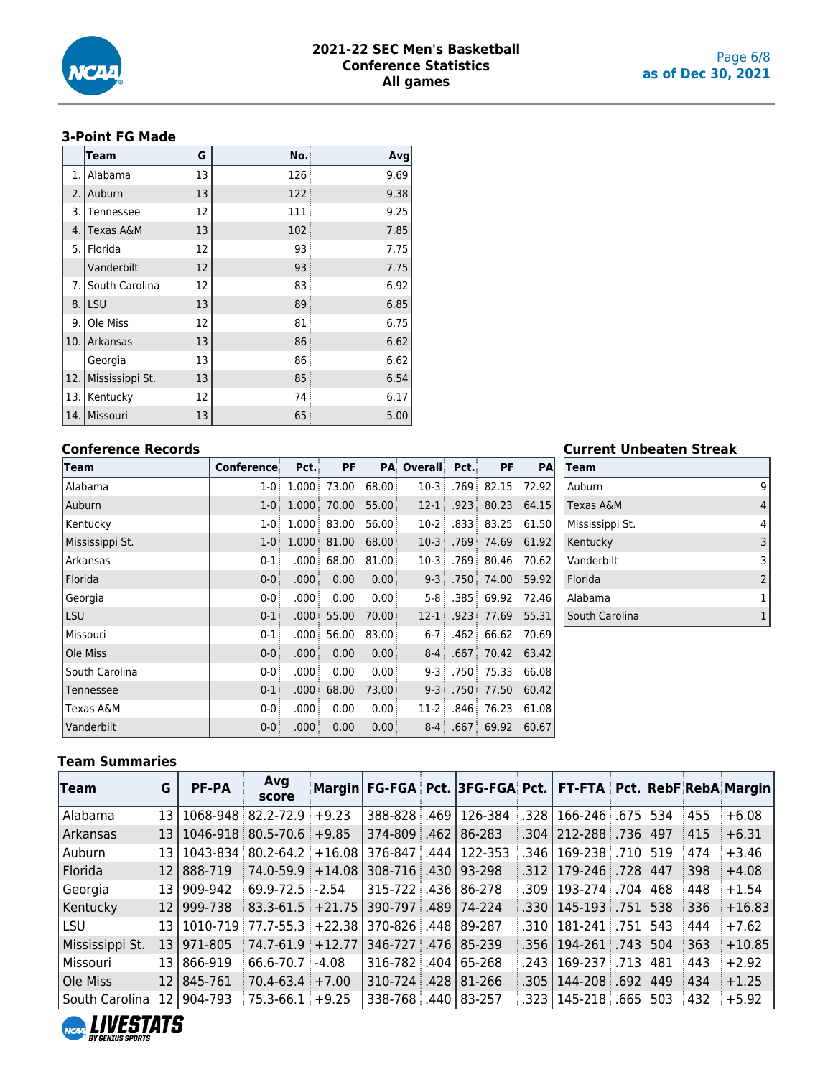

## **3-Point FG Made**

|     | Team                 | G  | No. | Avg  |
|-----|----------------------|----|-----|------|
| 1.  | Alabama              | 13 | 126 | 9.69 |
| 2.  | Auburn               | 13 | 122 | 9.38 |
| 3.  | Tennessee            | 12 | 111 | 9.25 |
| 4.  | <b>Texas A&amp;M</b> | 13 | 102 | 7.85 |
| 5.  | Florida              | 12 | 93  | 7.75 |
|     | Vanderbilt           | 12 | 93  | 7.75 |
|     | 7. South Carolina    | 12 | 83  | 6.92 |
|     | 8. LSU               | 13 | 89  | 6.85 |
| 9.  | Ole Miss             | 12 | 81  | 6.75 |
| 10. | Arkansas             | 13 | 86  | 6.62 |
|     | Georgia              | 13 | 86  | 6.62 |
| 12. | Mississippi St.      | 13 | 85  | 6.54 |
| 13. | Kentucky             | 12 | 74  | 6.17 |
| 14. | Missouri             | 13 | 65  | 5.00 |

#### **Conference Records**

| Team            | <b>Conference</b> | Pct.              | PF    |       | <b>PA Overall</b> | Pct.              | PF    | PA    |
|-----------------|-------------------|-------------------|-------|-------|-------------------|-------------------|-------|-------|
| Alabama         | $1 - 0$           | 1.000             | 73.00 | 68.00 | $10-3$            | .769 <sup>1</sup> | 82.15 | 72.92 |
| Auburn          | $1-0$             | 1.000             | 70.00 | 55.00 | $12 - 1$          | .923              | 80.23 | 64.15 |
| Kentucky        | $1 - 0$           | 1.000             | 83.00 | 56.00 | $10-2$            | .833:             | 83.25 | 61.50 |
| Mississippi St. | $1-0$             | 1.000             | 81.00 | 68.00 | $10-3$            | .769:             | 74.69 | 61.92 |
| Arkansas        | $0 - 1$           | .000:             | 68.00 | 81.00 | $10-3$            | .769 <sup>1</sup> | 80.46 | 70.62 |
| Florida         | $0-0$             | .000              | 0.00  | 0.00  | $9 - 3$           | .750:             | 74.00 | 59.92 |
| Georgia         | $0 - 0$           | .000 <sub>1</sub> | 0.00  | 0.00  | $5 - 8$           | .385 <sup>1</sup> | 69.92 | 72.46 |
| LSU             | $0 - 1$           | .000              | 55.00 | 70.00 | $12 - 1$          | .923              | 77.69 | 55.31 |
| Missouri        | $0 - 1$           | .000:             | 56.00 | 83.00 | $6 - 7$           | .462 <sup>1</sup> | 66.62 | 70.69 |
| Ole Miss        | $0-0$             | .000 <sub>1</sub> | 0.00  | 0.00  | $8 - 4$           | .667 <sup>3</sup> | 70.42 | 63.42 |
| South Carolina  | $0-0$             | .000 <sub>1</sub> | 0.00  | 0.00  | $9 - 3$           | .750 <sup>1</sup> | 75.33 | 66.08 |
| Tennessee       | $0 - 1$           | .000              | 68.00 | 73.00 | $9 - 3$           | .750              | 77.50 | 60.42 |
| Texas A&M       | $0-0$             | .000              | 0.00: | 0.00  | $11-2$            | .846:             | 76.23 | 61.08 |
| Vanderbilt      | $0-0$             | .000              | 0.00  | 0.00  | $8-4$             | .667 <sup>3</sup> | 69.92 | 60.67 |

### **Current Unbeaten Streak**

| Team                 |               |
|----------------------|---------------|
| Auburn               | q             |
| <b>Texas A&amp;M</b> |               |
| Mississippi St.      |               |
| Kentucky             | 3             |
| Vanderbilt           | 3             |
| Florida              | $\mathcal{P}$ |
| Alabama              |               |
| South Carolina       |               |

#### **Team Summaries**

| <b>Team</b>     | G               | <b>PF-PA</b> | Avg<br>score                                             |         |                     |      | Margin   FG-FGA   Pct. 3FG-FGA   Pct.   FT-FTA   Pct.   RebF RebA Margin |        |                             |     |       |          |
|-----------------|-----------------|--------------|----------------------------------------------------------|---------|---------------------|------|--------------------------------------------------------------------------|--------|-----------------------------|-----|-------|----------|
| Alabama         | 13              |              | 1068-948 82.2-72.9                                       | $+9.23$ | 388-828             | .469 | 126-384                                                                  | .328 l | 166-246 675                 | 534 | 455   | $+6.08$  |
| Arkansas        | 13              |              | $1046 - 918$ 80.5-70.6 + 9.85                            |         | 374-809             |      | $.462 \mid 86-283$                                                       | ا 304. | 212-288   .736              | 497 | 415   | $+6.31$  |
| Auburn          | 13              |              | $1043 - 834 \, \times \, 80.2 - 64.2 \, \times \, 16.08$ |         | 376-847             |      | .444   122 353                                                           | 346    | 169-238   .710   519        |     | 474   | $+3.46$  |
| Florida         | 12              | 888-719      | $74.0 - 59.9 + 14.08$                                    |         | 308-716 .430 93-298 |      |                                                                          | ا 312. | 179-246   .728   447        |     | : 398 | $+4.08$  |
| Georgia         | 13 <sup>1</sup> | 909-942      | $69.9 - 72.5$ -2.54                                      |         | 315-722 .436 86-278 |      |                                                                          | .309   | 193-274   .704              | 468 | 448   | $+1.54$  |
| Kentucky        | 12              | 999-738      | $83.3 - 61.5$ + 21.75                                    |         | 390-797 .489 74-224 |      |                                                                          |        | .330   145-193   .751       | 538 | 336   | $+16.83$ |
| LSU             | 13              | 1010-719     | $177.7 - 55.3 + 22.38$                                   |         | 370-826 .448 89-287 |      |                                                                          |        | .310   181-241   .751       | 543 | 444   | $+7.62$  |
| Mississippi St. | 13              | 971-805      | $74.7 - 61.9$ + 12.77                                    |         | 346-727 476 85-239  |      |                                                                          | ا 356. | 194-261   .743              | 504 | 363   | $+10.85$ |
| Missouri        | 13              | 866-919      | $66.6 - 70.7 = 4.08$                                     |         | 316-782             |      | .404 65-268                                                              | ا 243. | 169-237 .713                | 481 | 443   | $+2.92$  |
| Ole Miss        | 12              | 845-761      | $70.4 - 63.4 \div 7.00$                                  |         | 310-724 .428 81-266 |      |                                                                          | .305   | 144-208 692                 | 449 | 434   | $+1.25$  |
| South Carolina  | 12              | 904-793      | $75.3 - 66.1$ + 9.25                                     |         | 338-768 .440 83-257 |      |                                                                          |        | .323   145-218   .665   503 |     | 432   | $+5.92$  |

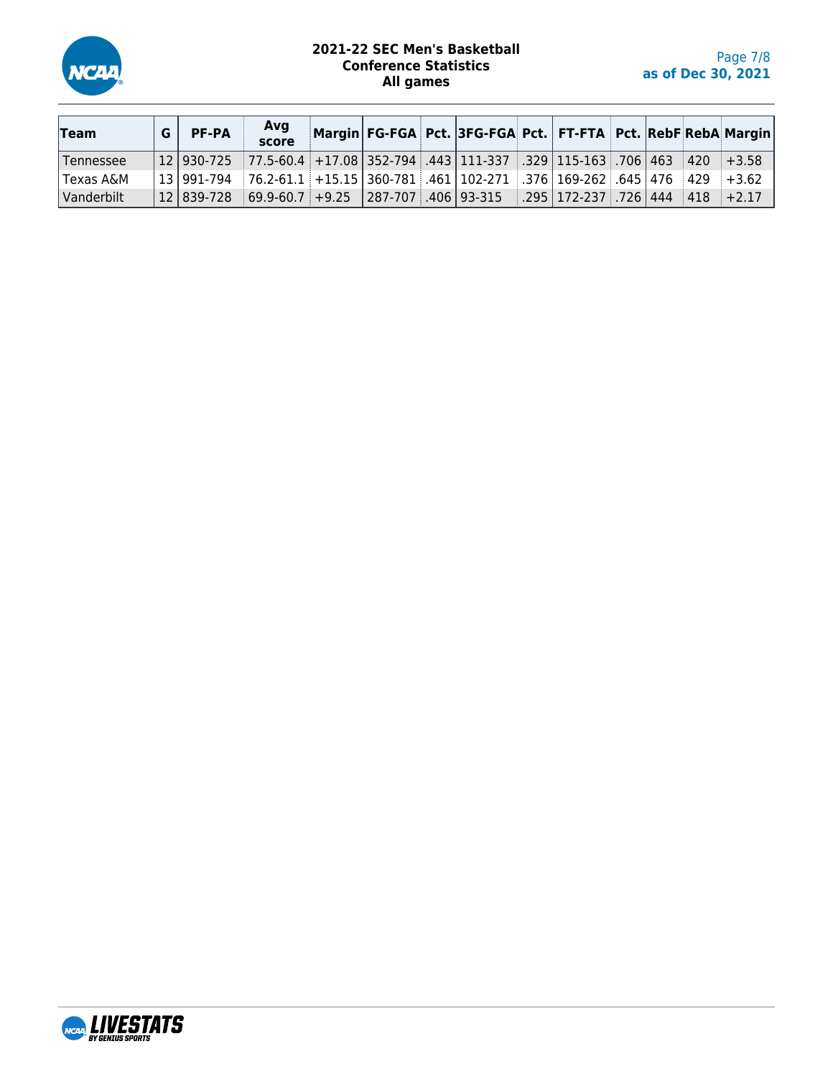

## **2021-22 SEC Men's Basketball Conference Statistics All games**

| <b>Team</b> | G. | PF-PA | Avg<br>score                                                                                                                                       |  | Margin FG-FGA Pct. 3FG-FGA Pct. FT-FTA Pct. RebF RebA Margin |  |  |  |
|-------------|----|-------|----------------------------------------------------------------------------------------------------------------------------------------------------|--|--------------------------------------------------------------|--|--|--|
| Tennessee   |    |       | 12 930-725 77.5-60.4 +17.08 352-794 .443 111-337 329 115-163 .706 463 420 +3.58                                                                    |  |                                                              |  |  |  |
| Texas A&M   |    |       | $\mid$ 13   991-794 $\mid$ 76.2-61.1 $\mid$ +15.15   360-781 $\mid$ .461   102-271 $\mid$ .376   169-262 $\mid$ .645   476 $\mid$ 429 $\mid$ +3.62 |  |                                                              |  |  |  |
| Vanderbilt  |    |       | 112   839-728   69.9-60.7   +9.25   287-707   .406   93-315   .295   172-237   .726   444   418   +2.17 ال                                         |  |                                                              |  |  |  |

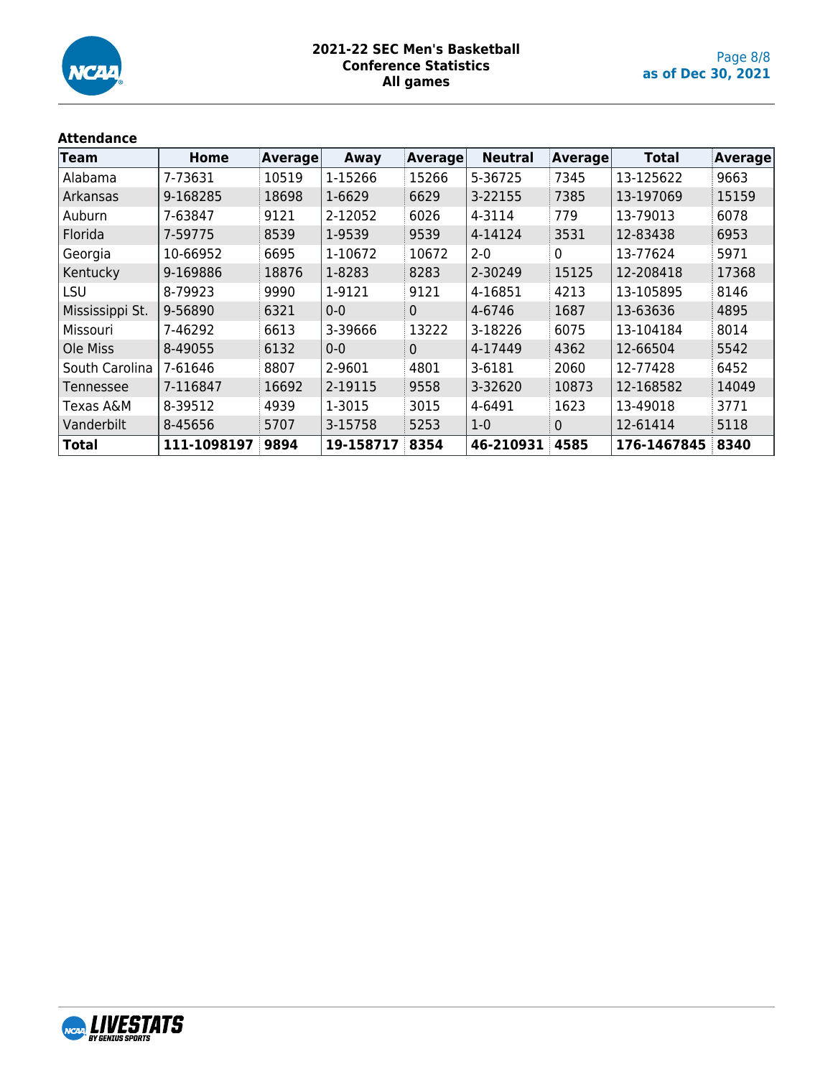

## **Attendance**

| Team            | Home        | Average | Away      | <b>Average</b> | <b>Neutral</b> | Average | <b>Total</b> | Average |
|-----------------|-------------|---------|-----------|----------------|----------------|---------|--------------|---------|
| Alabama         | 7-73631     | 10519   | 1-15266   | 15266          | 5-36725        | 7345    | 13-125622    | 9663    |
| Arkansas        | 9-168285    | 18698   | 1-6629    | 6629           | 3-22155        | 7385    | 13-197069    | 15159   |
| Auburn          | 7-63847     | 9121    | 2-12052   | 6026           | 4-3114         | 779     | 13-79013     | 6078    |
| Florida         | 7-59775     | 8539    | 1-9539    | 9539           | 4-14124        | 3531    | 12-83438     | 6953    |
| Georgia         | 10-66952    | 6695    | 1-10672   | 10672          | $2 - 0$        | 0       | 13-77624     | 5971    |
| Kentucky        | 9-169886    | 18876   | 1-8283    | 8283           | 2-30249        | 15125   | 12-208418    | 17368   |
| LSU             | 8-79923     | 9990    | 1-9121    | 9121           | 4-16851        | 4213    | 13-105895    | 8146    |
| Mississippi St. | 9-56890     | 6321    | $0 - 0$   | $\Omega$       | 4-6746         | 1687    | 13-63636     | 4895    |
| Missouri        | 7-46292     | 6613    | 3-39666   | 13222          | 3-18226        | 6075    | 13-104184    | 8014    |
| Ole Miss        | 8-49055     | 6132    | $0 - 0$   | 0              | 4-17449        | 4362    | 12-66504     | 5542    |
| South Carolina  | 7-61646     | 8807    | 2-9601    | 4801           | 3-6181         | 2060    | 12-77428     | 6452    |
| Tennessee       | 7-116847    | 16692   | 2-19115   | 9558           | 3-32620        | 10873   | 12-168582    | 14049   |
| Texas A&M       | 8-39512     | 4939    | 1-3015    | 3015           | 4-6491         | 1623    | 13-49018     | 3771    |
| Vanderbilt      | 8-45656     | 5707    | 3-15758   | 5253           | $1-0$          | 0       | 12-61414     | 5118    |
| <b>Total</b>    | 111-1098197 | 9894    | 19-158717 | 8354           | 46-210931      | 4585    | 176-1467845  | 8340    |

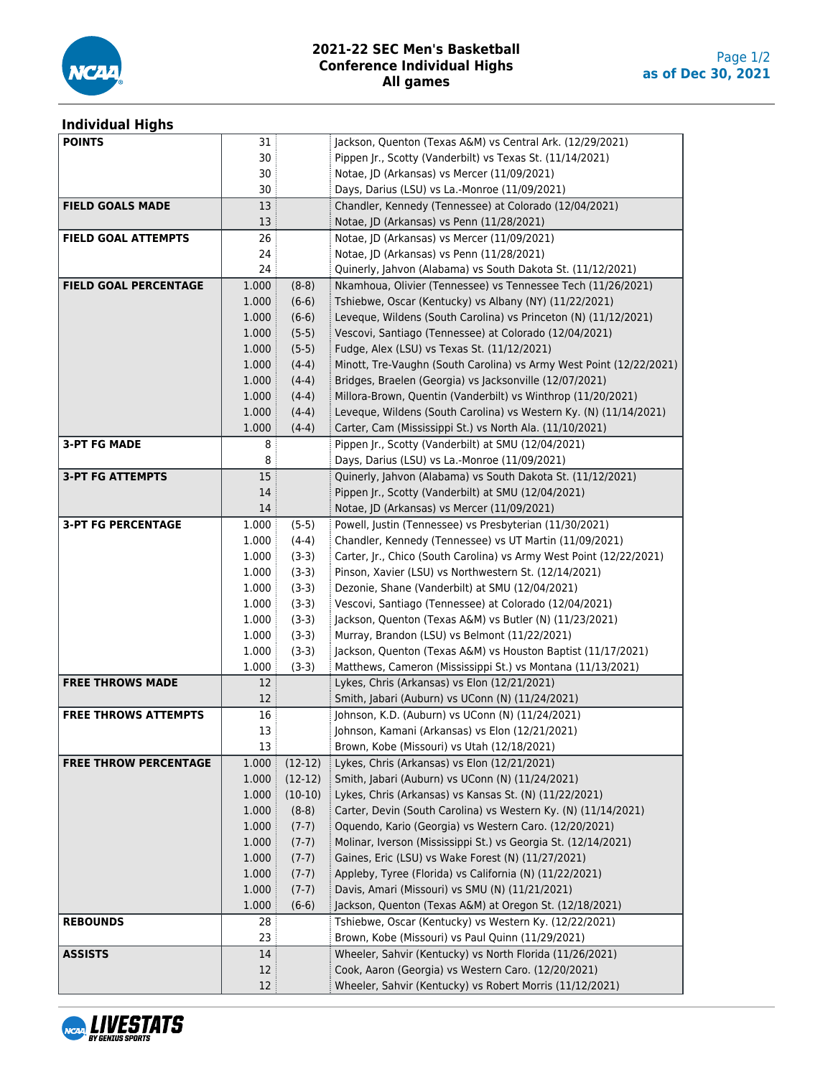

#### **2021-22 SEC Men's Basketball Conference Individual Highs All games**

## **Individual Highs**

| <b>POINTS</b>                | 31             |                    | Jackson, Quenton (Texas A&M) vs Central Ark. (12/29/2021)                                                                |
|------------------------------|----------------|--------------------|--------------------------------------------------------------------------------------------------------------------------|
|                              | 30             |                    | Pippen Jr., Scotty (Vanderbilt) vs Texas St. (11/14/2021)                                                                |
|                              | 30             |                    | Notae, JD (Arkansas) vs Mercer (11/09/2021)                                                                              |
|                              | 30             |                    | Days, Darius (LSU) vs La.-Monroe (11/09/2021)                                                                            |
| <b>FIELD GOALS MADE</b>      | 13             |                    | Chandler, Kennedy (Tennessee) at Colorado (12/04/2021)                                                                   |
|                              | 13             |                    | Notae, JD (Arkansas) vs Penn (11/28/2021)                                                                                |
| <b>FIELD GOAL ATTEMPTS</b>   | 26             |                    | Notae, JD (Arkansas) vs Mercer (11/09/2021)                                                                              |
|                              | 24             |                    | Notae, JD (Arkansas) vs Penn (11/28/2021)                                                                                |
|                              | 24             |                    | Quinerly, Jahvon (Alabama) vs South Dakota St. (11/12/2021)                                                              |
| <b>FIELD GOAL PERCENTAGE</b> | 1.000          | $(8-8)$            | Nkamhoua, Olivier (Tennessee) vs Tennessee Tech (11/26/2021)                                                             |
|                              | 1.000          | $(6-6)$            | Tshiebwe, Oscar (Kentucky) vs Albany (NY) (11/22/2021)                                                                   |
|                              | 1.000          | $(6-6)$            | Leveque, Wildens (South Carolina) vs Princeton (N) (11/12/2021)                                                          |
|                              | 1.000          | $(5-5)$            | Vescovi, Santiago (Tennessee) at Colorado (12/04/2021)                                                                   |
|                              | 1.000          | $(5-5)$            | Fudge, Alex (LSU) vs Texas St. (11/12/2021)                                                                              |
|                              | 1.000          | $(4-4)$            | Minott, Tre-Vaughn (South Carolina) vs Army West Point (12/22/2021)                                                      |
|                              | 1.000          | $(4-4)$            | Bridges, Braelen (Georgia) vs Jacksonville (12/07/2021)                                                                  |
|                              | 1.000          | $(4-4)$            | Millora-Brown, Quentin (Vanderbilt) vs Winthrop (11/20/2021)                                                             |
|                              | 1.000          | $(4-4)$            | Leveque, Wildens (South Carolina) vs Western Ky. (N) (11/14/2021)                                                        |
|                              | 1.000          | $(4-4)$            | Carter, Cam (Mississippi St.) vs North Ala. (11/10/2021)                                                                 |
| <b>3-PT FG MADE</b>          | 8              |                    | Pippen Jr., Scotty (Vanderbilt) at SMU (12/04/2021)                                                                      |
|                              | 8              |                    | Days, Darius (LSU) vs La.-Monroe (11/09/2021)                                                                            |
| <b>3-PT FG ATTEMPTS</b>      | 15             |                    | Quinerly, Jahvon (Alabama) vs South Dakota St. (11/12/2021)                                                              |
|                              | 14             |                    | Pippen Jr., Scotty (Vanderbilt) at SMU (12/04/2021)                                                                      |
|                              | 14             |                    | Notae, JD (Arkansas) vs Mercer (11/09/2021)                                                                              |
| <b>3-PT FG PERCENTAGE</b>    | 1.000          | $(5-5)$            | Powell, Justin (Tennessee) vs Presbyterian (11/30/2021)                                                                  |
|                              | 1.000          | $(4-4)$            | Chandler, Kennedy (Tennessee) vs UT Martin (11/09/2021)                                                                  |
|                              | 1.000          | $(3-3)$            | Carter, Jr., Chico (South Carolina) vs Army West Point (12/22/2021)                                                      |
|                              | 1.000          | $(3-3)$            | Pinson, Xavier (LSU) vs Northwestern St. (12/14/2021)                                                                    |
|                              | 1.000          | $(3-3)$            | Dezonie, Shane (Vanderbilt) at SMU (12/04/2021)                                                                          |
|                              | 1.000          | $(3-3)$            | Vescovi, Santiago (Tennessee) at Colorado (12/04/2021)                                                                   |
|                              | 1.000          | $(3-3)$            | Jackson, Quenton (Texas A&M) vs Butler (N) (11/23/2021)                                                                  |
|                              | 1.000          | $(3-3)$            | Murray, Brandon (LSU) vs Belmont (11/22/2021)                                                                            |
|                              | 1.000          | $(3-3)$            | Jackson, Quenton (Texas A&M) vs Houston Baptist (11/17/2021)                                                             |
|                              | 1.000          | $(3-3)$            | Matthews, Cameron (Mississippi St.) vs Montana (11/13/2021)                                                              |
| <b>FREE THROWS MADE</b>      | 12             |                    | Lykes, Chris (Arkansas) vs Elon (12/21/2021)                                                                             |
|                              | 12             |                    | Smith, Jabari (Auburn) vs UConn (N) (11/24/2021)                                                                         |
| <b>FREE THROWS ATTEMPTS</b>  | 16             |                    | Johnson, K.D. (Auburn) vs UConn (N) (11/24/2021)                                                                         |
|                              | 13             |                    | Johnson, Kamani (Arkansas) vs Elon (12/21/2021)                                                                          |
|                              | 13             |                    | Brown, Kobe (Missouri) vs Utah (12/18/2021)                                                                              |
| <b>FREE THROW PERCENTAGE</b> | 1.000          | $(12-12)$          | Lykes, Chris (Arkansas) vs Elon (12/21/2021)                                                                             |
|                              | 1.000          | $(12-12)$          | Smith, Jabari (Auburn) vs UConn (N) (11/24/2021)<br>Lykes, Chris (Arkansas) vs Kansas St. (N) (11/22/2021)               |
|                              | 1.000<br>1.000 | $(10-10)$          |                                                                                                                          |
|                              | 1.000          | $(8-8)$<br>$(7-7)$ | Carter, Devin (South Carolina) vs Western Ky. (N) (11/14/2021)<br>Oquendo, Kario (Georgia) vs Western Caro. (12/20/2021) |
|                              | 1.000          | $(7-7)$            | Molinar, Iverson (Mississippi St.) vs Georgia St. (12/14/2021)                                                           |
|                              | 1.000          | $(7-7)$            | Gaines, Eric (LSU) vs Wake Forest (N) (11/27/2021)                                                                       |
|                              | 1.000          |                    |                                                                                                                          |
|                              | 1.000          | $(7-7)$<br>$(7-7)$ | Appleby, Tyree (Florida) vs California (N) (11/22/2021)<br>Davis, Amari (Missouri) vs SMU (N) (11/21/2021)               |
|                              | 1.000          | $(6-6)$            | Jackson, Quenton (Texas A&M) at Oregon St. (12/18/2021)                                                                  |
| <b>REBOUNDS</b>              | 28             |                    | Tshiebwe, Oscar (Kentucky) vs Western Ky. (12/22/2021)                                                                   |
|                              | 23             |                    | Brown, Kobe (Missouri) vs Paul Quinn (11/29/2021)                                                                        |
| <b>ASSISTS</b>               | 14             |                    | Wheeler, Sahvir (Kentucky) vs North Florida (11/26/2021)                                                                 |
|                              | 12             |                    | Cook, Aaron (Georgia) vs Western Caro. (12/20/2021)                                                                      |
|                              | 12             |                    | Wheeler, Sahvir (Kentucky) vs Robert Morris (11/12/2021)                                                                 |

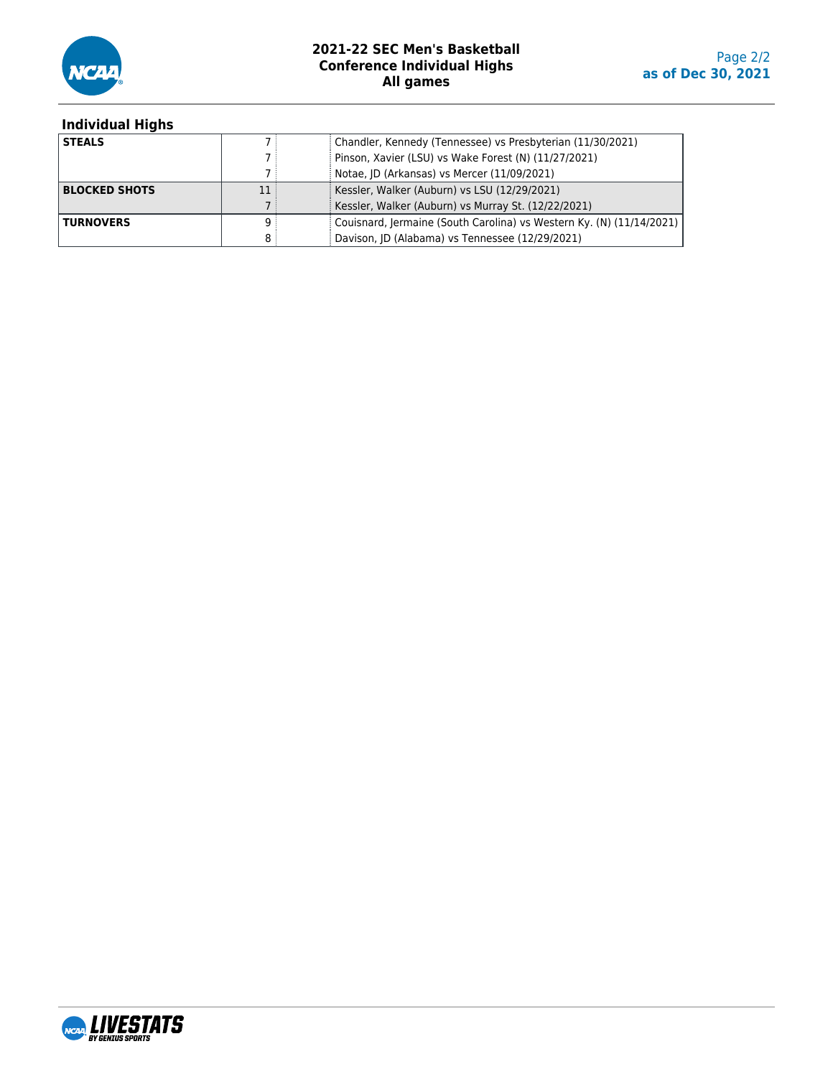

#### **Individual Highs**

| <b>STEALS</b>        |     | Chandler, Kennedy (Tennessee) vs Presbyterian (11/30/2021)           |
|----------------------|-----|----------------------------------------------------------------------|
|                      |     | Pinson, Xavier (LSU) vs Wake Forest (N) (11/27/2021)                 |
|                      |     | Notae, JD (Arkansas) vs Mercer (11/09/2021)                          |
| <b>BLOCKED SHOTS</b> | 11: | Kessler, Walker (Auburn) vs LSU (12/29/2021)                         |
|                      |     | Kessler, Walker (Auburn) vs Murray St. (12/22/2021)                  |
| <b>TURNOVERS</b>     | Q   | Couisnard, Jermaine (South Carolina) vs Western Ky. (N) (11/14/2021) |
|                      | 8   | Davison, JD (Alabama) vs Tennessee (12/29/2021)                      |

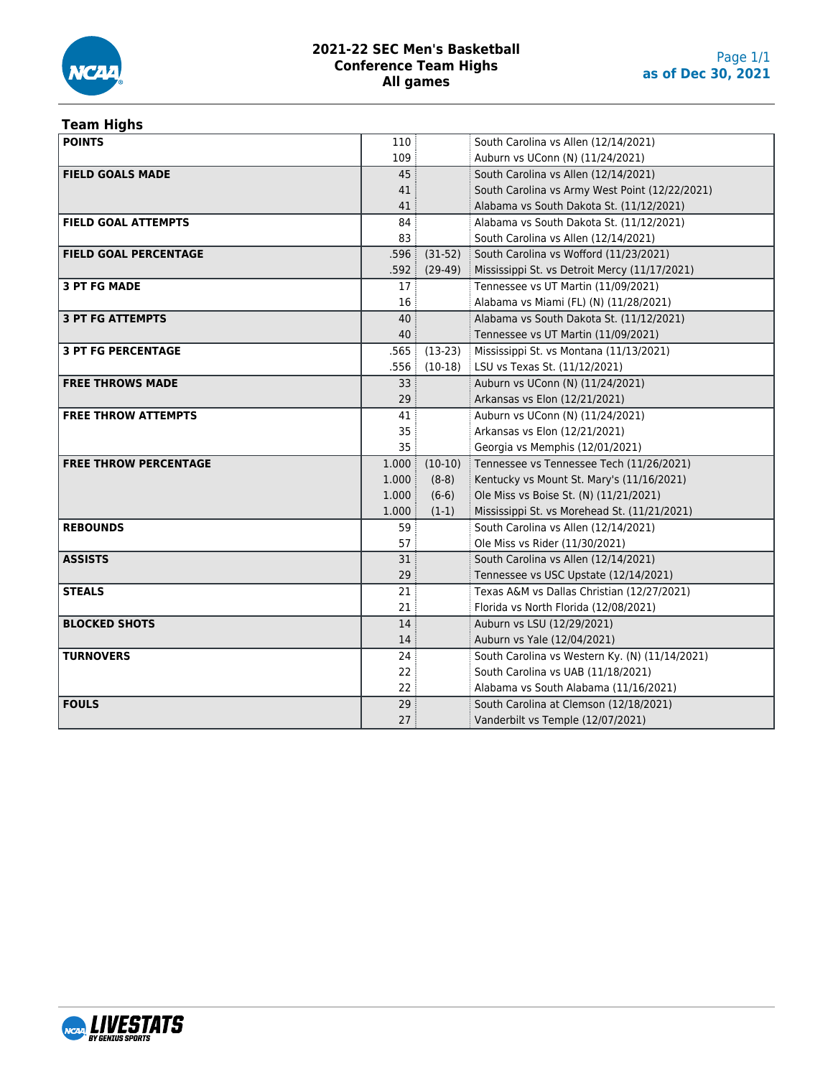

## **Team Highs**

| <b>POINTS</b>                | 110             |           | South Carolina vs Allen (12/14/2021)           |
|------------------------------|-----------------|-----------|------------------------------------------------|
|                              | 109             |           | Auburn vs UConn (N) (11/24/2021)               |
| <b>FIELD GOALS MADE</b>      | 45              |           | South Carolina vs Allen (12/14/2021)           |
|                              | 41              |           | South Carolina vs Army West Point (12/22/2021) |
|                              | 41              |           | Alabama vs South Dakota St. (11/12/2021)       |
| <b>FIELD GOAL ATTEMPTS</b>   | 84              |           | Alabama vs South Dakota St. (11/12/2021)       |
|                              | 83              |           | South Carolina vs Allen (12/14/2021)           |
| <b>FIELD GOAL PERCENTAGE</b> | ∶ 596.          | $(31-52)$ | South Carolina vs Wofford (11/23/2021)         |
|                              | ∶ 592.          | $(29-49)$ | Mississippi St. vs Detroit Mercy (11/17/2021)  |
| <b>3 PT FG MADE</b>          | 17 <sup>1</sup> |           | Tennessee vs UT Martin (11/09/2021)            |
|                              | 16              |           | Alabama vs Miami (FL) (N) (11/28/2021)         |
| <b>3 PT FG ATTEMPTS</b>      | 40              |           | Alabama vs South Dakota St. (11/12/2021)       |
|                              | 40              |           | Tennessee vs UT Martin (11/09/2021)            |
| <b>3 PT FG PERCENTAGE</b>    | .565            | $(13-23)$ | Mississippi St. vs Montana (11/13/2021)        |
|                              | .556            |           | $(10-18)$ LSU vs Texas St. $(11/12/2021)$      |
| <b>FREE THROWS MADE</b>      | 33              |           | Auburn vs UConn (N) (11/24/2021)               |
|                              | 29              |           | Arkansas vs Elon (12/21/2021)                  |
| <b>FREE THROW ATTEMPTS</b>   | 41              |           | Auburn vs UConn (N) (11/24/2021)               |
|                              | 35              |           | Arkansas vs Elon (12/21/2021)                  |
|                              | 35              |           | Georgia vs Memphis (12/01/2021)                |
| <b>FREE THROW PERCENTAGE</b> | 1.000:          | $(10-10)$ | Tennessee vs Tennessee Tech (11/26/2021)       |
|                              | 1.000           | $(8-8)$   | Kentucky vs Mount St. Mary's (11/16/2021)      |
|                              | 1.000           | $(6-6)$   | Ole Miss vs Boise St. (N) (11/21/2021)         |
|                              | 1.000           | $(1-1)$   | Mississippi St. vs Morehead St. (11/21/2021)   |
| <b>REBOUNDS</b>              | 59              |           | South Carolina vs Allen (12/14/2021)           |
|                              | 57              |           | Ole Miss vs Rider (11/30/2021)                 |
| <b>ASSISTS</b>               | 31              |           | South Carolina vs Allen (12/14/2021)           |
|                              | 29              |           | Tennessee vs USC Upstate (12/14/2021)          |
| <b>STEALS</b>                | 21              |           | Texas A&M vs Dallas Christian (12/27/2021)     |
|                              | 21              |           | Florida vs North Florida (12/08/2021)          |
| <b>BLOCKED SHOTS</b>         | 14              |           | Auburn vs LSU (12/29/2021)                     |
|                              | 14              |           | Auburn vs Yale (12/04/2021)                    |
| <b>TURNOVERS</b>             | 24              |           | South Carolina vs Western Ky. (N) (11/14/2021) |
|                              | 22              |           | South Carolina vs UAB (11/18/2021)             |
|                              | 22              |           | Alabama vs South Alabama (11/16/2021)          |
| <b>FOULS</b>                 | 29              |           | South Carolina at Clemson (12/18/2021)         |
|                              | 27              |           | Vanderbilt vs Temple (12/07/2021)              |

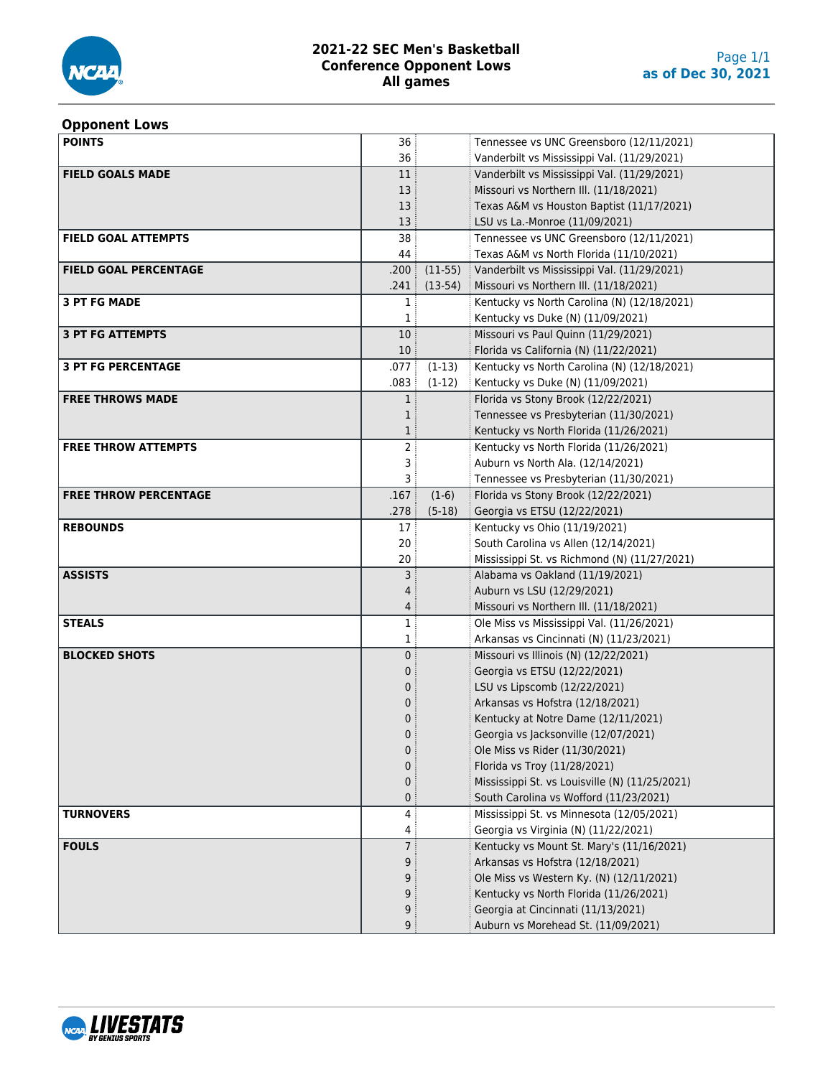

## **2021-22 SEC Men's Basketball Conference Opponent Lows All games**

## **Opponent Lows**

| <b>POINTS</b>                | 36              |           | Tennessee vs UNC Greensboro (12/11/2021)                         |
|------------------------------|-----------------|-----------|------------------------------------------------------------------|
|                              | 36              |           | Vanderbilt vs Mississippi Val. (11/29/2021)                      |
| <b>FIELD GOALS MADE</b>      | 11              |           | Vanderbilt vs Mississippi Val. (11/29/2021)                      |
|                              | 13              |           | Missouri vs Northern III. (11/18/2021)                           |
|                              | 13              |           | Texas A&M vs Houston Baptist (11/17/2021)                        |
|                              | 13              |           | LSU vs La.-Monroe (11/09/2021)                                   |
| <b>FIELD GOAL ATTEMPTS</b>   | 38              |           | Tennessee vs UNC Greensboro (12/11/2021)                         |
|                              | 44              |           | Texas A&M vs North Florida (11/10/2021)                          |
| <b>FIELD GOAL PERCENTAGE</b> | .200:           | $(11-55)$ | Vanderbilt vs Mississippi Val. (11/29/2021)                      |
|                              | .241            | $(13-54)$ | Missouri vs Northern III. (11/18/2021)                           |
| <b>3 PT FG MADE</b>          | 1               |           | Kentucky vs North Carolina (N) (12/18/2021)                      |
|                              | $\mathbf{1}$    |           | Kentucky vs Duke (N) (11/09/2021)                                |
| <b>3 PT FG ATTEMPTS</b>      | 10              |           | Missouri vs Paul Quinn (11/29/2021)                              |
|                              | 10 <sup>°</sup> |           | Florida vs California (N) (11/22/2021)                           |
| <b>3 PT FG PERCENTAGE</b>    | .077            | $(1-13)$  | Kentucky vs North Carolina (N) (12/18/2021)                      |
|                              | .083            | $(1-12)$  | Kentucky vs Duke (N) (11/09/2021)                                |
| <b>FREE THROWS MADE</b>      | $\mathbf{1}$    |           | Florida vs Stony Brook (12/22/2021)                              |
|                              | $\mathbf{1}$    |           | Tennessee vs Presbyterian (11/30/2021)                           |
|                              | 1               |           | Kentucky vs North Florida (11/26/2021)                           |
| <b>FREE THROW ATTEMPTS</b>   | 2 <sup>1</sup>  |           | Kentucky vs North Florida (11/26/2021)                           |
|                              | 3               |           | Auburn vs North Ala. (12/14/2021)                                |
|                              | 3               |           | Tennessee vs Presbyterian (11/30/2021)                           |
| <b>FREE THROW PERCENTAGE</b> | .167            | $(1-6)$   | Florida vs Stony Brook (12/22/2021)                              |
|                              | .278            | $(5-18)$  | Georgia vs ETSU (12/22/2021)                                     |
| <b>REBOUNDS</b>              | 17              |           | Kentucky vs Ohio (11/19/2021)                                    |
|                              | 20              |           | South Carolina vs Allen (12/14/2021)                             |
|                              | 20              |           | Mississippi St. vs Richmond (N) (11/27/2021)                     |
| <b>ASSISTS</b>               | $\mathsf{3}$    |           | Alabama vs Oakland (11/19/2021)                                  |
|                              | 4               |           | Auburn vs LSU (12/29/2021)                                       |
|                              | 4               |           | Missouri vs Northern III. (11/18/2021)                           |
| <b>STEALS</b>                | $\mathbf{1}$    |           | Ole Miss vs Mississippi Val. (11/26/2021)                        |
|                              | $\mathbf{1}$    |           | Arkansas vs Cincinnati (N) (11/23/2021)                          |
| <b>BLOCKED SHOTS</b>         | 0               |           | Missouri vs Illinois (N) (12/22/2021)                            |
|                              | 0               |           | Georgia vs ETSU (12/22/2021)                                     |
|                              | 0<br>0          |           | LSU vs Lipscomb (12/22/2021)<br>Arkansas vs Hofstra (12/18/2021) |
|                              | 0               |           | Kentucky at Notre Dame (12/11/2021)                              |
|                              | 0               |           | Georgia vs Jacksonville (12/07/2021)                             |
|                              | 0               |           | Ole Miss vs Rider (11/30/2021)                                   |
|                              | 0               |           | Florida vs Troy (11/28/2021)                                     |
|                              | 0               |           | Mississippi St. vs Louisville (N) (11/25/2021)                   |
|                              | 0               |           | South Carolina vs Wofford (11/23/2021)                           |
| <b>TURNOVERS</b>             | $\overline{4}$  |           | Mississippi St. vs Minnesota (12/05/2021)                        |
|                              | 4               |           | Georgia vs Virginia (N) (11/22/2021)                             |
| <b>FOULS</b>                 | 7 <sup>3</sup>  |           | Kentucky vs Mount St. Mary's (11/16/2021)                        |
|                              | 9               |           | Arkansas vs Hofstra (12/18/2021)                                 |
|                              | 9               |           | Ole Miss vs Western Ky. (N) (12/11/2021)                         |
|                              | 9               |           | Kentucky vs North Florida (11/26/2021)                           |
|                              | 9               |           | Georgia at Cincinnati (11/13/2021)                               |
|                              | 9               |           | Auburn vs Morehead St. (11/09/2021)                              |

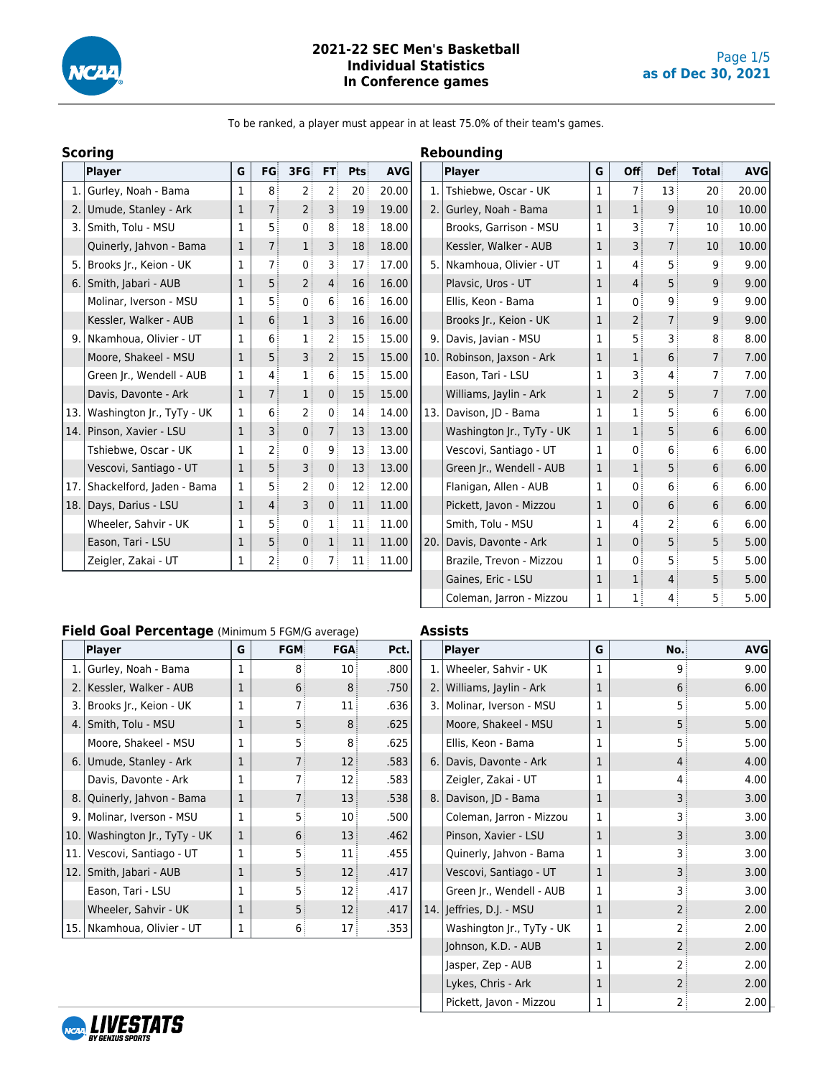

To be ranked, a player must appear in at least 75.0% of their team's games.

|       | Scoring                   |                |                |                   |                   |                 |            |
|-------|---------------------------|----------------|----------------|-------------------|-------------------|-----------------|------------|
|       | <b>Player</b>             | G              | <b>FG:</b>     | 3FG               | FT:               | Pts             | <b>AVG</b> |
| 1.1   | Gurley, Noah - Bama       | 1              | 8              | $2^{\frac{1}{2}}$ | 2                 | 20 <sub>3</sub> | 20.00      |
| 2.    | Umude, Stanley - Ark      | 1              | $\overline{7}$ | $\overline{2}$    | 3                 | 19 <sup>3</sup> | 19.00      |
| 3. l  | Smith, Tolu - MSU         | $\overline{1}$ | 5              | $\mathbf{0}$      | 8                 | 18 <sup>3</sup> | 18.00      |
|       | Quinerly, Jahvon - Bama   | $\overline{1}$ | $\overline{7}$ | 1:                | 3 <sup>3</sup>    | 18 <sup>3</sup> | 18.00      |
| 5. l  | Brooks Jr., Keion - UK    | $\overline{1}$ | 7              | $0^{\frac{1}{2}}$ | 3                 | 17 <sup>3</sup> | 17.00      |
| 6.1   | Smith, Jabari - AUB       | $\overline{1}$ | 5              | $\overline{2}$    | 4:                | 16 <sup>3</sup> | 16.00      |
|       | Molinar, Iverson - MSU    | $\overline{1}$ | 5              | 0                 | 6                 | 16 <sup>3</sup> | 16.00      |
|       | Kessler, Walker - AUB     | 1              | 6              | $\mathbf{1}$      | 3 <sup>3</sup>    | 16 <sub>3</sub> | 16.00      |
|       | 9. Nkamhoua, Olivier - UT | $\mathbf{1}$   | 6              | 1                 | 2                 | 15 <sup>3</sup> | 15.00      |
|       | Moore, Shakeel - MSU      | 1              | 5              | $\overline{3}$    | $2^{\frac{1}{2}}$ | 15 <sup>5</sup> | 15.00      |
|       | Green Jr., Wendell - AUB  | $\overline{1}$ | 4              | 1                 | 6                 | 15 <sub>3</sub> | 15.00      |
|       | Davis, Davonte - Ark      | 1              | $\overline{7}$ | $\mathbf{1}$      | 0:                | 15 <sup>3</sup> | 15.00      |
| 13. l | Washington Jr., TyTy - UK | $\overline{1}$ | 6              | $\overline{2}$    | 0                 | 14 <sup>3</sup> | 14.00      |
| 14.   | Pinson, Xavier - LSU      | 1              | 3              | $\mathbf{0}$      | $\overline{7}$    | 13 <sup>3</sup> | 13.00      |
|       | Tshiebwe, Oscar - UK      | 1              | 2              | 0                 | ؛ 9               | 13 <sup>3</sup> | 13.00      |
|       | Vescovi, Santiago - UT    | 1              | 5              | 3                 | 0                 | 13 <sup>3</sup> | 13.00      |
| 17.   | Shackelford, Jaden - Bama | 1              | 5              | 2                 | 0                 | 12 <sub>1</sub> | 12.00      |
| 18.   | Days, Darius - LSU        | 1              | $\overline{4}$ | 3 <sup>3</sup>    | 0                 | 11              | 11.00      |
|       | Wheeler, Sahvir - UK      | 1              | 5              | 0                 | 1                 | 11              | 11.00      |
|       | Eason, Tari - LSU         | 1              | 5              | 0                 | $\mathbf{1}$      | 11              | 11.00      |
|       | Zeigler, Zakai - UT       | 1              | 2              | 0                 | 7                 | 11              | 11.00      |

|       | <b>Rebounding</b>         |              |                |                 |                    |            |
|-------|---------------------------|--------------|----------------|-----------------|--------------------|------------|
|       | <b>Player</b>             | G            | <b>Off</b>     | <b>Def</b>      | <b>Total</b>       | <b>AVG</b> |
| 1.1   | Tshiebwe, Oscar - UK      | 1            | $\overline{7}$ | 13 <sup>3</sup> | $20^{\frac{1}{2}}$ | 20.00      |
| 2.1   | Gurley, Noah - Bama       | $\mathbf{1}$ | $\mathbf{1}$   | 9               | 10                 | 10.00      |
|       | Brooks, Garrison - MSU    | 1            | 3              | $\overline{7}$  | 10 <sub>1</sub>    | 10.00      |
|       | Kessler, Walker - AUB     | $\mathbf{1}$ | 3              | $\overline{7}$  | 10 <sup>°</sup>    | 10.00      |
| 5. l  | Nkamhoua, Olivier - UT    | 1            | 4              | 5               | 9                  | 9.00       |
|       | Plavsic, Uros - UT        | $\mathbf{1}$ | $\overline{4}$ | 5               | 9                  | 9.00       |
|       | Ellis, Keon - Bama        | $\mathbf{1}$ | 0              | 9               | 9                  | 9.00       |
|       | Brooks Jr., Keion - UK    | $\mathbf{1}$ | $\overline{2}$ | $\overline{7}$  | 9                  | 9.00       |
| 9. l  | Davis, Javian - MSU       | 1            | 5              | 3               | 8                  | 8.00       |
| 10.   | Robinson, Jaxson - Ark    | $\mathbf{1}$ | $\mathbf{1}$   | 6               | $\overline{7}$     | 7.00       |
|       | Eason, Tari - LSU         | $\mathbf{1}$ | 3              | 4               | 7                  | 7.00       |
|       | Williams, Jaylin - Ark    | $\mathbf{1}$ | $\overline{2}$ | 5               | $\overline{7}$     | 7.00       |
| 13. l | Davison, JD - Bama        | 1            | 1              | 5               | 6                  | 6.00       |
|       | Washington Jr., TyTy - UK | $\mathbf{1}$ | $\mathbf{1}$   | 5               | 6                  | 6.00       |
|       | Vescovi, Santiago - UT    | 1            | $\mathbf{0}$   | 6               | 6                  | 6.00       |
|       | Green Jr., Wendell - AUB  | $\mathbf{1}$ | $\mathbf{1}$   | 5               | 6                  | 6.00       |
|       | Flanigan, Allen - AUB     | 1            | 0              | 6               | 6                  | 6.00       |
|       | Pickett, Javon - Mizzou   | $\mathbf{1}$ | $\mathbf 0$    | 6               | 6                  | 6.00       |
|       | Smith, Tolu - MSU         | 1            | 4              | 2               | 6                  | 6.00       |
| 20.   | Davis, Davonte - Ark      | $\mathbf{1}$ | $\mathbf{0}$   | 5               | 5                  | 5.00       |
|       | Brazile, Trevon - Mizzou  | 1            | 0              | 5               | 5                  | 5.00       |
|       | Gaines, Eric - LSU        | $\mathbf{1}$ | $\mathbf 1$    | $\overline{4}$  | 5                  | 5.00       |
|       | Coleman, Jarron - Mizzou  | $\mathbf{1}$ | 1              | 4               | 5                  | 5.00       |

#### **Field Goal Percentage** (Minimum 5 FGM/G average)

|     | <b>Player</b>             | G | <b>FGM</b> | <b>FGA</b> | Pct. |
|-----|---------------------------|---|------------|------------|------|
| 1.1 | Gurley, Noah - Bama       | 1 | 8          | 10         | .800 |
| 2.  | Kessler, Walker - AUB     | 1 | 6          | 8          | .750 |
| 3.  | Brooks Jr., Keion - UK    | 1 | 7          | 11         | .636 |
| 4.1 | Smith, Tolu - MSU         | 1 | 5          | 8          | .625 |
|     | Moore, Shakeel - MSU      | 1 | 5          | 8          | .625 |
|     | 6. Umude, Stanley - Ark   | 1 | 7          | 12         | .583 |
|     | Davis, Davonte - Ark      | 1 | 7          | 12         | .583 |
| 8.1 | Quinerly, Jahvon - Bama   | 1 | 7          | 13         | .538 |
| 9.  | Molinar, Iverson - MSU    | 1 | 5          | 10         | .500 |
| 10. | Washington Jr., TyTy - UK | 1 | 6          | 13         | .462 |
| 11. | Vescovi, Santiago - UT    | 1 | 5          | 11         | .455 |
| 12. | Smith, Jabari - AUB       | 1 | 5          | 12         | .417 |
|     | Eason, Tari - LSU         | 1 | 5          | 12         | .417 |
|     | Wheeler, Sahvir - UK      | 1 | 5          | 12         | .417 |
| 15. | Nkamhoua, Olivier - UT    | 1 | 6          | 17         | .353 |

## **Assists**

|     | <b>Player</b>             | G            | No.            | <b>AVG</b> |
|-----|---------------------------|--------------|----------------|------------|
| 1.1 | Wheeler, Sahvir - UK      | 1            | 9              | 9.00       |
| 2.  | Williams, Jaylin - Ark    | $\mathbf{1}$ | 6              | 6.00       |
| 3.1 | Molinar, Iverson - MSU    | 1            | 5              | 5.00       |
|     | Moore, Shakeel - MSU      | 1            | 5              | 5.00       |
|     | Ellis, Keon - Bama        | 1            | 5              | 5.00       |
|     | 6.   Davis, Davonte - Ark | 1            | 4              | 4.00       |
|     | Zeigler, Zakai - UT       | 1            | 4              | 4.00       |
| 8.  | Davison, JD - Bama        | 1            | 3              | 3.00       |
|     | Coleman, Jarron - Mizzou  | 1            | 3              | 3.00       |
|     | Pinson, Xavier - LSU      | $\mathbf{1}$ | 3              | 3.00       |
|     | Quinerly, Jahvon - Bama   | 1            | 3              | 3.00       |
|     | Vescovi, Santiago - UT    | 1            | 3              | 3.00       |
|     | Green Jr., Wendell - AUB  | 1            | 3              | 3.00       |
|     | 14. Jeffries, D.J. - MSU  | 1            | 2              | 2.00       |
|     | Washington Jr., TyTy - UK | 1            | 2              | 2.00       |
|     | Johnson, K.D. - AUB       | $\mathbf{1}$ | $\overline{2}$ | 2.00       |
|     | Jasper, Zep - AUB         | 1            | $\overline{2}$ | 2.00       |
|     | Lykes, Chris - Ark        | 1            | 2              | 2.00       |
|     | Pickett, Javon - Mizzou   | 1            | 2              | 2.00       |

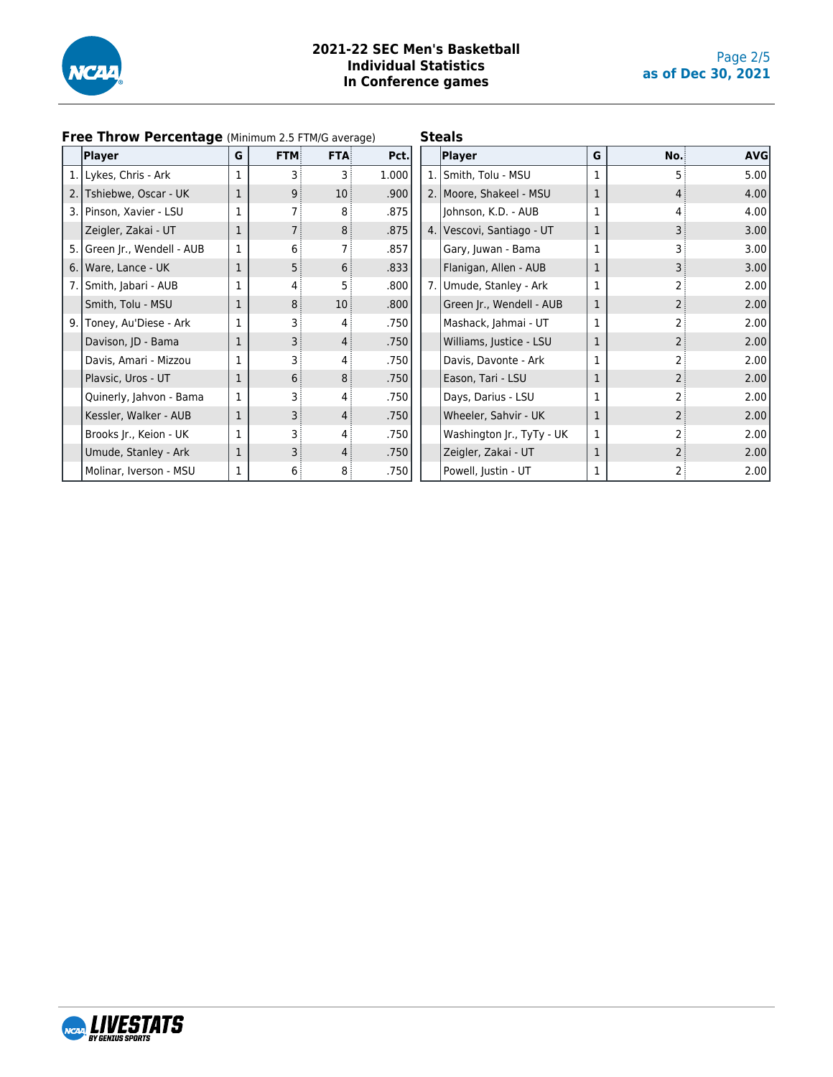

#### **2021-22 SEC Men's Basketball Individual Statistics In Conference games**

| <b>Free Throw Percentage</b> (Minimum 2.5 FTM/G average) |              |                |                 |       |    | <b>Steals</b>             |   |                   |            |
|----------------------------------------------------------|--------------|----------------|-----------------|-------|----|---------------------------|---|-------------------|------------|
| Player                                                   | G            | <b>FTM</b>     | <b>FTA</b>      | Pct.  |    | Player                    | G | No.               | <b>AVG</b> |
| 1. Lykes, Chris - Ark                                    | $\mathbf{1}$ |                | 3               | 1.000 | 1. | Smith, Tolu - MSU         | 1 | 5                 | 5.00       |
| 2. Tshiebwe, Oscar - UK                                  | 1            | 9:             | 10 <sub>1</sub> | .900  |    | 2.   Moore, Shakeel - MSU | 1 | 4:                | 4.00       |
| 3. Pinson, Xavier - LSU                                  | $\mathbf{1}$ |                | 8               | .875  |    | Johnson, K.D. - AUB       | 1 | 4                 | 4.00       |
| Zeigler, Zakai - UT                                      | 1            |                | 8 <sup>3</sup>  | .875  |    | 4. Vescovi, Santiago - UT | 1 | 3 <sup>3</sup>    | 3.00       |
| 5. Green Jr., Wendell - AUB                              | $\mathbf{1}$ | 6 <sup>3</sup> | 7 :             | .857  |    | Gary, Juwan - Bama        |   |                   | 3.00       |
| 6. Ware, Lance - UK                                      | 1            | 5 !            | 6:              | .833  |    | Flanigan, Allen - AUB     | 1 | 3                 | 3.00       |
| 7. Smith, Jabari - AUB                                   |              | 4:             | 5               | .800  | 7. | Umude, Stanley - Ark      |   |                   | 2.00       |
| Smith, Tolu - MSU                                        | 1            | 8 <sup>3</sup> | 10 <sub>1</sub> | .800  |    | Green Jr., Wendell - AUB  | 1 | 2                 | 2.00       |
| 9.   Toney, Au'Diese - Ark                               | 1            |                | 4               | .750  |    | Mashack, Jahmai - UT      |   |                   | 2.00       |
| Davison, JD - Bama                                       | 1            | 3              | 4:              | .750  |    | Williams, Justice - LSU   | 1 | $2^{\frac{1}{2}}$ | 2.00       |
| Davis, Amari - Mizzou                                    |              |                | 4               | .750  |    | Davis, Davonte - Ark      |   |                   | 2.00       |
| Plavsic, Uros - UT                                       | 1            | 6 <sup>3</sup> | 8               | .750  |    | Eason, Tari - LSU         | 1 | $2^{\frac{1}{2}}$ | 2.00       |
| Quinerly, Jahvon - Bama                                  |              |                | 4               | .750  |    | Days, Darius - LSU        |   | 2 :               | 2.00       |
| Kessler, Walker - AUB                                    | 1            | 3              | 4:              | .750  |    | Wheeler, Sahvir - UK      | 1 | 2 <sup>3</sup>    | 2.00       |
| Brooks Jr., Keion - UK                                   | 1            |                | 4               | .750  |    | Washington Jr., TyTy - UK | 1 |                   | 2.00       |
| Umude, Stanley - Ark                                     | 1            |                | 4:              | .750  |    | Zeigler, Zakai - UT       | 1 | $2^{\frac{1}{2}}$ | 2.00       |
| Molinar, Iverson - MSU                                   | $\mathbf{1}$ | 6              | 8               | .750  |    | Powell, Justin - UT       |   |                   | 2.00       |

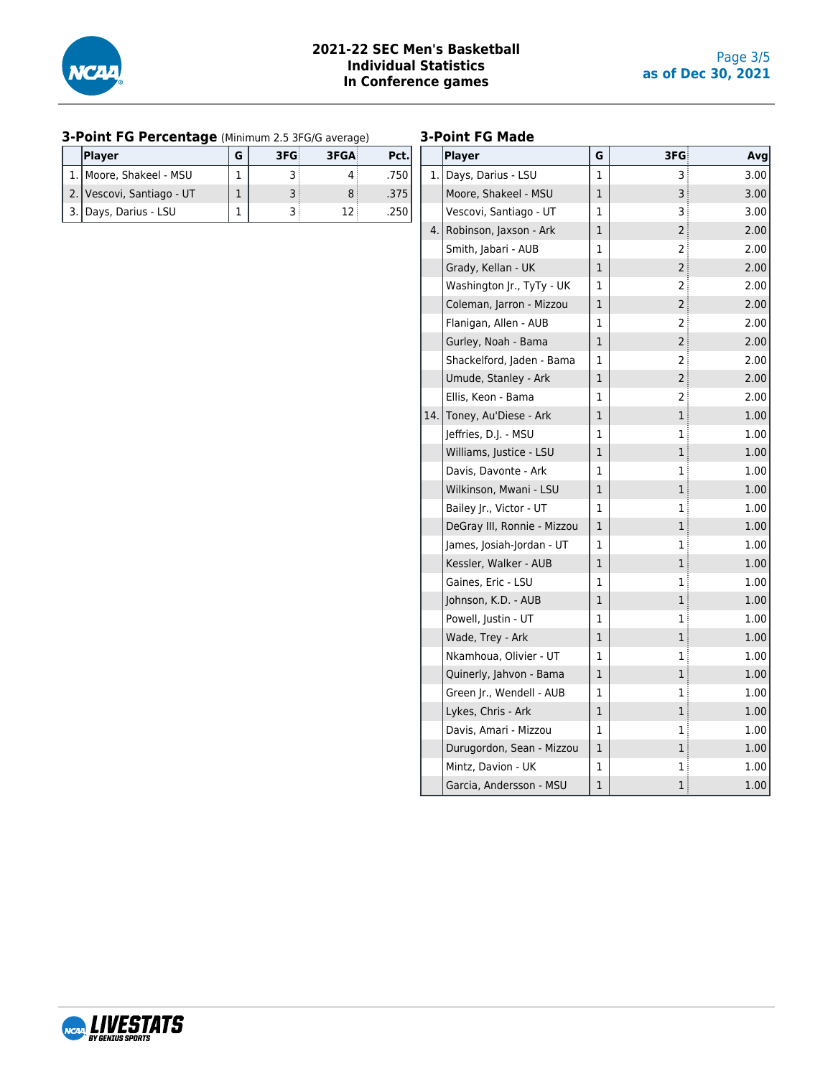

#### **3-Point FG Percentage** (Minimum 2.5 3FG/G average)

# **3-Point FG Made**

| <b>Player</b>             | 3FG | <b>3FGA</b> | Pct. |
|---------------------------|-----|-------------|------|
| 1.   Moore, Shakeel - MSU |     |             |      |
| 2. Vescovi, Santiago - UT |     |             | .375 |
| Days, Darius - LSU        |     |             |      |

|     | <b>Player</b>               | G | 3FG            | Avg  |
|-----|-----------------------------|---|----------------|------|
| 1.  | Days, Darius - LSU          | 1 | 3              | 3.00 |
|     | Moore, Shakeel - MSU        | 1 | 3              | 3.00 |
|     | Vescovi, Santiago - UT      | 1 | 3              | 3.00 |
|     | 4. Robinson, Jaxson - Ark   | 1 | $\overline{2}$ | 2.00 |
|     | Smith, Jabari - AUB         | 1 | 2              | 2.00 |
|     | Grady, Kellan - UK          | 1 | $\overline{2}$ | 2.00 |
|     | Washington Jr., TyTy - UK   | 1 | 2              | 2.00 |
|     | Coleman, Jarron - Mizzou    | 1 | 2              | 2.00 |
|     | Flanigan, Allen - AUB       | 1 | 2              | 2.00 |
|     | Gurley, Noah - Bama         | 1 | $\overline{c}$ | 2.00 |
|     | Shackelford, Jaden - Bama   | 1 | $\overline{c}$ | 2.00 |
|     | Umude, Stanley - Ark        | 1 | $\overline{c}$ | 2.00 |
|     | Ellis, Keon - Bama          | 1 | 2              | 2.00 |
| 14. | Toney, Au'Diese - Ark       | 1 | $\mathbf 1$    | 1.00 |
|     | Jeffries, D.J. - MSU        | 1 | 1              | 1.00 |
|     | Williams, Justice - LSU     | 1 | $\mathbf 1$    | 1.00 |
|     | Davis, Davonte - Ark        | 1 | 1              | 1.00 |
|     | Wilkinson, Mwani - LSU      | 1 | $\mathbf 1$    | 1.00 |
|     | Bailey Jr., Victor - UT     | 1 | 1              | 1.00 |
|     | DeGray III, Ronnie - Mizzou | 1 | $\mathbf 1$    | 1.00 |
|     | James, Josiah-Jordan - UT   | 1 | 1              | 1.00 |
|     | Kessler, Walker - AUB       | 1 | $\mathbf 1$    | 1.00 |
|     | Gaines, Eric - LSU          | 1 | $\mathbf 1$    | 1.00 |
|     | Johnson, K.D. - AUB         | 1 | 1              | 1.00 |
|     | Powell, Justin - UT         | 1 | 1              | 1.00 |
|     | Wade, Trey - Ark            | 1 | 1              | 1.00 |
|     | Nkamhoua, Olivier - UT      | 1 | 1              | 1.00 |
|     | Quinerly, Jahvon - Bama     | 1 | 1              | 1.00 |
|     | Green Jr., Wendell - AUB    | 1 | $\mathbf{1}$   | 1.00 |
|     | Lykes, Chris - Ark          | 1 | $\mathbf{1}$   | 1.00 |
|     | Davis, Amari - Mizzou       | 1 | 1              | 1.00 |
|     | Durugordon, Sean - Mizzou   | 1 | $\mathbf 1$    | 1.00 |
|     | Mintz, Davion - UK          | 1 | 1              | 1.00 |
|     | Garcia, Andersson - MSU     | 1 | 1              | 1.00 |

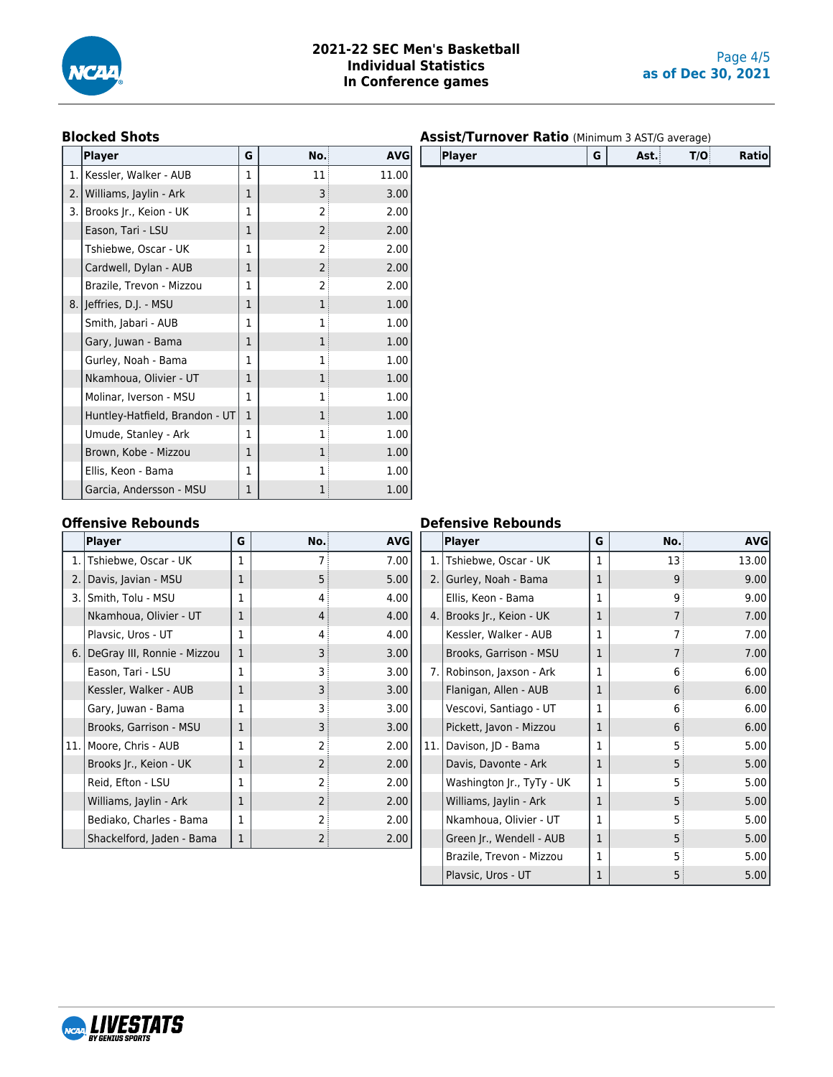

#### **Blocked Shots**

#### **Assist/Turnover Ratio** (Minimum 3 AST/G average)

|    | <b>Player</b>                  | G              | No.            | <b>AVG</b> |
|----|--------------------------------|----------------|----------------|------------|
|    |                                |                |                |            |
| 1. | Kessler, Walker - AUB          | 1              | 11             | 11.00      |
| 2. | Williams, Jaylin - Ark         | 1              | 3              | 3.00       |
| 3. | Brooks Jr., Keion - UK         | $\overline{1}$ | 2              | 2.00       |
|    | Eason, Tari - LSU              | 1              | $\overline{2}$ | 2.00       |
|    | Tshiebwe, Oscar - UK           | $\overline{1}$ | 2              | 2.00       |
|    | Cardwell, Dylan - AUB          | 1              | $\overline{2}$ | 2.00       |
|    | Brazile, Trevon - Mizzou       | 1              | 2              | 2.00       |
| 8. | Jeffries, D.J. - MSU           | 1              | 1              | 1.00       |
|    | Smith, Jabari - AUB            | 1              | 1              | 1.00       |
|    | Gary, Juwan - Bama             | $\overline{1}$ | 1              | 1.00       |
|    | Gurley, Noah - Bama            | $\overline{1}$ | 1              | 1.00       |
|    | Nkamhoua, Olivier - UT         | 1              | 1              | 1.00       |
|    | Molinar, Iverson - MSU         | $\overline{1}$ | 1              | 1.00       |
|    | Huntley-Hatfield, Brandon - UT | $\overline{1}$ | 1              | 1.00       |
|    | Umude, Stanley - Ark           | 1              | 1              | 1.00       |
|    | Brown, Kobe - Mizzou           | 1              | 1              | 1.00       |
|    | Ellis, Keon - Bama             | $\overline{1}$ | 1              | 1.00       |
|    | Garcia, Andersson - MSU        | $\mathbf{1}$   | 1              | 1.00       |

| Player | G | Ast. | T/O | Ratio |
|--------|---|------|-----|-------|
|        |   |      |     |       |
|        |   |      |     |       |
|        |   |      |     |       |
|        |   |      |     |       |
|        |   |      |     |       |
|        |   |      |     |       |
|        |   |      |     |       |
|        |   |      |     |       |
|        |   |      |     |       |
|        |   |      |     |       |
|        |   |      |     |       |
|        |   |      |     |       |
|        |   |      |     |       |

## **Offensive Rebounds**

|      | <b>Player</b>               | G | No.                      | <b>AVG</b> |
|------|-----------------------------|---|--------------------------|------------|
|      | 1. Tshiebwe, Oscar - UK     | 1 | 7                        | 7.00       |
| 2.   | Davis, Javian - MSU         | 1 | 5                        | 5.00       |
|      | 3. Smith, Tolu - MSU        | 1 | 4                        | 4.00       |
|      | Nkamhoua, Olivier - UT      | 1 | $\overline{4}$           | 4.00       |
|      | Plavsic, Uros - UT          | 1 | 4                        | 4.00       |
| 6.1  | DeGray III, Ronnie - Mizzou | 1 | 3                        | 3.00       |
|      | Eason, Tari - LSU           | 1 | 3                        | 3.00       |
|      | Kessler, Walker - AUB       | 1 | 3                        | 3.00       |
|      | Gary, Juwan - Bama          | 1 | 3                        | 3.00       |
|      | Brooks, Garrison - MSU      | 1 | 3                        | 3.00       |
| 11.1 | Moore, Chris - AUB          | 1 | 2                        | 2.00       |
|      | Brooks Jr., Keion - UK      | 1 | $\mathcal{P}$            | 2.00       |
|      | Reid, Efton - LSU           | 1 | $\overline{\phantom{a}}$ | 2.00       |
|      | Williams, Jaylin - Ark      | 1 | $\mathcal{P}$            | 2.00       |
|      | Bediako, Charles - Bama     | 1 | 2                        | 2.00       |
|      | Shackelford, Jaden - Bama   | 1 | 2                        | 2.00       |

## **Defensive Rebounds**

|      | <b>Player</b>             | G            | No. | <b>AVG</b> |
|------|---------------------------|--------------|-----|------------|
| 1.   | Tshiebwe, Oscar - UK      | 1            | 13  | 13.00      |
| 2.   | Gurley, Noah - Bama       | $\mathbf{1}$ | 9   | 9.00       |
|      | Ellis, Keon - Bama        | 1            | 9   | 9.00       |
| 4.   | Brooks Jr., Keion - UK    | $\mathbf{1}$ | 7   | 7.00       |
|      | Kessler, Walker - AUB     | 1            | 7   | 7.00       |
|      | Brooks, Garrison - MSU    | $\mathbf{1}$ | 7   | 7.00       |
| 7. I | Robinson, Jaxson - Ark    | 1            | 6   | 6.00       |
|      | Flanigan, Allen - AUB     | $\mathbf{1}$ | 6   | 6.00       |
|      | Vescovi, Santiago - UT    | 1            | 6   | 6.00       |
|      | Pickett, Javon - Mizzou   | 1            | 6   | 6.00       |
| 11.1 | Davison, JD - Bama        | 1            | 5   | 5.00       |
|      | Davis, Davonte - Ark      | 1            | 5   | 5.00       |
|      | Washington Jr., TyTy - UK | 1            | 5   | 5.00       |
|      | Williams, Jaylin - Ark    | $\mathbf{1}$ | 5   | 5.00       |
|      | Nkamhoua, Olivier - UT    | 1            | 5   | 5.00       |
|      | Green Jr., Wendell - AUB  | 1            | 5   | 5.00       |
|      | Brazile, Trevon - Mizzou  | 1            | 5   | 5.00       |
|      | Plavsic, Uros - UT        | 1            | 5   | 5.00       |

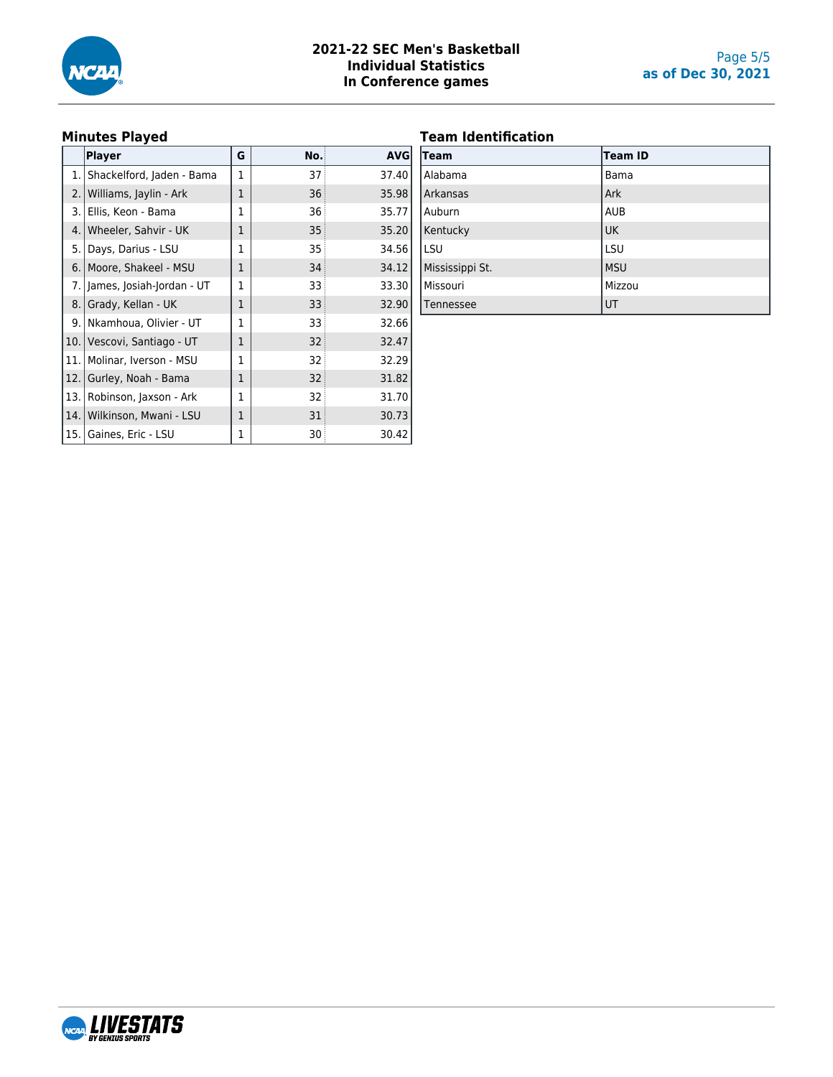

#### **2021-22 SEC Men's Basketball Individual Statistics In Conference games**

## **Minutes Played**

| Team Identification |  |
|---------------------|--|
|---------------------|--|

|     | <b>Player</b>                  | G | No. | <b>AVG</b> |
|-----|--------------------------------|---|-----|------------|
| 1.  | Shackelford, Jaden - Bama      | 1 | 37  | 37.40      |
| 2.  | Williams, Jaylin - Ark         | 1 | 36  | 35.98      |
| 3.  | Ellis, Keon - Bama             | 1 | 36  | 35.77      |
| 4.  | Wheeler, Sahvir - UK           | 1 | 35  | 35.20      |
| 5.  | Days, Darius - LSU             | 1 | 35  | 34.56      |
| 6.  | Moore, Shakeel - MSU           | 1 | 34  | 34.12      |
|     | 7.   James, Josiah-Jordan - UT | 1 | 33  | 33.30      |
| 8.  | Grady, Kellan - UK             | 1 | 33  | 32.90      |
| 9.  | Nkamhoua, Olivier - UT         | 1 | 33  | 32.66      |
| 10. | Vescovi, Santiago - UT         | 1 | 32  | 32.47      |
| 11. | Molinar, Iverson - MSU         | 1 | 32  | 32.29      |
| 12. | Gurley, Noah - Bama            | 1 | 32  | 31.82      |
| 13. | Robinson, Jaxson - Ark         | 1 | 32  | 31.70      |
| 14. | Wilkinson, Mwani - LSU         | 1 | 31  | 30.73      |
|     | 15. Gaines, Eric - LSU         | 1 | 30  | 30.42      |

| Team            | Team ID    |
|-----------------|------------|
| Alabama         | Bama       |
| Arkansas        | Ark        |
| Auburn          | <b>AUB</b> |
| Kentucky        | <b>UK</b>  |
| LSU             | LSU        |
| Mississippi St. | <b>MSU</b> |
| Missouri        | Mizzou     |
| Tennessee       | UT         |

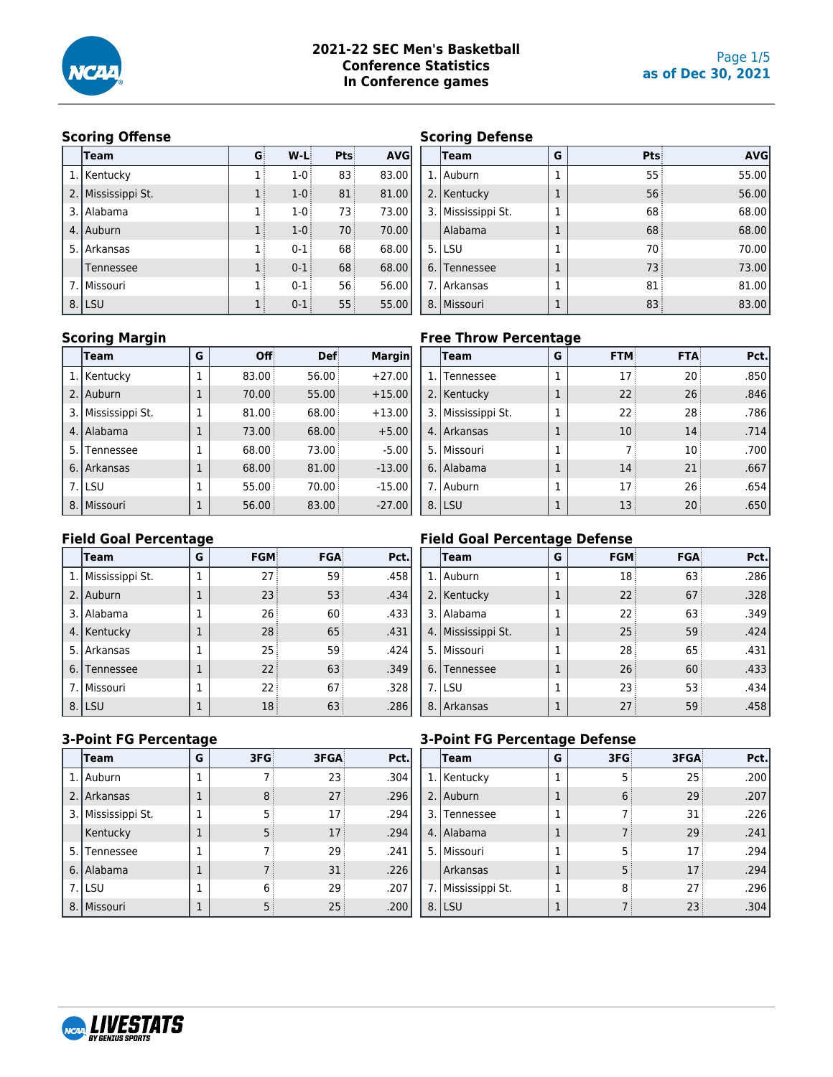

### **Scoring Offense**

|                | -<br>Team       | G. | $W-L$   | <b>Pts</b> | <b>AVG</b> |
|----------------|-----------------|----|---------|------------|------------|
| 1.             | Kentucky        |    | $1 - 0$ | 83         | 83.00      |
| 2.             | Mississippi St. |    | $1 - 0$ | 81         | 81.00      |
| 3.             | Alabama         | 1  | $1 - 0$ | 73         | 73.00      |
| $\overline{4}$ | Auburn          |    | $1 - 0$ | 70         | 70.00      |
| 5.             | Arkansas        | 1  | $0 - 1$ | 68         | 68.00      |
|                | Tennessee       |    | $0 - 1$ | 68         | 68.00      |
|                | Missouri        |    | $0 - 1$ | 56         | 56.00      |
| 8.             | LSU             |    | $0 - 1$ | 55         | 55.00      |

#### **Scoring Defense**

|    | Team               | G | <b>Pts</b> | <b>AVG</b> |
|----|--------------------|---|------------|------------|
| 1. | Auburn             |   | 55         | 55.00      |
|    | 2. Kentucky        |   | 56         | 56.00      |
|    | 3. Mississippi St. |   | 68         | 68.00      |
|    | Alabama            |   | 68         | 68.00      |
|    | $5.$ LSU           |   | 70         | 70.00      |
| 6. | Tennessee          |   | 73         | 73.00      |
| 7. | Arkansas           |   | 81         | 81.00      |
| 8. | Missouri           |   | 83         | 83.00      |

#### **Scoring Margin**

|    | Team            | G | <b>Off</b> | <b>Def</b> | <b>Margin</b> |  |  |
|----|-----------------|---|------------|------------|---------------|--|--|
|    | Kentucky        | 1 | 83.00      | 56.00      | $+27.00$      |  |  |
| 2. | Auburn          | 1 | 70.00      | 55.00      | $+15.00$      |  |  |
| 3. | Mississippi St. | 1 | 81.00      | 68.00      | $+13.00$      |  |  |
| 4. | Alabama         | 1 | 73.00      | 68.00      | $+5.00$       |  |  |
| 5. | Tennessee       | 1 | 68.00      | 73.00      | $-5.00$       |  |  |
| 6. | Arkansas        | 1 | 68.00      | 81.00      | $-13.00$      |  |  |
| 7. | l LSU           | 1 | 55.00      | 70.00      | $-15.00$      |  |  |
| 8. | Missouri        |   | 56.00      | 83.00      | $-27.00$      |  |  |

|    | <b>Field Goal Percentage</b> |              |            |            |      |  |  |  |  |  |
|----|------------------------------|--------------|------------|------------|------|--|--|--|--|--|
|    | Team                         | G            | <b>FGM</b> | <b>FGA</b> | Pct. |  |  |  |  |  |
| 1. | Mississippi St.              | 1            | 27         | 59         | .458 |  |  |  |  |  |
| 2. | Auburn                       | $\mathbf{1}$ | 23         | 53         | .434 |  |  |  |  |  |
| 3. | Alabama                      | 1            | 26         | 60         | .433 |  |  |  |  |  |
| 4. | Kentucky                     | 1            | 28         | 65         | .431 |  |  |  |  |  |
| 5. | Arkansas                     | 1            | 25         | 59         | .424 |  |  |  |  |  |
| 6. | Tennessee                    | 1            | 22         | 63         | .349 |  |  |  |  |  |
| 7. | Missouri                     | 1            | 22         | 67         | .328 |  |  |  |  |  |
| 8. | LSU                          | 1            | 18         | 63         | .286 |  |  |  |  |  |

#### **3-Point FG Percentage**

|    | Team             | G | 3FG | 3FGA | Pct. |
|----|------------------|---|-----|------|------|
| 1. | Auburn           |   |     | 23   | .304 |
| 2. | Arkansas         | 1 | 8   | 27   | .296 |
| 3. | Mississippi St.  | 1 | 5   | 17   | .294 |
|    | Kentucky         | 1 | 5   | 17   | .294 |
| 5. | <b>Tennessee</b> | 1 |     | 29   | .241 |
| 6. | Alabama          | 1 |     | 31   | .226 |
| 7. | l LSU            |   | 6   | 29   | .207 |
| 8. | Missouri         |   |     | 25   | .200 |

## **Free Throw Percentage**

|    | Team               | G | <b>FTM</b>      | <b>FTA</b> | Pct. |
|----|--------------------|---|-----------------|------------|------|
|    | 1. Tennessee       |   | 17              | 20         | .850 |
|    | 2. Kentucky        |   | 22              | 26         | .846 |
|    | 3. Mississippi St. |   | 22              | 28         | .786 |
| 4. | Arkansas           |   | 10              | 14         | .714 |
| 5. | Missouri           |   |                 | 10         | .700 |
| 6  | Alabama            | 1 | 14              | 21         | .667 |
| 7. | Auburn             |   | 17 <sup>3</sup> | 26         | .654 |
| 8. | LSU                |   | 13              | 20         | .650 |

## **Field Goal Percentage Defense**

|    | Team            | G | <b>FGM</b> | <b>FGA</b> | Pct. |
|----|-----------------|---|------------|------------|------|
| 1. | Auburn          | 1 | 18         | 63         | .286 |
| 2. | Kentucky        | 1 | 22         | 67         | .328 |
| 3. | Alabama         | 1 | 22         | 63         | .349 |
| 4. | Mississippi St. | 1 | 25         | 59         | .424 |
| 5. | Missouri        | 1 | 28         | 65         | .431 |
| 6. | Tennessee       | 1 | 26         | 60         | .433 |
| 7. | LSU             | 1 | 23         | 53         | .434 |
| 8. | Arkansas        |   | 27         | 59         | .458 |

#### **3-Point FG Percentage Defense**

|    | Team            | -<br>G | 3FG | 3FGA | Pct. |
|----|-----------------|--------|-----|------|------|
|    | 1. Kentucky     |        | 5   | 25   | .200 |
| 2. | Auburn          | 1      | 6   | 29   | .207 |
| 3. | Tennessee       | 1      |     | 31   | .226 |
| 4. | Alabama         | 1      |     | 29   | .241 |
| 5. | l Missouri      |        | 5   | 17   | .294 |
|    | Arkansas        | 1      | 5   | 17   | .294 |
| 7. | Mississippi St. | 1      | 8   | 27   | .296 |
| 8. | LSU             | 1      |     | 23   | .304 |

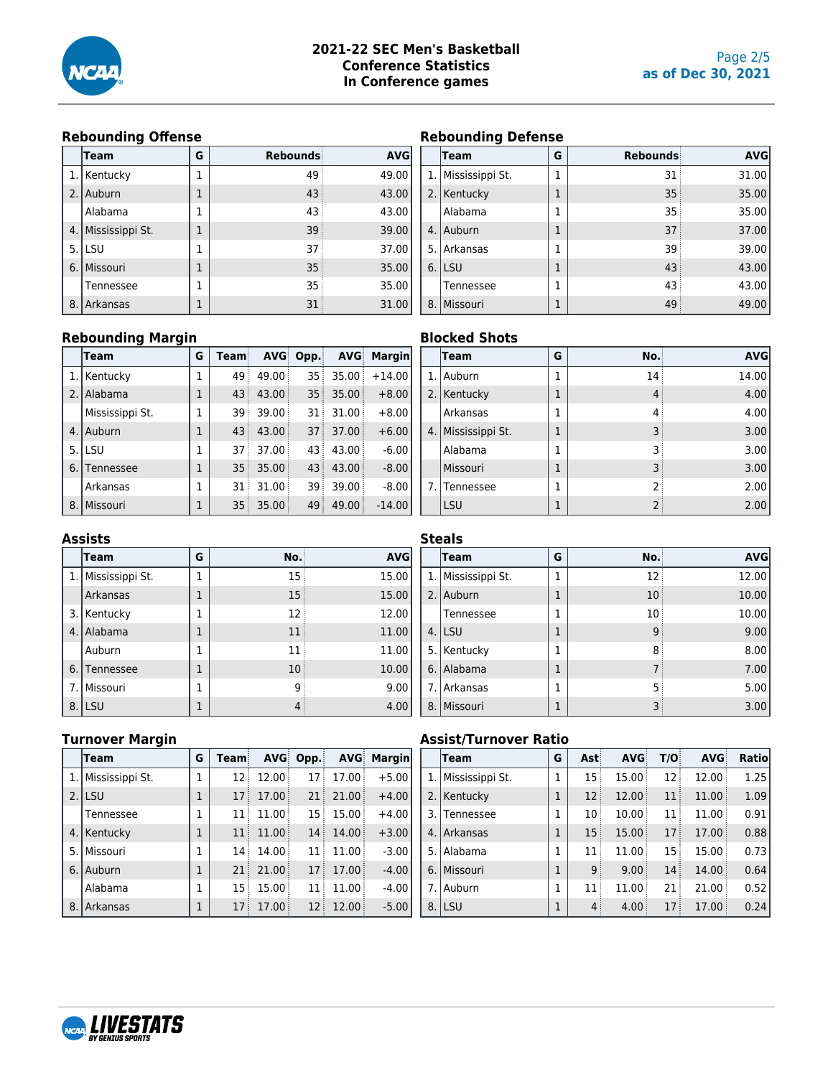

#### **Rebounding Offense**

|    | Team            | G | <b>Rebounds</b> | <b>AVG</b> |
|----|-----------------|---|-----------------|------------|
|    | 1. Kentucky     |   | 49              | 49.00      |
| 2. | l Auburn        | 1 | 43              | 43.00      |
|    | Alabama         |   | 43              | 43.00      |
| 4. | Mississippi St. | 1 | 39              | 39.00      |
| 5. | l LSU           | 1 | 37              | 37.00      |
| 6. | Missouri        | 1 | 35              | 35.00      |
|    | Tennessee       |   | 35              | 35.00      |
| 8  | Arkansas        |   | 31              | 31.00      |

#### **Rebounding Defense**

|    | Team               | G | Rebounds        | <b>AVG</b> |
|----|--------------------|---|-----------------|------------|
|    | 1. Mississippi St. | 1 | 31              | 31.00      |
| 2. | Kentucky           |   | 35 <sub>3</sub> | 35.00      |
|    | Alabama            |   | 35              | 35.00      |
| 4. | Auburn             |   | 37              | 37.00      |
| 5. | Arkansas           |   | 39              | 39.00      |
| 6. | <b>LSU</b>         | 1 | 43              | 43.00      |
|    | Tennessee          |   | 43              | 43.00      |
| 8. | Missouri           |   | 49              | 49.00      |

### **Rebounding Margin**

|    | Team            | G | <b>Team</b>     |       | AVG Opp. |       | <b>AVG Margin</b> |
|----|-----------------|---|-----------------|-------|----------|-------|-------------------|
|    | 1. Kentucky     | 1 | 49              | 49.00 | 35       | 35.00 | $+14.00$          |
| 2. | Alabama         | 1 | 43              | 43.00 | 35       | 35.00 | $+8.00$           |
|    | Mississippi St. | 1 | 39              | 39.00 | 31       | 31.00 | $+8.00$           |
| 4. | Auburn          | 1 | 43              | 43.00 | 37       | 37.00 | $+6.00$           |
| 5. | l LSU           | 1 | 37              | 37.00 | 43       | 43.00 | $-6.00$           |
| 6. | Tennessee       | 1 | 35 <sup>3</sup> | 35.00 | 43:      | 43.00 | $-8.00$           |
|    | Arkansas        | 1 | 31              | 31.00 | 39       | 39.00 | $-8.00$           |
| 8. | Missouri        | 1 | 35:             | 35.00 | 49       | 49.00 | $-14.00$          |

### **Blocked Shots**

|    | Team            | G | No. | <b>AVG</b> |
|----|-----------------|---|-----|------------|
| 1. | Auburn          |   | 14  | 14.00      |
| 2. | Kentucky        |   | 4   | 4.00       |
|    | Arkansas        |   | 4   | 4.00       |
| 4. | Mississippi St. |   | 3   | 3.00       |
|    | Alabama         |   | 3   | 3.00       |
|    | Missouri        |   | 3   | 3.00       |
|    | 7. Tennessee    |   | 2   | 2.00       |
|    | LSU             |   |     | 2.00       |

#### **Assists**

|    | Team               | G | No. | <b>AVG</b> |
|----|--------------------|---|-----|------------|
|    | 1. Mississippi St. |   | 15  | 15.00      |
|    | Arkansas           | 1 | 15  | 15.00      |
|    | 3. Kentucky        |   | 12  | 12.00      |
| 4. | Alabama            | 1 | 11  | 11.00      |
|    | Auburn             | 1 | 11  | 11.00      |
| 6. | Tennessee          | 1 | 10  | 10.00      |
| 7. | Missouri           | 1 | g   | 9.00       |
| 8. | LSU                | 1 |     | 4.00       |

#### **Steals**

|    | <b>Team</b>        | G | No. | <b>AVG</b> |
|----|--------------------|---|-----|------------|
|    | 1. Mississippi St. | 1 | 12  | 12.00      |
| 2. | Auburn             | 1 | 10  | 10.00      |
|    | Tennessee          | 1 | 10  | 10.00      |
|    | $4.$ LSU           |   | 9   | 9.00       |
| 5. | Kentucky           | 1 | 8   | 8.00       |
| 6. | Alabama            |   |     | 7.00       |
| 7. | Arkansas           | 1 | 5   | 5.00       |
| 8. | Missouri           |   |     | 3.00       |

## **Turnover Margin**

|    | Team               | G            | Team            |       | AVG Opp.        |       | <b>AVG Margin</b> |
|----|--------------------|--------------|-----------------|-------|-----------------|-------|-------------------|
|    | 1. Mississippi St. | 1            | 12 <sup>1</sup> | 12.00 | 17 <sup>1</sup> | 17.00 | $+5.00$           |
| 2. | <b>ILSU</b>        | $\mathbf{1}$ | 17 <sup>1</sup> | 17.00 | 21              | 21.00 | $+4.00$           |
|    | Tennessee          | 1            | 11              | 11.00 | 15              | 15.00 | $+4.00$           |
| 4. | Kentucky           | 1            | 11              | 11.00 | 14              | 14.00 | $+3.00$           |
| 5. | l Missouri         | 1            | 14              | 14.00 | 11              | 11.00 | $-3.00$           |
| 6  | Auburn             | $\mathbf{1}$ | 21              | 21.00 | 17              | 17.00 | $-4.00$           |
|    | Alabama            | 1            | 15 <sup>1</sup> | 15.00 | 11              | 11.00 | $-4.00$           |
| 8. | Arkansas           | 1            | 17              | 17.00 | 12 <sup>3</sup> | 12.00 | $-5.00$           |

## **Assist/Turnover Ratio**

|    | Team            | G       | Ast            | <b>AVG</b> | T/O | <b>AVG</b> | <b>Ratio</b> |
|----|-----------------|---------|----------------|------------|-----|------------|--------------|
| 1. | Mississippi St. | 1       | 15             | 15.00      | 12  | 12.00      | 1.25         |
| 2. | Kentucky        | 1       | 12             | 12.00      | 11  | 11.00      | 1.09         |
| 3. | Tennessee       |         | 10             | 10.00      | 11  | 11.00      | 0.91         |
| 4  | Arkansas        | 1       | 15             | 15.00      | 17  | 17.00      | 0.88         |
| 5. | Alabama         | 1       | 11             | 11.00      | 15  | 15.00      | 0.73         |
| 6  | Missouri        |         | 9              | 9.00       | 14  | 14.00      | 0.64         |
| 7. | Auburn          | 1<br>11 |                | 11.00      | 21  | 21.00      | 0.52         |
| 8. | LSU             |         | $\overline{4}$ | 4.00       | 17  | 17.00      | 0.24         |

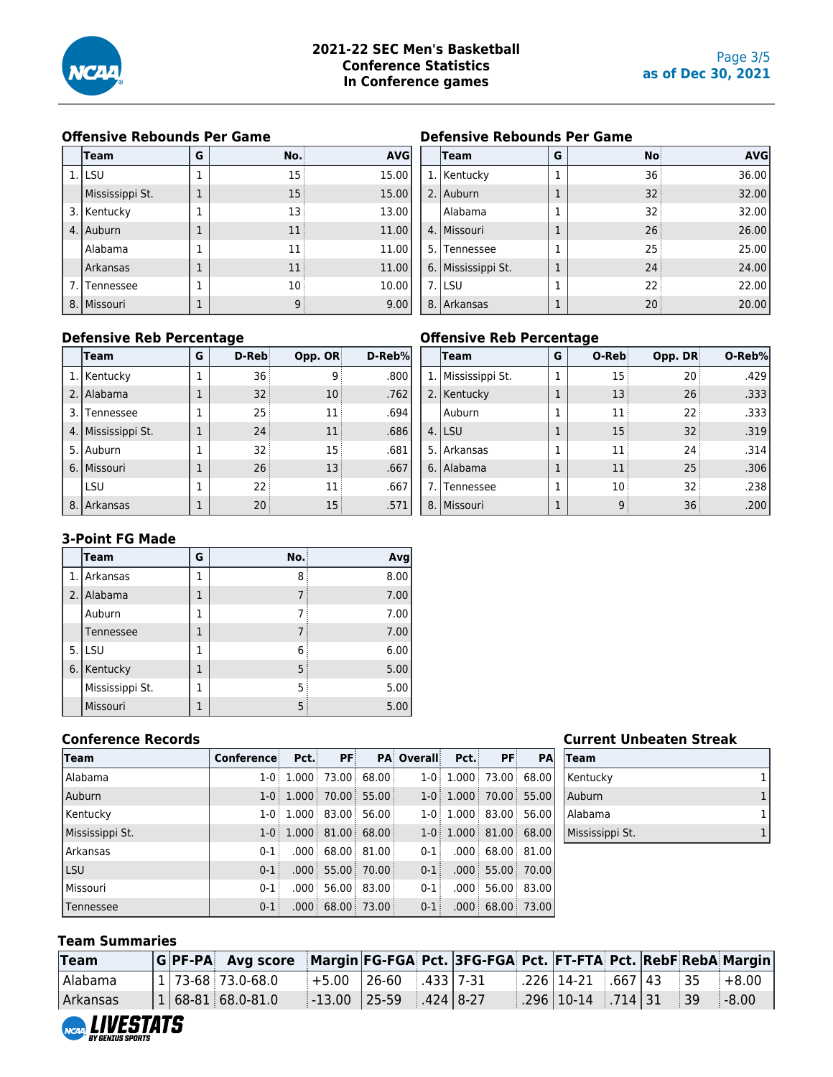

## **Offensive Rebounds Per Game**

|    | Team            | G | No.             | <b>AVG</b> |
|----|-----------------|---|-----------------|------------|
| 1. | LSU             |   | 15 <sup>3</sup> | 15.00      |
|    | Mississippi St. | 1 | 15 <sub>1</sub> | 15.00      |
|    | 3. Kentucky     | 1 | 13              | 13.00      |
| 4. | Auburn          | 1 | 11              | 11.00      |
|    | Alabama         | 1 | 11              | 11.00      |
|    | Arkansas        | 1 | 11              | 11.00      |
|    | 7. Tennessee    | 1 | 10              | 10.00      |
| 8. | Missouri        |   | 9               | 9.00       |

#### **Defensive Rebounds Per Game**

|    | Team            | G | No:             | <b>AVG</b> |
|----|-----------------|---|-----------------|------------|
| 1. | Kentucky        |   | 36 <sup>3</sup> | 36.00      |
|    | 2. Auburn       | 1 | 32 <sup>3</sup> | 32.00      |
|    | Alabama         |   | 32 <sup>3</sup> | 32.00      |
| 4. | Missouri        |   | 26 <sup>3</sup> | 26.00      |
|    | 5. Tennessee    |   | 25:             | 25.00      |
| 6. | Mississippi St. |   | 24              | 24.00      |
|    | 7. LSU          |   | 22 <sup>3</sup> | 22.00      |
| 8  | Arkansas        |   | 20              | 20.00      |

#### **Defensive Reb Percentage**

|    | Team            | G | D-Reb | Opp. OR | D-Reb% |
|----|-----------------|---|-------|---------|--------|
|    | 1. Kentucky     |   | 36    | q       | .800   |
| 2. | Alabama         |   | 32    | 10      | .762   |
| 3. | Tennessee       | 1 | 25    | 11      | .694   |
| 4. | Mississippi St. |   | 24    | 11      | .686   |
| 5. | Auburn          |   | 32    | 15      | .681   |
| 6. | Missouri        |   | 26    | 13      | .667   |
|    | <b>LSU</b>      | 1 | 22    | 11      | .667   |
| 8. | Arkansas        |   | 20    | 15      | .571   |

#### **Offensive Reb Percentage**

|    | Team               | G | O-Reb           | Opp. DR | O-Reb% |
|----|--------------------|---|-----------------|---------|--------|
|    | 1. Mississippi St. | 1 | 15              | 20      | .429   |
| 2. | Kentucky           | 1 | 13 <sup>3</sup> | 26      | .333   |
|    | Auburn             | 1 | 11              | 22      | .333   |
|    | $4.$ LSU           | 1 | 15 <sup>3</sup> | 32      | .319   |
| 5. | <b>Arkansas</b>    |   | 11              | 24      | .314   |
| 6. | Alabama            |   | 11              | 25      | .306   |
|    | 7. Tennessee       |   | 10              | 32      | .238   |
| 8. | Missouri           |   | 9               | 36      | .200   |

### **3-Point FG Made**

|    | <b>Team</b>     | G | No. | Avg  |
|----|-----------------|---|-----|------|
| 1. | Arkansas        | 1 | ጸ   | 8.00 |
| 2. | Alabama         | 1 |     | 7.00 |
|    | Auburn          | 1 |     | 7.00 |
|    | Tennessee       | 1 |     | 7.00 |
| 5. | <b>LSU</b>      | 1 | 6   | 6.00 |
| 6. | Kentucky        | 1 | 5   | 5.00 |
|    | Mississippi St. | 1 |     | 5.00 |
|    | Missouri        | 1 |     | 5.00 |

#### **Conference Records**

| Team            | Conference Pct. PF PA Overall Pct. |                         |                                   |         | PF                         | PA |
|-----------------|------------------------------------|-------------------------|-----------------------------------|---------|----------------------------|----|
| Alabama         |                                    | $1-0$ 1.000 73.00 68.00 |                                   |         | $1-0$ 1.000 73.00 68.00    |    |
| Auburn          |                                    | $1-0$ 1.000 70.00 55.00 |                                   |         | $1-0$ 1.000 70.00 55.00    |    |
| Kentucky        |                                    | $1-0$ 1.000 83.00 56.00 |                                   |         | $1-0$ 1.000 83.00 56.00    |    |
| Mississippi St. |                                    | $1-0$ 1.000 81.00 68.00 |                                   |         | $1-0$ 1.000 81.00 68.00    |    |
| Arkansas        | $0 - 1$                            |                         | $.000 \div 68.00 \div 81.00 \div$ | $0 - 1$ | $.000\pm 68.00\pm 81.00$ . |    |
| <b>LSU</b>      | $0 - 1$                            |                         | $.000$ 55.00 70.00                | $0 - 1$ | $.000$ 55.00 70.00         |    |
| Missouri        | $0 - 1$                            |                         | $.000$ 56.00 83.00                | $0 - 1$ | $.000$ 56.00 83.00         |    |
| l Tennessee     | $0 - 1$                            |                         | $.000 \div 68.00 \div 73.00 \div$ | $0 - 1$ | $.000$ $  68.00   73.00  $ |    |

#### **Current Unbeaten Streak**

| <b>Team</b>     |  |
|-----------------|--|
| Kentucky        |  |
| Auburn          |  |
| Alabama         |  |
| Mississippi St. |  |

#### **Team Summaries**

| Team       |  | GPF-PA Avg score Margin FG-FGA Pct. 3FG-FGA Pct. FT-FTA Pct. RebF RebA Margin |                                      |  |  |                                                           |  |  |
|------------|--|-------------------------------------------------------------------------------|--------------------------------------|--|--|-----------------------------------------------------------|--|--|
| Alabama    |  | $ 1 73-68 73.0-68.0$                                                          | $+5.00$ 26-60 .433 7-31              |  |  | $1.226 \mid 14 - 21 \mid .667 \mid 43 \mid 35 \mid +8.00$ |  |  |
| l Arkansas |  | $1 68-81 68.0-81.0$                                                           | $\vert$ -13.00   25-59   .424   8-27 |  |  | $\parallel$ 296   10-14   .714   31   39   -8.00          |  |  |

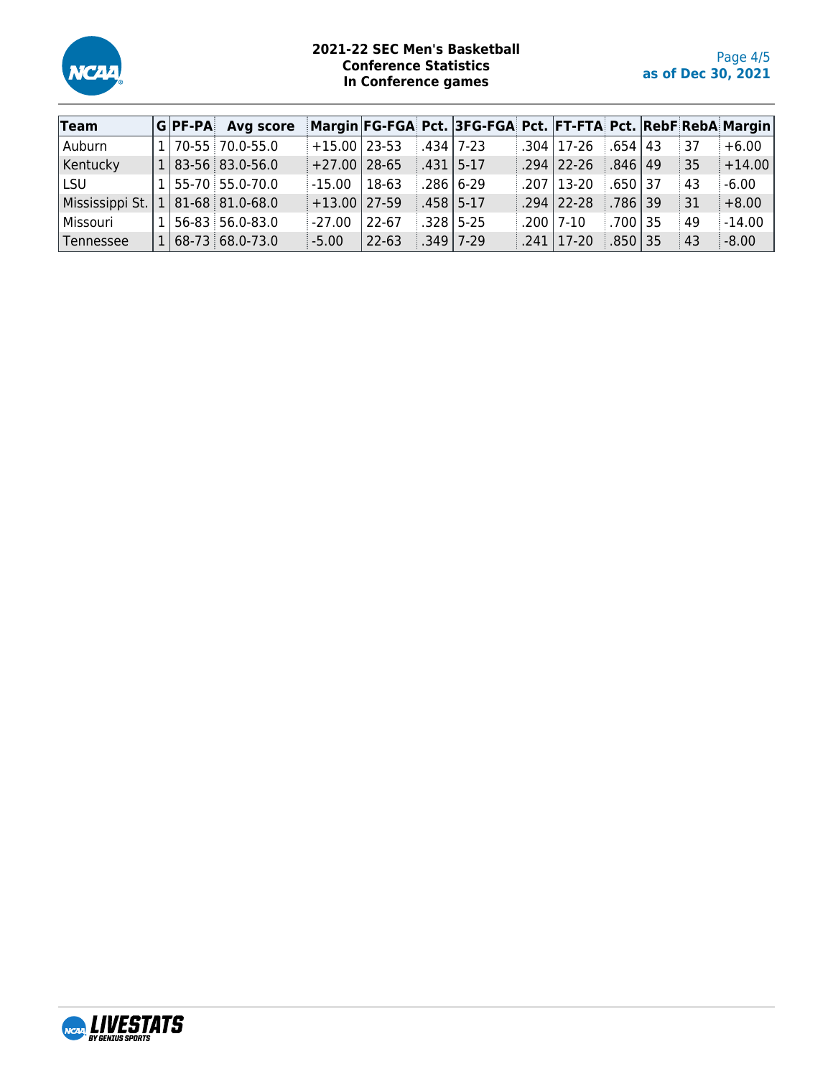

#### **2021-22 SEC Men's Basketball Conference Statistics In Conference games**

| Team            | $ G $ PF-PA | Avg score           |                  |           | Margin FG-FGA Pct. 3FG-FGA Pct. FT-FTA Pct. RebF RebA Margin |                     |                   |                  |          |
|-----------------|-------------|---------------------|------------------|-----------|--------------------------------------------------------------|---------------------|-------------------|------------------|----------|
| Auburn          |             | $1 70-55 70.0-55.0$ | $+15.00$   23-53 |           | .434   7-23                                                  | $304 \mid 17-26$    | $.654 \, \, 43$   | 137              | $+6.00$  |
| Kentucky        |             | $1 83-56 83.0-56.0$ | $+27.00$         | 28-65     | $.431 \mid 5-17$                                             | $1.294$   22-26     | $.846 \mid 49$    | $\frac{1}{2}$ 35 | $+14.00$ |
| <b>LSU</b>      |             | $1 55-70 55.0-70.0$ | $-15.00$         | 18-63     | $.286 \mid 6-29$                                             | $.207 \mid 13 - 20$ | .650137           | 43               | $-6.00$  |
| Mississippi St. |             | $1 81-68 81.0-68.0$ | $+13.00$   27-59 |           | $.458$   5-17                                                | $1.294$   22-28     | $.786$ 39         | : 31             | $+8.00$  |
| Missouri        |             | $1 56-83 56.0-83.0$ | $-27.00$         | 22-67     | $.328$ 5-25                                                  | .200 7-10           | .700   35         | : 49             | $-14.00$ |
| Tennessee       |             | $1 68-73 68.0-73.0$ | $-5.00$          | $22 - 63$ | $.349$ 7-29                                                  | $17-20$             | $.850 \,   \, 35$ | 43               | $-8.00$  |

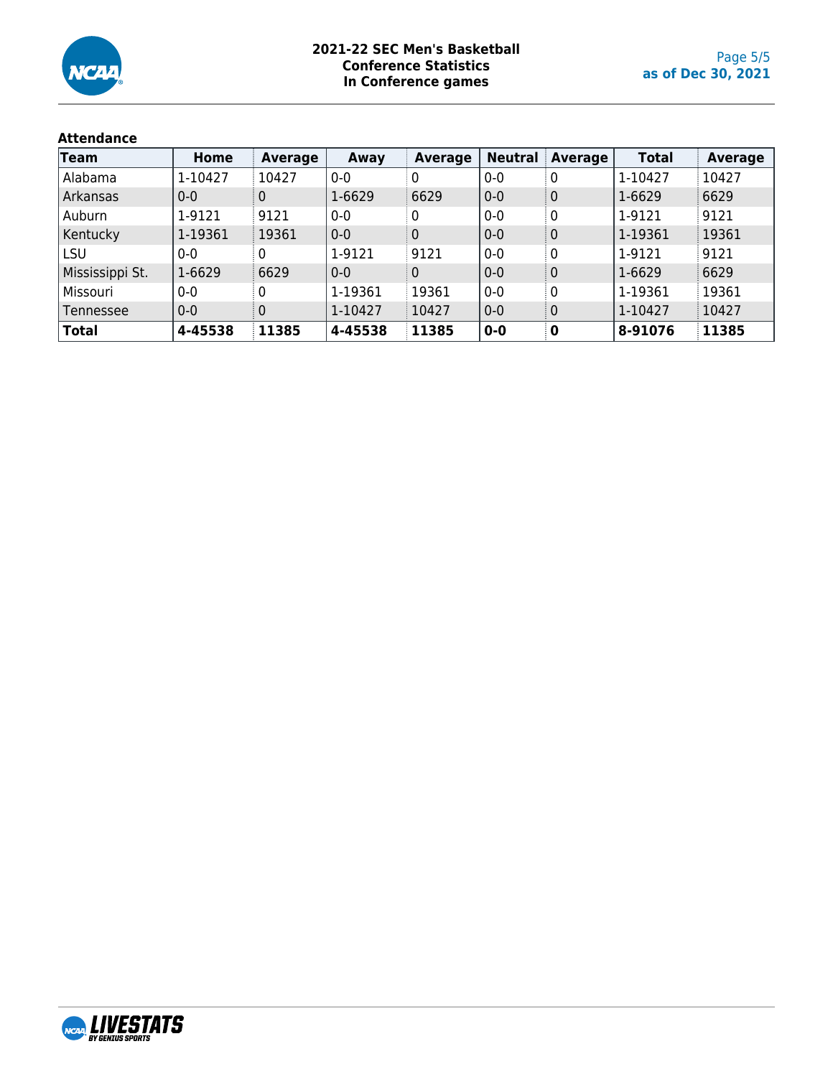

## **Attendance**

| Team            | Home    | <b>Average</b> | Away    | <b>Average</b> | <b>Neutral</b> | Average        | Total   | <b>Average</b> |
|-----------------|---------|----------------|---------|----------------|----------------|----------------|---------|----------------|
| Alabama         | 1-10427 | 10427          | $0 - 0$ | 0              | $0-0$          |                | 1-10427 | 10427          |
| Arkansas        | $0 - 0$ | 0              | 1-6629  | 6629           | $0 - 0$        | : 0            | 1-6629  | 6629           |
| Auburn          | 1-9121  | 9121           | $0 - 0$ | 0              | $0 - 0$        | i 0            | 1-9121  | 9121           |
| Kentucky        | 1-19361 | 19361          | $0-0$   | 0              | $0 - 0$        | : 0            | 1-19361 | 19361          |
| LSU             | $0 - 0$ | 0              | 1-9121  | 9121           | $0 - 0$        | $\overline{0}$ | 1-9121  | 9121           |
| Mississippi St. | 1-6629  | 6629           | $0 - 0$ | ၊ ဂ            | $0 - 0$        | : 0            | 1-6629  | 6629           |
| Missouri        | $0 - 0$ | $\Omega$       | 1-19361 | 19361          | $0-0$          | 0              | 1-19361 | 19361          |
| Tennessee       | $0 - 0$ | i 0            | 1-10427 | 10427          | $0 - 0$        | 0              | 1-10427 | 10427          |
| <b>Total</b>    | 4-45538 | 11385          | 4-45538 | 11385          | $0-0$          | $\mathbf 0$    | 8-91076 | 11385          |

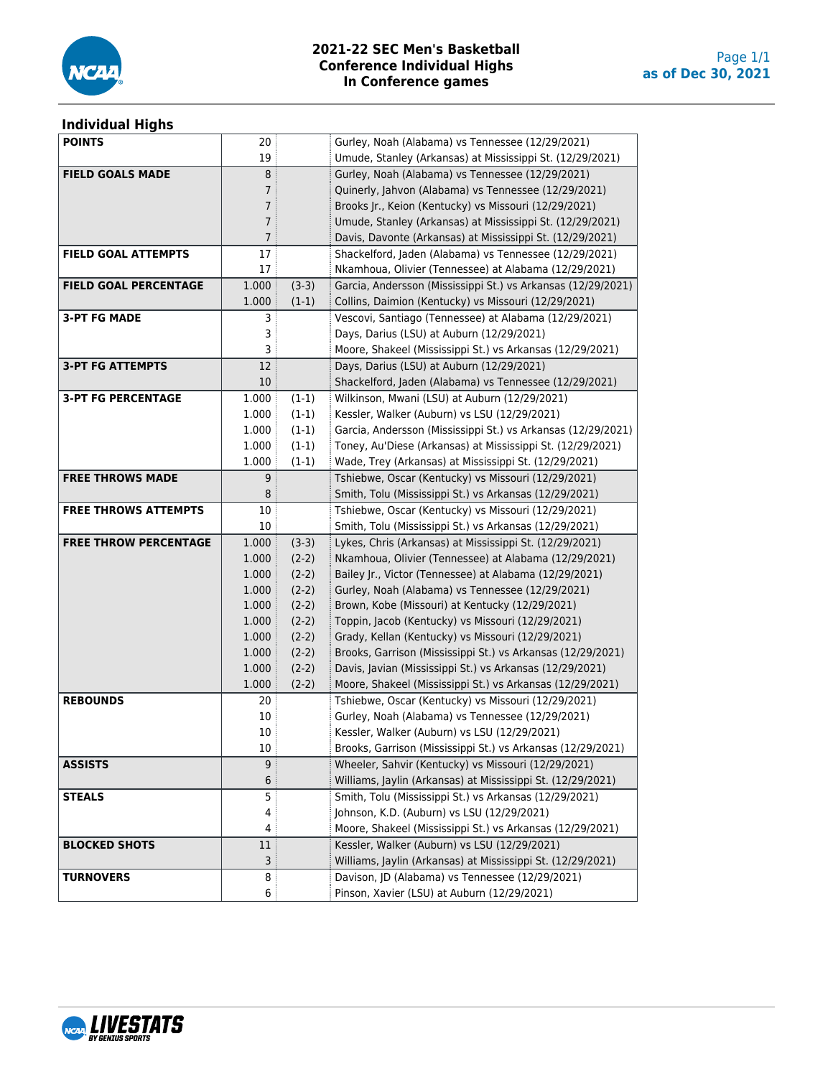

## **Individual Highs**

| <b>POINTS</b>                | 20:             |         | Gurley, Noah (Alabama) vs Tennessee (12/29/2021)             |
|------------------------------|-----------------|---------|--------------------------------------------------------------|
|                              | 19              |         | Umude, Stanley (Arkansas) at Mississippi St. (12/29/2021)    |
| <b>FIELD GOALS MADE</b>      | 8               |         | Gurley, Noah (Alabama) vs Tennessee (12/29/2021)             |
|                              | 7               |         | Quinerly, Jahvon (Alabama) vs Tennessee (12/29/2021)         |
|                              | $\overline{7}$  |         | Brooks Jr., Keion (Kentucky) vs Missouri (12/29/2021)        |
|                              | $\overline{7}$  |         | Umude, Stanley (Arkansas) at Mississippi St. (12/29/2021)    |
|                              | 7:              |         | Davis, Davonte (Arkansas) at Mississippi St. (12/29/2021)    |
| <b>FIELD GOAL ATTEMPTS</b>   | 17 <sup>1</sup> |         | Shackelford, Jaden (Alabama) vs Tennessee (12/29/2021)       |
|                              | 17              |         | Nkamhoua, Olivier (Tennessee) at Alabama (12/29/2021)        |
| <b>FIELD GOAL PERCENTAGE</b> | 1.000           | $(3-3)$ | Garcia, Andersson (Mississippi St.) vs Arkansas (12/29/2021) |
|                              | 1.000           | $(1-1)$ | Collins, Daimion (Kentucky) vs Missouri (12/29/2021)         |
| <b>3-PT FG MADE</b>          | 3               |         | Vescovi, Santiago (Tennessee) at Alabama (12/29/2021)        |
|                              | 3               |         | Days, Darius (LSU) at Auburn (12/29/2021)                    |
|                              | 3               |         | Moore, Shakeel (Mississippi St.) vs Arkansas (12/29/2021)    |
| <b>3-PT FG ATTEMPTS</b>      | 12 <sup>2</sup> |         | Days, Darius (LSU) at Auburn (12/29/2021)                    |
|                              | 10              |         | Shackelford, Jaden (Alabama) vs Tennessee (12/29/2021)       |
| <b>3-PT FG PERCENTAGE</b>    | 1.000           | $(1-1)$ | Wilkinson, Mwani (LSU) at Auburn (12/29/2021)                |
|                              |                 |         |                                                              |
|                              | 1.000           | $(1-1)$ | Kessler, Walker (Auburn) vs LSU (12/29/2021)                 |
|                              | 1.000           | $(1-1)$ | Garcia, Andersson (Mississippi St.) vs Arkansas (12/29/2021) |
|                              | 1.000           | $(1-1)$ | Toney, Au'Diese (Arkansas) at Mississippi St. (12/29/2021)   |
|                              | 1.000           | $(1-1)$ | Wade, Trey (Arkansas) at Mississippi St. (12/29/2021)        |
| <b>FREE THROWS MADE</b>      | 9               |         | Tshiebwe, Oscar (Kentucky) vs Missouri (12/29/2021)          |
|                              | 8               |         | Smith, Tolu (Mississippi St.) vs Arkansas (12/29/2021)       |
| <b>FREE THROWS ATTEMPTS</b>  | $10\,$          |         | Tshiebwe, Oscar (Kentucky) vs Missouri (12/29/2021)          |
|                              | 10 <sup>1</sup> |         | Smith, Tolu (Mississippi St.) vs Arkansas (12/29/2021)       |
| <b>FREE THROW PERCENTAGE</b> | 1.000           | $(3-3)$ | Lykes, Chris (Arkansas) at Mississippi St. (12/29/2021)      |
|                              | 1.000           | $(2-2)$ | Nkamhoua, Olivier (Tennessee) at Alabama (12/29/2021)        |
|                              | 1.000           | $(2-2)$ | Bailey Jr., Victor (Tennessee) at Alabama (12/29/2021)       |
|                              | 1.000           | $(2-2)$ | Gurley, Noah (Alabama) vs Tennessee (12/29/2021)             |
|                              | 1.000           | $(2-2)$ | Brown, Kobe (Missouri) at Kentucky (12/29/2021)              |
|                              | 1.000           | $(2-2)$ | Toppin, Jacob (Kentucky) vs Missouri (12/29/2021)            |
|                              | 1.000           | $(2-2)$ | Grady, Kellan (Kentucky) vs Missouri (12/29/2021)            |
|                              | 1.000           | $(2-2)$ | Brooks, Garrison (Mississippi St.) vs Arkansas (12/29/2021)  |
|                              | 1.000           | $(2-2)$ | Davis, Javian (Mississippi St.) vs Arkansas (12/29/2021)     |
|                              | 1.000           | $(2-2)$ | Moore, Shakeel (Mississippi St.) vs Arkansas (12/29/2021)    |
| <b>REBOUNDS</b>              | 20              |         | Tshiebwe, Oscar (Kentucky) vs Missouri (12/29/2021)          |
|                              | 10              |         | Gurley, Noah (Alabama) vs Tennessee (12/29/2021)             |
|                              | 10              |         | Kessler, Walker (Auburn) vs LSU (12/29/2021)                 |
|                              | $10\,$          |         | Brooks, Garrison (Mississippi St.) vs Arkansas (12/29/2021)  |
| <b>ASSISTS</b>               | 9               |         | Wheeler, Sahvir (Kentucky) vs Missouri (12/29/2021)          |
|                              | 6               |         | Williams, Jaylin (Arkansas) at Mississippi St. (12/29/2021)  |
| <b>STEALS</b>                | 5               |         | Smith, Tolu (Mississippi St.) vs Arkansas (12/29/2021)       |
|                              | 4               |         | Johnson, K.D. (Auburn) vs LSU (12/29/2021)                   |
|                              | 4               |         | Moore, Shakeel (Mississippi St.) vs Arkansas (12/29/2021)    |
| <b>BLOCKED SHOTS</b>         | 11              |         | Kessler, Walker (Auburn) vs LSU (12/29/2021)                 |
|                              | 3               |         | Williams, Jaylin (Arkansas) at Mississippi St. (12/29/2021)  |
| <b>TURNOVERS</b>             | 8               |         | Davison, JD (Alabama) vs Tennessee (12/29/2021)              |
|                              | 6               |         | Pinson, Xavier (LSU) at Auburn (12/29/2021)                  |
|                              |                 |         |                                                              |

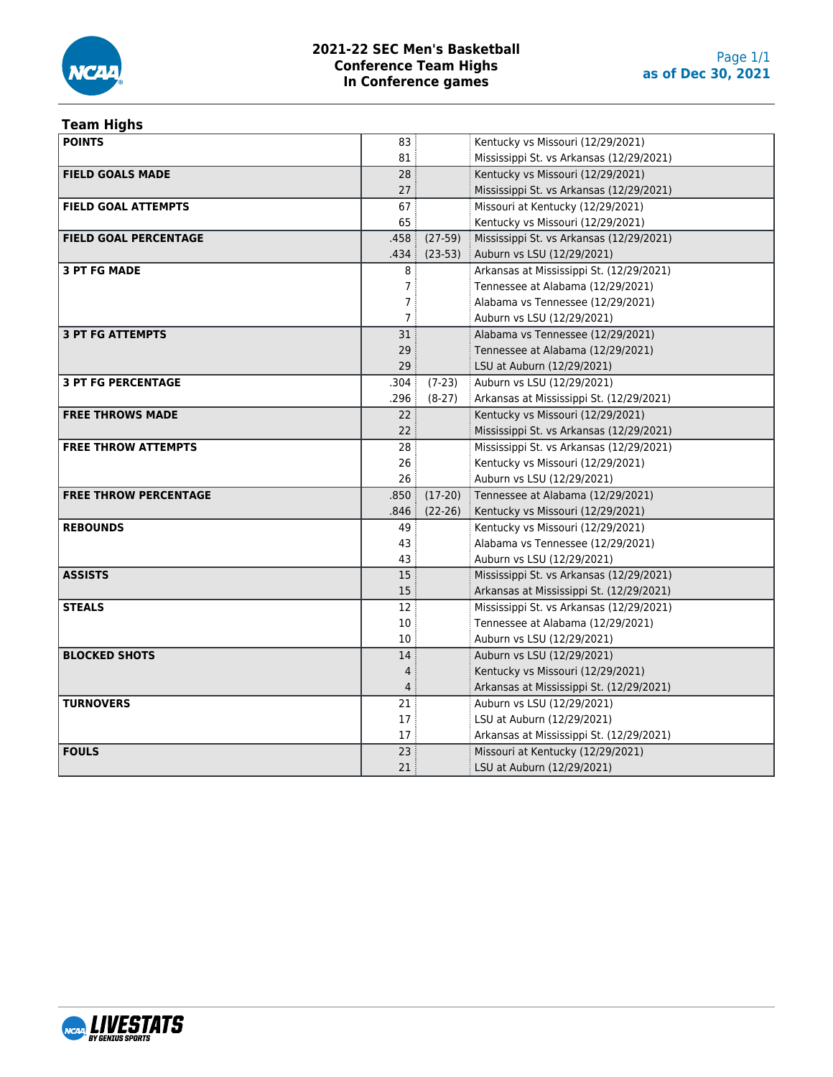

#### **2021-22 SEC Men's Basketball Conference Team Highs In Conference games**

## **Team Highs**

| <b>POINTS</b>                | 83              |           | Kentucky vs Missouri (12/29/2021)         |
|------------------------------|-----------------|-----------|-------------------------------------------|
|                              | 81              |           | Mississippi St. vs Arkansas (12/29/2021)  |
| <b>FIELD GOALS MADE</b>      | 28              |           | Kentucky vs Missouri (12/29/2021)         |
|                              | 27              |           | Mississippi St. vs Arkansas (12/29/2021)  |
| <b>FIELD GOAL ATTEMPTS</b>   | 67 <sup>3</sup> |           | Missouri at Kentucky (12/29/2021)         |
|                              | 65              |           | Kentucky vs Missouri (12/29/2021)         |
| <b>FIELD GOAL PERCENTAGE</b> | .458            | $(27-59)$ | Mississippi St. vs Arkansas (12/29/2021)  |
|                              | .434            | $(23-53)$ | Auburn vs LSU (12/29/2021)                |
| <b>3 PT FG MADE</b>          | 8               |           | Arkansas at Mississippi St. (12/29/2021)  |
|                              | 7 <sup>1</sup>  |           | Tennessee at Alabama (12/29/2021)         |
|                              | 7 <sup>1</sup>  |           | Alabama vs Tennessee (12/29/2021)         |
|                              | 7:              |           | Auburn vs LSU (12/29/2021)                |
| <b>3 PT FG ATTEMPTS</b>      | 31              |           | Alabama vs Tennessee (12/29/2021)         |
|                              | 29              |           | Tennessee at Alabama (12/29/2021)         |
|                              | 29              |           | LSU at Auburn (12/29/2021)                |
| <b>3 PT FG PERCENTAGE</b>    | .304            | $(7-23)$  | Auburn vs LSU (12/29/2021)                |
|                              | .296            | $(8-27)$  | Arkansas at Mississippi St. (12/29/2021)  |
| <b>FREE THROWS MADE</b>      | 22              |           | Kentucky vs Missouri (12/29/2021)         |
|                              | 22              |           | Mississippi St. vs Arkansas (12/29/2021)  |
| <b>FREE THROW ATTEMPTS</b>   | 28              |           | Mississippi St. vs Arkansas (12/29/2021)  |
|                              | 26              |           | Kentucky vs Missouri (12/29/2021)         |
|                              | 26              |           | Auburn vs LSU (12/29/2021)                |
| <b>FREE THROW PERCENTAGE</b> | .850            |           | (17-20) Tennessee at Alabama (12/29/2021) |
|                              | .846            | $(22-26)$ | Kentucky vs Missouri (12/29/2021)         |
| <b>REBOUNDS</b>              | 49              |           | Kentucky vs Missouri (12/29/2021)         |
|                              | 43              |           | Alabama vs Tennessee (12/29/2021)         |
|                              | 43              |           | Auburn vs LSU (12/29/2021)                |
| <b>ASSISTS</b>               | 15              |           | Mississippi St. vs Arkansas (12/29/2021)  |
|                              | 15              |           | Arkansas at Mississippi St. (12/29/2021)  |
| <b>STEALS</b>                | 12              |           | Mississippi St. vs Arkansas (12/29/2021)  |
|                              | 10              |           | Tennessee at Alabama (12/29/2021)         |
|                              | 10 <sup>°</sup> |           | Auburn vs LSU (12/29/2021)                |
| <b>BLOCKED SHOTS</b>         | 14              |           | Auburn vs LSU (12/29/2021)                |
|                              | $\overline{4}$  |           | Kentucky vs Missouri (12/29/2021)         |
|                              | 4               |           | Arkansas at Mississippi St. (12/29/2021)  |
| <b>TURNOVERS</b>             | 21              |           | Auburn vs LSU (12/29/2021)                |
|                              | 17              |           | LSU at Auburn (12/29/2021)                |
|                              | 17              |           | Arkansas at Mississippi St. (12/29/2021)  |
| <b>FOULS</b>                 | 23              |           | Missouri at Kentucky (12/29/2021)         |
|                              | 21              |           | LSU at Auburn (12/29/2021)                |